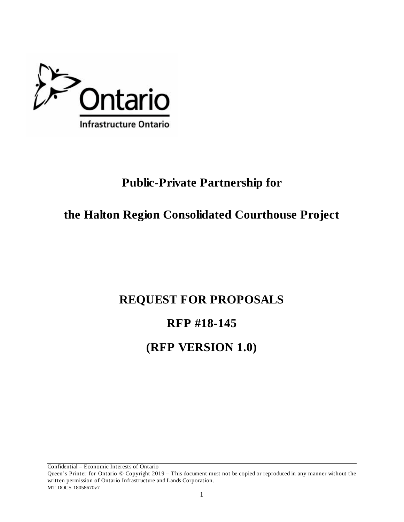

# **Public-Private Partnership for**

# **the Halton Region Consolidated Courthouse Project**

# **REQUEST FOR PROPOSALS**

# **RFP #18-145**

# **(RFP VERSION 1.0)**

Queen's Printer for Ontario © Copyright 2019 – This document must not be copied or reproduced in any manner without the written permission of Ontario Infrastructure and Lands Corporation.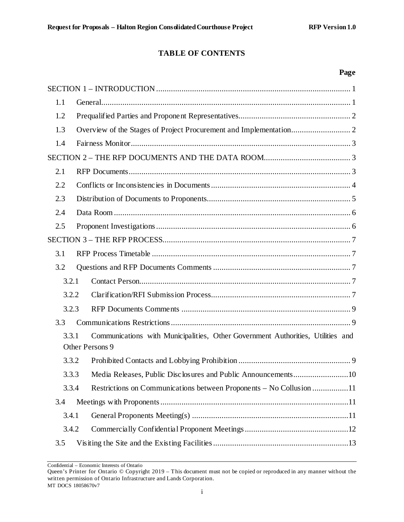# **TABLE OF CONTENTS**

#### **Page**

| 1.1   |                                                                                 |
|-------|---------------------------------------------------------------------------------|
| 1.2   |                                                                                 |
| 1.3   |                                                                                 |
| 1.4   |                                                                                 |
|       |                                                                                 |
| 2.1   |                                                                                 |
| 2.2   |                                                                                 |
| 2.3   |                                                                                 |
| 2.4   |                                                                                 |
| 2.5   |                                                                                 |
|       |                                                                                 |
| 3.1   |                                                                                 |
| 3.2   |                                                                                 |
| 3.2.1 |                                                                                 |
| 3.2.2 |                                                                                 |
| 3.2.3 |                                                                                 |
| 3.3   |                                                                                 |
| 3.3.1 | Communications with Municipalities, Other Government Authorities, Utilities and |
|       | Other Persons 9                                                                 |
| 3.3.2 |                                                                                 |
| 3.3.3 |                                                                                 |
| 3.3.4 | Restrictions on Communications between Proponents – No Collusion 11             |
| 3.4   |                                                                                 |
| 3.4.1 |                                                                                 |
| 3.4.2 |                                                                                 |
| 3.5   |                                                                                 |

Confidential – Economic Interests of Ontario

Queen's Printer for Ontario © Copyright 2019 – This document must not be copied or reproduced in any manner without the written permission of Ontario Infrastructure and Lands Corporation. MT DOCS 18058670v7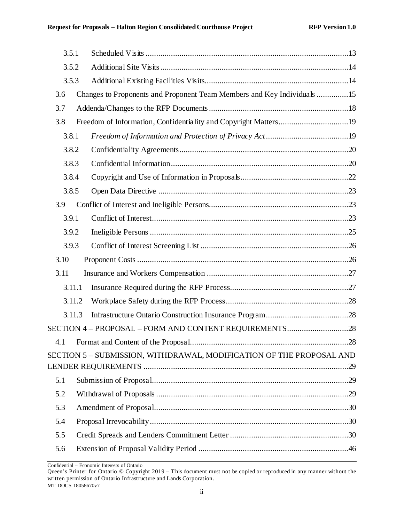|      | 3.5.1  |                                                                         |  |
|------|--------|-------------------------------------------------------------------------|--|
|      | 3.5.2  |                                                                         |  |
|      | 3.5.3  |                                                                         |  |
| 3.6  |        | Changes to Proponents and Proponent Team Members and Key Individuals 15 |  |
| 3.7  |        |                                                                         |  |
| 3.8  |        | Freedom of Information, Confidentiality and Copyright Matters19         |  |
|      | 3.8.1  |                                                                         |  |
|      | 3.8.2  |                                                                         |  |
|      | 3.8.3  |                                                                         |  |
|      | 3.8.4  |                                                                         |  |
|      | 3.8.5  |                                                                         |  |
| 3.9  |        |                                                                         |  |
|      | 3.9.1  |                                                                         |  |
|      | 3.9.2  |                                                                         |  |
|      | 3.9.3  |                                                                         |  |
|      |        |                                                                         |  |
| 3.10 |        |                                                                         |  |
| 3.11 |        |                                                                         |  |
|      | 3.11.1 |                                                                         |  |
|      | 3.11.2 |                                                                         |  |
|      | 3.11.3 |                                                                         |  |
|      |        | SECTION 4 - PROPOSAL - FORM AND CONTENT REQUIREMENTS28                  |  |
|      |        |                                                                         |  |
|      |        | SECTION 5 - SUBMISSION, WITHDRAWAL, MODIFICATION OF THE PROPOSAL AND    |  |
| 5.1  |        |                                                                         |  |
| 5.2  |        |                                                                         |  |
| 5.3  |        |                                                                         |  |
| 5.4  |        |                                                                         |  |
| 5.5  |        |                                                                         |  |

Queen's Printer for Ontario © Copyright 2019 – This document must not be copied or reproduced in any manner without the written permission of Ontario Infrastructure and Lands Corporation. MT DOCS 18058670v7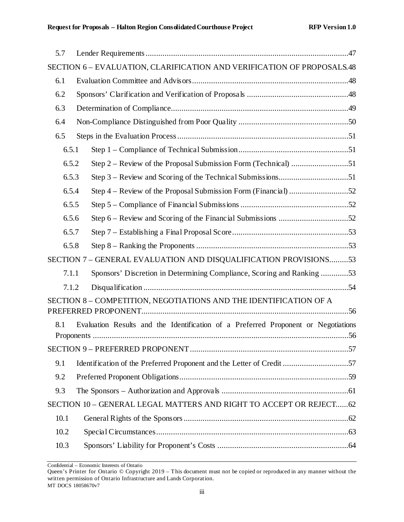| 5.7 |       |                                                                                    |
|-----|-------|------------------------------------------------------------------------------------|
|     |       | SECTION 6 - EVALUATION, CLARIFICATION AND VERIFICATION OF PROPOSALS.48             |
| 6.1 |       |                                                                                    |
| 6.2 |       |                                                                                    |
| 6.3 |       |                                                                                    |
| 6.4 |       |                                                                                    |
| 6.5 |       |                                                                                    |
|     | 6.5.1 |                                                                                    |
|     | 6.5.2 |                                                                                    |
|     | 6.5.3 |                                                                                    |
|     | 6.5.4 |                                                                                    |
|     | 6.5.5 |                                                                                    |
|     | 6.5.6 |                                                                                    |
|     | 6.5.7 |                                                                                    |
|     | 6.5.8 |                                                                                    |
|     |       | SECTION 7 - GENERAL EVALUATION AND DISQUALIFICATION PROVISIONS53                   |
|     | 7.1.1 | Sponsors' Discretion in Determining Compliance, Scoring and Ranking 53             |
|     | 7.1.2 |                                                                                    |
|     |       | SECTION 8 - COMPETITION, NEGOTIATIONS AND THE IDENTIFICATION OF A                  |
|     |       |                                                                                    |
| 8.1 |       | Evaluation Results and the Identification of a Preferred Proponent or Negotiations |
|     |       |                                                                                    |
|     |       |                                                                                    |
| 9.1 |       | Identification of the Preferred Proponent and the Letter of Credit 57              |
| 9.2 |       |                                                                                    |
| 9.3 |       |                                                                                    |
|     |       | SECTION 10 - GENERAL LEGAL MATTERS AND RIGHT TO ACCEPT OR REJECT 62                |
|     | 10.1  |                                                                                    |
|     | 10.2  |                                                                                    |
|     | 10.3  |                                                                                    |

Confidential – Economic Interests of Ontario

Queen's Printer for Ontario © Copyright 2019 – This document must not be copied or reproduced in any manner without the written permission of Ontario Infrastructure and Lands Corporation. MT DOCS 18058670v7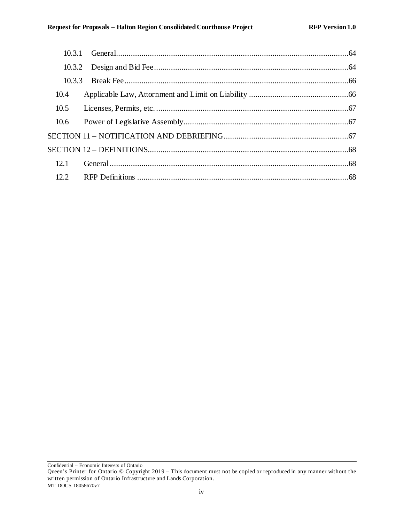| 10.3.3 |  |
|--------|--|
| 10.4   |  |
| 10.5   |  |
| 10.6   |  |
|        |  |
|        |  |
| 12.1   |  |
| 12.2   |  |

Queen's Printer for Ontario © Copyright 2019 – This document must not be copied or reproduced in any manner without the written permission of Ontario Infrastructure and Lands Corporation. MT DOCS 18058670v7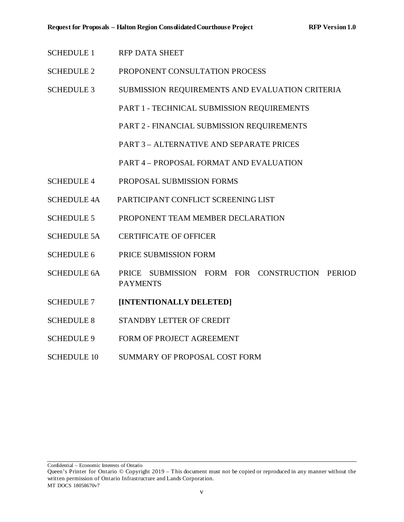- SCHEDULE 1 RFP DATA SHEET
- SCHEDULE 2 PROPONENT CONSULTATION PROCESS
- SCHEDULE 3 SUBMISSION REQUIREMENTS AND EVALUATION CRITERIA
	- PART 1 TECHNICAL SUBMISSION REQUIREMENTS
	- PART 2 FINANCIAL SUBMISSION REQUIREMENTS
	- PART 3 ALTERNATIVE AND SEPARATE PRICES
	- PART 4 PROPOSAL FORMAT AND EVALUATION
- SCHEDULE 4 PROPOSAL SUBMISSION FORMS
- SCHEDULE 4A PARTICIPANT CONFLICT SCREENING LIST
- SCHEDULE 5 PROPONENT TEAM MEMBER DECLARATION
- SCHEDULE 5A CERTIFICATE OF OFFICER
- SCHEDULE 6 PRICE SUBMISSION FORM
- SCHEDULE 6A PRICE SUBMISSION FORM FOR CONSTRUCTION PERIOD PAYMENTS
- SCHEDULE 7 **[INTENTIONALLY DELETED]**
- SCHEDULE 8 STANDBY LETTER OF CREDIT
- SCHEDULE 9 FORM OF PROJECT AGREEMENT
- SCHEDULE 10 SUMMARY OF PROPOSAL COST FORM

Queen's Printer for Ontario © Copyright 2019 – This document must not be copied or reproduced in any manner without the written permission of Ontario Infrastructure and Lands Corporation. MT DOCS 18058670v7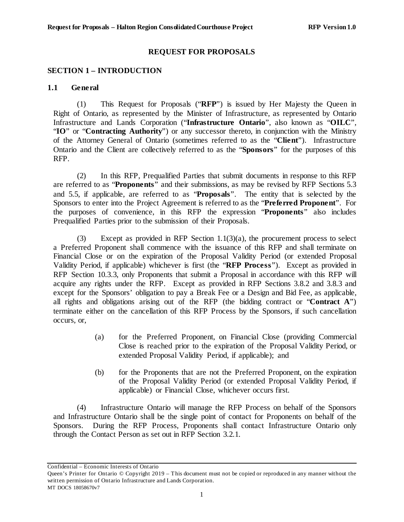#### **REQUEST FOR PROPOSALS**

## <span id="page-6-0"></span>**SECTION 1 – INTRODUCTION**

#### <span id="page-6-1"></span>**1.1 General**

(1) This Request for Proposals ("**RFP**") is issued by Her Majesty the Queen in Right of Ontario, as represented by the Minister of Infrastructure, as represented by Ontario Infrastructure and Lands Corporation ("**Infrastructure Ontario**", also known as "**OILC**", "**IO**" or "**Contracting Authority**") or any successor thereto, in conjunction with the Ministry of the Attorney General of Ontario (sometimes referred to as the "**Client**"). Infrastructure Ontario and the Client are collectively referred to as the "**Sponsors**" for the purposes of this RFP.

(2) In this RFP, Prequalified Parties that submit documents in response to this RFP are referred to as "**Proponents**" and their submissions, as may be revised by RFP Sections [5.3](#page-35-0) and [5.5,](#page-35-2) if applicable, are referred to as "**Proposals**". The entity that is selected by the Sponsors to enter into the Project Agreement is referred to as the "**Preferred Proponent**". For the purposes of convenience, in this RFP the expression "**Proponents**" also includes Prequalified Parties prior to the submission of their Proposals.

(3) Except as provided in RFP Section  $1.1(3)(a)$ , the procurement process to select a Preferred Proponent shall commence with the issuance of this RFP and shall terminate on Financial Close or on the expiration of the Proposal Validity Period (or extended Proposal Validity Period, if applicable) whichever is first (the "**RFP Process**"). Except as provided in RFP Section [10.3.3,](#page-71-0) only Proponents that submit a Proposal in accordance with this RFP will acquire any rights under the RFP. Except as provided in RFP Sections [3.8.2](#page-25-0) and [3.8.3](#page-25-1) and except for the Sponsors' obligation to pay a Break Fee or a Design and Bid Fee, as applicable, all rights and obligations arising out of the RFP (the bidding contract or "**Contract A**") terminate either on the cancellation of this RFP Process by the Sponsors, if such cancellation occurs, or,

- <span id="page-6-2"></span>(a) for the Preferred Proponent, on Financial Close (providing Commercial Close is reached prior to the expiration of the Proposal Validity Period, or extended Proposal Validity Period, if applicable); and
- (b) for the Proponents that are not the Preferred Proponent, on the expiration of the Proposal Validity Period (or extended Proposal Validity Period, if applicable) or Financial Close, whichever occurs first.

(4) Infrastructure Ontario will manage the RFP Process on behalf of the Sponsors and Infrastructure Ontario shall be the single point of contact for Proponents on behalf of the Sponsors. During the RFP Process, Proponents shall contact Infrastructure Ontario only through the Contact Person as set out in RFP Section [3.2.1.](#page-12-3)

Queen's Printer for Ontario © Copyright 2019 – This document must not be copied or reproduced in any manner without the written permission of Ontario Infrastructure and Lands Corporation.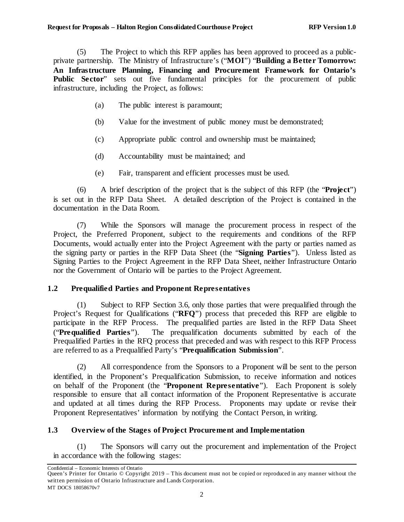(5) The Project to which this RFP applies has been approved to proceed as a publicprivate partnership. The Ministry of Infrastructure's ("**MOI**") "**Building a Better Tomorrow: An Infrastructure Planning, Financing and Procurement Framework for Ontario's Public Sector**" sets out five fundamental principles for the procurement of public infrastructure, including the Project, as follows:

- (a) The public interest is paramount;
- (b) Value for the investment of public money must be demonstrated;
- (c) Appropriate public control and ownership must be maintained;
- (d) Accountability must be maintained; and
- (e) Fair, transparent and efficient processes must be used.

(6) A brief description of the project that is the subject of this RFP (the "**Project**") is set out in the RFP Data Sheet. A detailed description of the Project is contained in the documentation in the Data Room.

(7) While the Sponsors will manage the procurement process in respect of the Project, the Preferred Proponent, subject to the requirements and conditions of the RFP Documents, would actually enter into the Project Agreement with the party or parties named as the signing party or parties in the RFP Data Sheet (the "**Signing Parties**"). Unless listed as Signing Parties to the Project Agreement in the RFP Data Sheet, neither Infrastructure Ontario nor the Government of Ontario will be parties to the Project Agreement.

## <span id="page-7-0"></span>**1.2 Prequalified Parties and Proponent Representatives**

(1) Subject to RFP Section [3.6,](#page-20-0) only those parties that were prequalified through the Project's Request for Qualifications ("**RFQ**") process that preceded this RFP are eligible to participate in the RFP Process. The prequalified parties are listed in the RFP Data Sheet ("**Prequalified Parties**"). The prequalification documents submitted by each of the Prequalified Parties in the RFQ process that preceded and was with respect to this RFP Process are referred to as a Prequalified Party's "**Prequalification Submission**".

(2) All correspondence from the Sponsors to a Proponent will be sent to the person identified, in the Proponent's Prequalification Submission, to receive information and notices on behalf of the Proponent (the "**Proponent Representative**"). Each Proponent is solely responsible to ensure that all contact information of the Proponent Representative is accurate and updated at all times during the RFP Process. Proponents may update or revise their Proponent Representatives' information by notifying the Contact Person, in writing.

# <span id="page-7-1"></span>**1.3 Overview of the Stages of Project Procurement and Implementation**

(1) The Sponsors will carry out the procurement and implementation of the Project in accordance with the following stages:

Confidential – Economic Interests of Ontario

Queen's Printer for Ontario © Copyright 2019 – This document must not be copied or reproduced in any manner without the written permission of Ontario Infrastructure and Lands Corporation. MT DOCS 18058670v7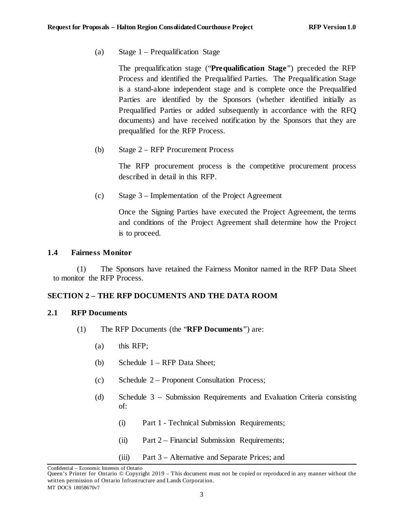(a) Stage 1 – Prequalification Stage

The prequalification stage ("**Prequalification Stage**") preceded the RFP Process and identified the Prequalified Parties. The Prequalification Stage is a stand-alone independent stage and is complete once the Prequalified Parties are identified by the Sponsors (whether identified initially as Prequalified Parties or added subsequently in accordance with the RFQ documents) and have received notification by the Sponsors that they are prequalified for the RFP Process.

(b) Stage 2 – RFP Procurement Process

The RFP procurement process is the competitive procurement process described in detail in this RFP.

(c) Stage 3 – Implementation of the Project Agreement

Once the Signing Parties have executed the Project Agreement, the terms and conditions of the Project Agreement shall determine how the Project is to proceed.

#### <span id="page-8-0"></span>**1.4 Fairness Monitor**

(1) The Sponsors have retained the Fairness Monitor named in the RFP Data Sheet to monitor the RFP Process.

## <span id="page-8-1"></span>**SECTION 2 – THE RFP DOCUMENTS AND THE DATA ROOM**

#### <span id="page-8-2"></span>**2.1 RFP Documents**

- (1) The RFP Documents (the "**RFP Documents**") are:
	- (a) this RFP;
	- (b) Schedule 1 RFP Data Sheet;
	- (c) Schedule 2 Proponent Consultation Process;
	- (d) Schedule 3 Submission Requirements and Evaluation Criteria consisting of:
		- (i) Part 1 Technical Submission Requirements;
		- (ii) Part 2 Financial Submission Requirements;
		- (iii) Part 3 Alternative and Separate Prices; and

Confidential – Economic Interests of Ontario

Queen's Printer for Ontario © Copyright 2019 – This document must not be copied or reproduced in any manner without the written permission of Ontario Infrastructure and Lands Corporation. MT DOCS 18058670v7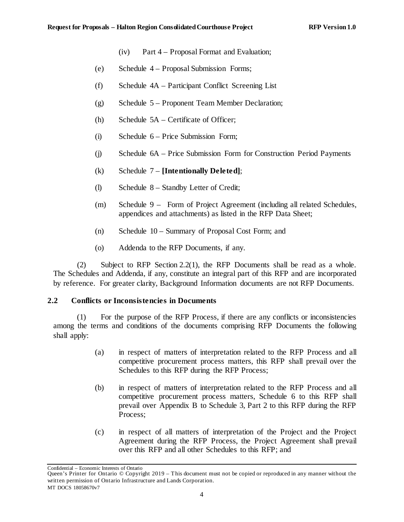- (iv) Part 4 Proposal Format and Evaluation;
- (e) Schedule 4 Proposal Submission Forms;
- (f) Schedule 4A Participant Conflict Screening List
- (g) Schedule 5 Proponent Team Member Declaration;
- (h) Schedule 5A Certificate of Officer;
- (i) Schedule 6 Price Submission Form;
- (j) Schedule 6A Price Submission Form for Construction Period Payments
- (k) Schedule 7 **[Intentionally Deleted]**;
- (l) Schedule 8 Standby Letter of Credit;
- (m) Schedule 9 Form of Project Agreement (including all related Schedules, appendices and attachments) as listed in the RFP Data Sheet;
- (n) Schedule 10 Summary of Proposal Cost Form; and
- (o) Addenda to the RFP Documents, if any.

(2) Subject to RFP Section [2.2\(1\),](#page-9-1) the RFP Documents shall be read as a whole. The Schedules and Addenda, if any, constitute an integral part of this RFP and are incorporated by reference. For greater clarity, Background Information documents are not RFP Documents.

#### <span id="page-9-0"></span>**2.2 Conflicts or Inconsistencies in Documents**

<span id="page-9-1"></span>(1) For the purpose of the RFP Process, if there are any conflicts or inconsistencies among the terms and conditions of the documents comprising RFP Documents the following shall apply:

- (a) in respect of matters of interpretation related to the RFP Process and all competitive procurement process matters, this RFP shall prevail over the Schedules to this RFP during the RFP Process;
- (b) in respect of matters of interpretation related to the RFP Process and all competitive procurement process matters, Schedule 6 to this RFP shall prevail over Appendix B to Schedule 3, Part 2 to this RFP during the RFP Process;
- (c) in respect of all matters of interpretation of the Project and the Project Agreement during the RFP Process, the Project Agreement shall prevail over this RFP and all other Schedules to this RFP; and

Queen's Printer for Ontario © Copyright 2019 – This document must not be copied or reproduced in any manner without the written permission of Ontario Infrastructure and Lands Corporation. MT DOCS 18058670v7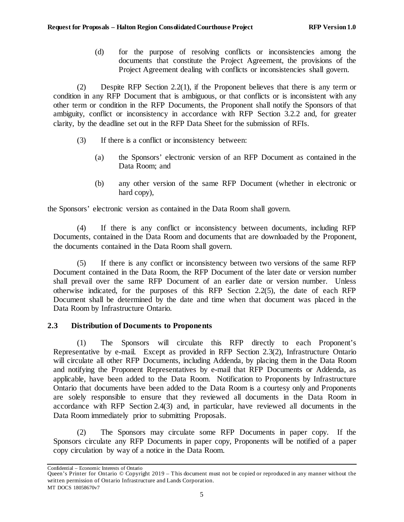(d) for the purpose of resolving conflicts or inconsistencies among the documents that constitute the Project Agreement, the provisions of the Project Agreement dealing with conflicts or inconsistencies shall govern.

(2) Despite RFP Section [2.2\(1\),](#page-9-1) if the Proponent believes that there is any term or condition in any RFP Document that is ambiguous, or that conflicts or is inconsistent with any other term or condition in the RFP Documents, the Proponent shall notify the Sponsors of that ambiguity, conflict or inconsistency in accordance with RFP Section [3.2.2](#page-12-4) and, for greater clarity, by the deadline set out in the RFP Data Sheet for the submission of RFIs.

- (3) If there is a conflict or inconsistency between:
	- (a) the Sponsors' electronic version of an RFP Document as contained in the Data Room; and
	- (b) any other version of the same RFP Document (whether in electronic or hard copy),

the Sponsors' electronic version as contained in the Data Room shall govern.

(4) If there is any conflict or inconsistency between documents, including RFP Documents, contained in the Data Room and documents that are downloaded by the Proponent, the documents contained in the Data Room shall govern.

<span id="page-10-1"></span>(5) If there is any conflict or inconsistency between two versions of the same RFP Document contained in the Data Room, the RFP Document of the later date or version number shall prevail over the same RFP Document of an earlier date or version number. Unless otherwise indicated, for the purposes of this RFP Section [2.2\(5\),](#page-10-1) the date of each RFP Document shall be determined by the date and time when that document was placed in the Data Room by Infrastructure Ontario.

# <span id="page-10-0"></span>**2.3 Distribution of Documents to Proponents**

(1) The Sponsors will circulate this RFP directly to each Proponent's Representative by e-mail. Except as provided in RFP Section [2.3\(2\),](#page-10-2) Infrastructure Ontario will circulate all other RFP Documents, including Addenda, by placing them in the Data Room and notifying the Proponent Representatives by e-mail that RFP Documents or Addenda, as applicable, have been added to the Data Room. Notification to Proponents by Infrastructure Ontario that documents have been added to the Data Room is a courtesy only and Proponents are solely responsible to ensure that they reviewed all documents in the Data Room in accordance with RFP Section [2.4\(3\)](#page-11-2) and, in particular, have reviewed all documents in the Data Room immediately prior to submitting Proposals.

<span id="page-10-2"></span>(2) The Sponsors may circulate some RFP Documents in paper copy. If the Sponsors circulate any RFP Documents in paper copy, Proponents will be notified of a paper copy circulation by way of a notice in the Data Room.

Queen's Printer for Ontario © Copyright 2019 – This document must not be copied or reproduced in any manner without the written permission of Ontario Infrastructure and Lands Corporation. MT DOCS 18058670v7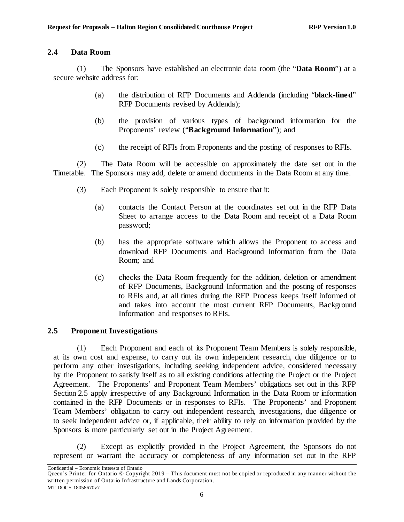## <span id="page-11-0"></span>**2.4 Data Room**

(1) The Sponsors have established an electronic data room (the "**Data Room**") at a secure website address for:

- (a) the distribution of RFP Documents and Addenda (including "**black-lined**" RFP Documents revised by Addenda);
- (b) the provision of various types of background information for the Proponents' review ("**Background Information**"); and
- (c) the receipt of RFIs from Proponents and the posting of responses to RFIs.

<span id="page-11-2"></span>(2) The Data Room will be accessible on approximately the date set out in the Timetable. The Sponsors may add, delete or amend documents in the Data Room at any time.

- (3) Each Proponent is solely responsible to ensure that it:
	- (a) contacts the Contact Person at the coordinates set out in the RFP Data Sheet to arrange access to the Data Room and receipt of a Data Room password;
	- (b) has the appropriate software which allows the Proponent to access and download RFP Documents and Background Information from the Data Room; and
	- (c) checks the Data Room frequently for the addition, deletion or amendment of RFP Documents, Background Information and the posting of responses to RFIs and, at all times during the RFP Process keeps itself informed of and takes into account the most current RFP Documents, Background Information and responses to RFIs.

# <span id="page-11-1"></span>**2.5 Proponent Investigations**

(1) Each Proponent and each of its Proponent Team Members is solely responsible, at its own cost and expense, to carry out its own independent research, due diligence or to perform any other investigations, including seeking independent advice, considered necessary by the Proponent to satisfy itself as to all existing conditions affecting the Project or the Project Agreement. The Proponents' and Proponent Team Members' obligations set out in this RFP Section [2.5](#page-11-1) apply irrespective of any Background Information in the Data Room or information contained in the RFP Documents or in responses to RFIs. The Proponents' and Proponent Team Members' obligation to carry out independent research, investigations, due diligence or to seek independent advice or, if applicable, their ability to rely on information provided by the Sponsors is more particularly set out in the Project Agreement.

(2) Except as explicitly provided in the Project Agreement, the Sponsors do not represent or warrant the accuracy or completeness of any information set out in the RFP

Confidential – Economic Interests of Ontario

Queen's Printer for Ontario © Copyright 2019 – This document must not be copied or reproduced in any manner without the written permission of Ontario Infrastructure and Lands Corporation. MT DOCS 18058670v7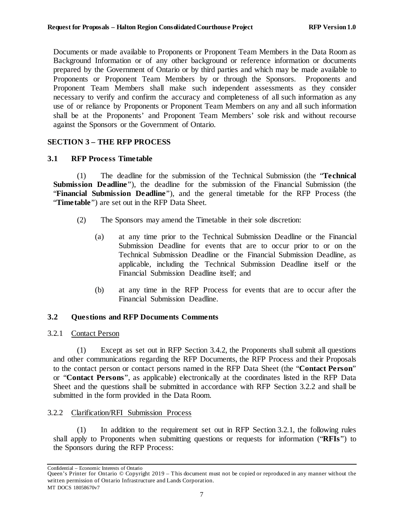Documents or made available to Proponents or Proponent Team Members in the Data Room as Background Information or of any other background or reference information or documents prepared by the Government of Ontario or by third parties and which may be made available to Proponents or Proponent Team Members by or through the Sponsors. Proponents and Proponent Team Members shall make such independent assessments as they consider necessary to verify and confirm the accuracy and completeness of all such information as any use of or reliance by Proponents or Proponent Team Members on any and all such information shall be at the Proponents' and Proponent Team Members' sole risk and without recourse against the Sponsors or the Government of Ontario.

## <span id="page-12-0"></span>**SECTION 3 – THE RFP PROCESS**

## <span id="page-12-1"></span>**3.1 RFP Process Timetable**

(1) The deadline for the submission of the Technical Submission (the "**Technical Submission Deadline**"), the deadline for the submission of the Financial Submission (the "**Financial Submission Deadline**"), and the general timetable for the RFP Process (the "**Timetable**") are set out in the RFP Data Sheet.

- (2) The Sponsors may amend the Timetable in their sole discretion:
	- (a) at any time prior to the Technical Submission Deadline or the Financial Submission Deadline for events that are to occur prior to or on the Technical Submission Deadline or the Financial Submission Deadline, as applicable, including the Technical Submission Deadline itself or the Financial Submission Deadline itself; and
	- (b) at any time in the RFP Process for events that are to occur after the Financial Submission Deadline.

## <span id="page-12-2"></span>**3.2 Questions and RFP Documents Comments**

## <span id="page-12-3"></span>3.2.1 Contact Person

(1) Except as set out in RFP Sectio[n 3.4.2](#page-17-0), the Proponents shall submit all questions and other communications regarding the RFP Documents, the RFP Process and their Proposals to the contact person or contact persons named in the RFP Data Sheet (the "**Contact Person**" or "**Contact Persons**", as applicable) electronically at the coordinates listed in the RFP Data Sheet and the questions shall be submitted in accordance with RFP Section [3.2.2](#page-12-4) and shall be submitted in the form provided in the Data Room.

## <span id="page-12-4"></span>3.2.2 Clarification/RFI Submission Process

(1) In addition to the requirement set out in RFP Section [3.2.1](#page-12-3), the following rules shall apply to Proponents when submitting questions or requests for information ("**RFIs**") to the Sponsors during the RFP Process:

Confidential – Economic Interests of Ontario

Queen's Printer for Ontario © Copyright 2019 – This document must not be copied or reproduced in any manner without the written permission of Ontario Infrastructure and Lands Corporation. MT DOCS 18058670v7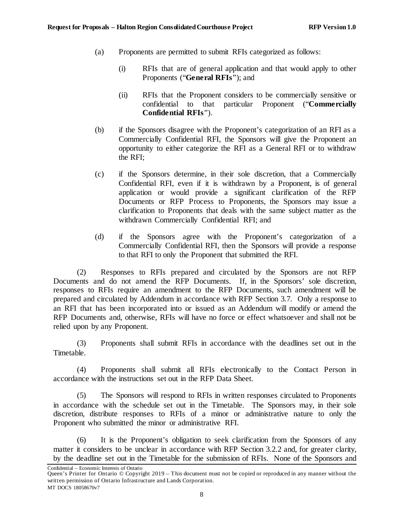- (a) Proponents are permitted to submit RFIs categorized as follows:
	- (i) RFIs that are of general application and that would apply to other Proponents ("**General RFIs**"); and
	- (ii) RFIs that the Proponent considers to be commercially sensitive or confidential to that particular Proponent ("**Commercially Confidential RFIs**").
- (b) if the Sponsors disagree with the Proponent's categorization of an RFI as a Commercially Confidential RFI, the Sponsors will give the Proponent an opportunity to either categorize the RFI as a General RFI or to withdraw the RFI;
- (c) if the Sponsors determine, in their sole discretion, that a Commercially Confidential RFI, even if it is withdrawn by a Proponent, is of general application or would provide a significant clarification of the RFP Documents or RFP Process to Proponents, the Sponsors may issue a clarification to Proponents that deals with the same subject matter as the withdrawn Commercially Confidential RFI; and
- (d) if the Sponsors agree with the Proponent's categorization of a Commercially Confidential RFI, then the Sponsors will provide a response to that RFI to only the Proponent that submitted the RFI.

(2) Responses to RFIs prepared and circulated by the Sponsors are not RFP Documents and do not amend the RFP Documents. If, in the Sponsors' sole discretion, responses to RFIs require an amendment to the RFP Documents, such amendment will be prepared and circulated by Addendum in accordance with RFP Section [3.7.](#page-23-0) Only a response to an RFI that has been incorporated into or issued as an Addendum will modify or amend the RFP Documents and, otherwise, RFIs will have no force or effect whatsoever and shall not be relied upon by any Proponent.

(3) Proponents shall submit RFIs in accordance with the deadlines set out in the Timetable.

(4) Proponents shall submit all RFIs electronically to the Contact Person in accordance with the instructions set out in the RFP Data Sheet.

(5) The Sponsors will respond to RFIs in written responses circulated to Proponents in accordance with the schedule set out in the Timetable. The Sponsors may, in their sole discretion, distribute responses to RFIs of a minor or administrative nature to only the Proponent who submitted the minor or administrative RFI.

(6) It is the Proponent's obligation to seek clarification from the Sponsors of any matter it considers to be unclear in accordance with RFP Sectio[n 3.2.2](#page-12-4) and, for greater clarity, by the deadline set out in the Timetable for the submission of RFIs. None of the Sponsors and

Confidential – Economic Interests of Ontario

Queen's Printer for Ontario © Copyright 2019 – This document must not be copied or reproduced in any manner without the written permission of Ontario Infrastructure and Lands Corporation. MT DOCS 18058670v7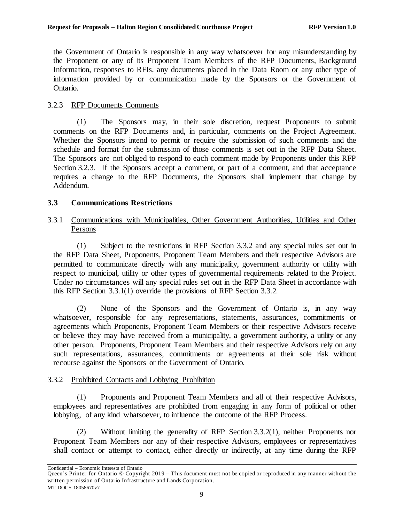the Government of Ontario is responsible in any way whatsoever for any misunderstanding by the Proponent or any of its Proponent Team Members of the RFP Documents, Background Information, responses to RFIs, any documents placed in the Data Room or any other type of information provided by or communication made by the Sponsors or the Government of Ontario.

## <span id="page-14-0"></span>3.2.3 RFP Documents Comments

(1) The Sponsors may, in their sole discretion, request Proponents to submit comments on the RFP Documents and, in particular, comments on the Project Agreement. Whether the Sponsors intend to permit or require the submission of such comments and the schedule and format for the submission of those comments is set out in the RFP Data Sheet. The Sponsors are not obliged to respond to each comment made by Proponents under this RFP Section [3.2.3.](#page-14-0) If the Sponsors accept a comment, or part of a comment, and that acceptance requires a change to the RFP Documents, the Sponsors shall implement that change by Addendum.

## <span id="page-14-1"></span>**3.3 Communications Restrictions**

## <span id="page-14-2"></span>3.3.1 Communications with Municipalities, Other Government Authorities, Utilities and Other Persons

(1) Subject to the restrictions in RFP Section 3.3.2 and any special rules set out in the RFP Data Sheet, Proponents, Proponent Team Members and their respective Advisors are permitted to communicate directly with any municipality, government authority or utility with respect to municipal, utility or other types of governmental requirements related to the Project. Under no circumstances will any special rules set out in the RFP Data Sheet in accordance with this RFP Section 3.3.1(1) override the provisions of RFP Section 3.3.2.

(2) None of the Sponsors and the Government of Ontario is, in any way whatsoever, responsible for any representations, statements, assurances, commitments or agreements which Proponents, Proponent Team Members or their respective Advisors receive or believe they may have received from a municipality, a government authority, a utility or any other person. Proponents, Proponent Team Members and their respective Advisors rely on any such representations, assurances, commitments or agreements at their sole risk without recourse against the Sponsors or the Government of Ontario.

## <span id="page-14-3"></span>3.3.2 Prohibited Contacts and Lobbying Prohibition

<span id="page-14-4"></span>(1) Proponents and Proponent Team Members and all of their respective Advisors, employees and representatives are prohibited from engaging in any form of political or other lobbying, of any kind whatsoever, to influence the outcome of the RFP Process.

<span id="page-14-5"></span>(2) Without limiting the generality of RFP Section [3.3.2\(1\),](#page-14-4) neither Proponents nor Proponent Team Members nor any of their respective Advisors, employees or representatives shall contact or attempt to contact, either directly or indirectly, at any time during the RFP

Confidential – Economic Interests of Ontario

Queen's Printer for Ontario © Copyright 2019 – This document must not be copied or reproduced in any manner without the written permission of Ontario Infrastructure and Lands Corporation. MT DOCS 18058670v7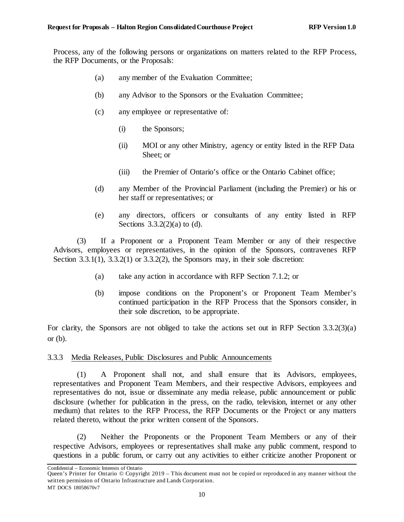<span id="page-15-1"></span>Process, any of the following persons or organizations on matters related to the RFP Process, the RFP Documents, or the Proposals:

- (a) any member of the Evaluation Committee;
- (b) any Advisor to the Sponsors or the Evaluation Committee;
- (c) any employee or representative of:
	- (i) the Sponsors;
	- (ii) MOI or any other Ministry, agency or entity listed in the RFP Data Sheet; or
	- (iii) the Premier of Ontario's office or the Ontario Cabinet office;
- <span id="page-15-2"></span>(d) any Member of the Provincial Parliament (including the Premier) or his or her staff or representatives; or
- (e) any directors, officers or consultants of any entity listed in RFP Sections  $3.3.2(2)(a)$  to [\(d\).](#page-15-2)

<span id="page-15-3"></span>(3) If a Proponent or a Proponent Team Member or any of their respective Advisors, employees or representatives, in the opinion of the Sponsors, contravenes RFP Section  $3.3.1(1)$ ,  $3.3.2(1)$  or  $3.3.2(2)$ , the Sponsors may, in their sole discretion:

- (a) take any action in accordance with RFP Section [7.1.2;](#page-59-0) or
- (b) impose conditions on the Proponent's or Proponent Team Member's continued participation in the RFP Process that the Sponsors consider, in their sole discretion, to be appropriate.

<span id="page-15-4"></span>For clarity, the Sponsors are not obliged to take the actions set out in RFP Section [3.3.2\(3\)\(a\)](#page-15-3) or  $(b)$ .

## <span id="page-15-0"></span>3.3.3 Media Releases, Public Disclosures and Public Announcements

(1) A Proponent shall not, and shall ensure that its Advisors, employees, representatives and Proponent Team Members, and their respective Advisors, employees and representatives do not, issue or disseminate any media release, public announcement or public disclosure (whether for publication in the press, on the radio, television, internet or any other medium) that relates to the RFP Process, the RFP Documents or the Project or any matters related thereto, without the prior written consent of the Sponsors.

(2) Neither the Proponents or the Proponent Team Members or any of their respective Advisors, employees or representatives shall make any public comment, respond to questions in a public forum, or carry out any activities to either criticize another Proponent or

Confidential – Economic Interests of Ontario

Queen's Printer for Ontario © Copyright 2019 – This document must not be copied or reproduced in any manner without the written permission of Ontario Infrastructure and Lands Corporation. MT DOCS 18058670v7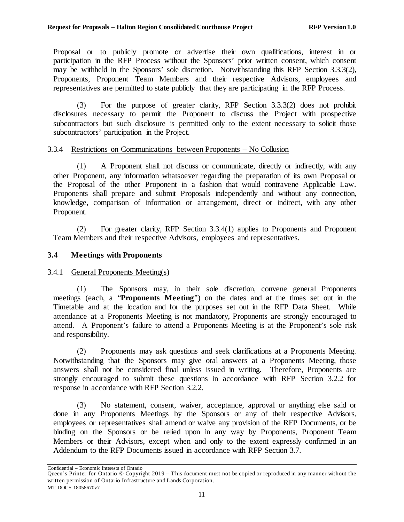Proposal or to publicly promote or advertise their own qualifications, interest in or participation in the RFP Process without the Sponsors' prior written consent, which consent may be withheld in the Sponsors' sole discretion. Notwithstanding this RFP Section [3.3.3\(2\),](#page-15-0) Proponents, Proponent Team Members and their respective Advisors, employees and representatives are permitted to state publicly that they are participating in the RFP Process.

(3) For the purpose of greater clarity, RFP Section [3.3.3\(2\)](#page-15-0) does not prohibit disclosures necessary to permit the Proponent to discuss the Project with prospective subcontractors but such disclosure is permitted only to the extent necessary to solicit those subcontractors' participation in the Project.

## <span id="page-16-0"></span>3.3.4 Restrictions on Communications between Proponents – No Collusion

<span id="page-16-3"></span>(1) A Proponent shall not discuss or communicate, directly or indirectly, with any other Proponent, any information whatsoever regarding the preparation of its own Proposal or the Proposal of the other Proponent in a fashion that would contravene Applicable Law. Proponents shall prepare and submit Proposals independently and without any connection, knowledge, comparison of information or arrangement, direct or indirect, with any other Proponent.

(2) For greater clarity, RFP Section [3.3.4\(1\)](#page-16-3) applies to Proponents and Proponent Team Members and their respective Advisors, employees and representatives.

## <span id="page-16-1"></span>**3.4 Meetings with Proponents**

## <span id="page-16-2"></span>3.4.1 General Proponents Meeting(s)

(1) The Sponsors may, in their sole discretion, convene general Proponents meetings (each, a "**Proponents Meeting**") on the dates and at the times set out in the Timetable and at the location and for the purposes set out in the RFP Data Sheet. While attendance at a Proponents Meeting is not mandatory, Proponents are strongly encouraged to attend. A Proponent's failure to attend a Proponents Meeting is at the Proponent's sole risk and responsibility.

(2) Proponents may ask questions and seek clarifications at a Proponents Meeting. Notwithstanding that the Sponsors may give oral answers at a Proponents Meeting, those answers shall not be considered final unless issued in writing. Therefore, Proponents are strongly encouraged to submit these questions in accordance with RFP Section [3.2.2](#page-12-4) for response in accordance with RFP Section [3.2.2.](#page-12-4)

(3) No statement, consent, waiver, acceptance, approval or anything else said or done in any Proponents Meetings by the Sponsors or any of their respective Advisors, employees or representatives shall amend or waive any provision of the RFP Documents, or be binding on the Sponsors or be relied upon in any way by Proponents, Proponent Team Members or their Advisors, except when and only to the extent expressly confirmed in an Addendum to the RFP Documents issued in accordance with RFP Section [3.7.](#page-23-0)

Confidential – Economic Interests of Ontario

Queen's Printer for Ontario © Copyright 2019 – This document must not be copied or reproduced in any manner without the written permission of Ontario Infrastructure and Lands Corporation. MT DOCS 18058670v7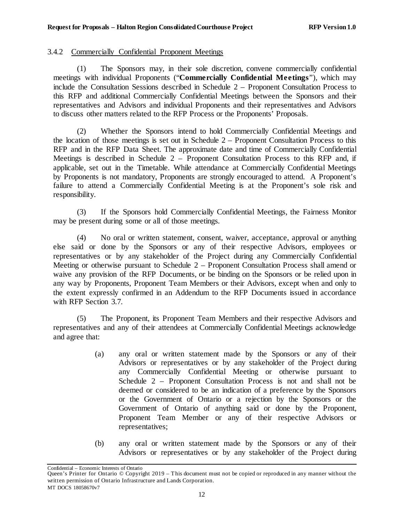#### <span id="page-17-0"></span>3.4.2 Commercially Confidential Proponent Meetings

(1) The Sponsors may, in their sole discretion, convene commercially confidential meetings with individual Proponents ("**Commercially Confidential Meetings**"), which may include the Consultation Sessions described in Schedule 2 – Proponent Consultation Process to this RFP and additional Commercially Confidential Meetings between the Sponsors and their representatives and Advisors and individual Proponents and their representatives and Advisors to discuss other matters related to the RFP Process or the Proponents' Proposals.

(2) Whether the Sponsors intend to hold Commercially Confidential Meetings and the location of those meetings is set out in Schedule  $2 -$  Proponent Consultation Process to this RFP and in the RFP Data Sheet. The approximate date and time of Commercially Confidential Meetings is described in Schedule 2 – Proponent Consultation Process to this RFP and, if applicable, set out in the Timetable. While attendance at Commercially Confidential Meetings by Proponents is not mandatory, Proponents are strongly encouraged to attend. A Proponent's failure to attend a Commercially Confidential Meeting is at the Proponent's sole risk and responsibility.

(3) If the Sponsors hold Commercially Confidential Meetings, the Fairness Monitor may be present during some or all of those meetings.

(4) No oral or written statement, consent, waiver, acceptance, approval or anything else said or done by the Sponsors or any of their respective Advisors, employees or representatives or by any stakeholder of the Project during any Commercially Confidential Meeting or otherwise pursuant to Schedule 2 – Proponent Consultation Process shall amend or waive any provision of the RFP Documents, or be binding on the Sponsors or be relied upon in any way by Proponents, Proponent Team Members or their Advisors, except when and only to the extent expressly confirmed in an Addendum to the RFP Documents issued in accordance with RFP Section [3.7.](#page-23-0)

(5) The Proponent, its Proponent Team Members and their respective Advisors and representatives and any of their attendees at Commercially Confidential Meetings acknowledge and agree that:

- (a) any oral or written statement made by the Sponsors or any of their Advisors or representatives or by any stakeholder of the Project during any Commercially Confidential Meeting or otherwise pursuant to Schedule 2 – Proponent Consultation Process is not and shall not be deemed or considered to be an indication of a preference by the Sponsors or the Government of Ontario or a rejection by the Sponsors or the Government of Ontario of anything said or done by the Proponent, Proponent Team Member or any of their respective Advisors or representatives;
- (b) any oral or written statement made by the Sponsors or any of their Advisors or representatives or by any stakeholder of the Project during

Queen's Printer for Ontario © Copyright 2019 – This document must not be copied or reproduced in any manner without the written permission of Ontario Infrastructure and Lands Corporation. MT DOCS 18058670v7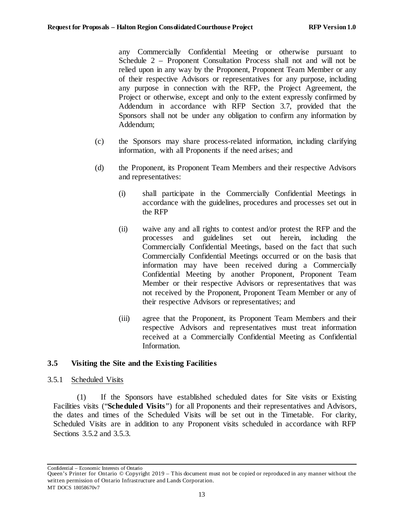any Commercially Confidential Meeting or otherwise pursuant to Schedule 2 – Proponent Consultation Process shall not and will not be relied upon in any way by the Proponent, Proponent Team Member or any of their respective Advisors or representatives for any purpose, including any purpose in connection with the RFP, the Project Agreement, the Project or otherwise, except and only to the extent expressly confirmed by Addendum in accordance with RFP Section [3.7,](#page-23-0) provided that the Sponsors shall not be under any obligation to confirm any information by Addendum;

- (c) the Sponsors may share process-related information, including clarifying information, with all Proponents if the need arises; and
- (d) the Proponent, its Proponent Team Members and their respective Advisors and representatives:
	- (i) shall participate in the Commercially Confidential Meetings in accordance with the guidelines, procedures and processes set out in the RFP
	- (ii) waive any and all rights to contest and/or protest the RFP and the processes and guidelines set out herein, including the Commercially Confidential Meetings, based on the fact that such Commercially Confidential Meetings occurred or on the basis that information may have been received during a Commercially Confidential Meeting by another Proponent, Proponent Team Member or their respective Advisors or representatives that was not received by the Proponent, Proponent Team Member or any of their respective Advisors or representatives; and
	- (iii) agree that the Proponent, its Proponent Team Members and their respective Advisors and representatives must treat information received at a Commercially Confidential Meeting as Confidential Information.

## <span id="page-18-0"></span>**3.5 Visiting the Site and the Existing Facilities**

#### <span id="page-18-1"></span>3.5.1 Scheduled Visits

(1) If the Sponsors have established scheduled dates for Site visits or Existing Facilities visits ("**Scheduled Visits**") for all Proponents and their representatives and Advisors, the dates and times of the Scheduled Visits will be set out in the Timetable. For clarity, Scheduled Visits are in addition to any Proponent visits scheduled in accordance with RFP Sections [3.5.2](#page-19-0) and [3.5.3.](#page-19-1)

Queen's Printer for Ontario © Copyright 2019 – This document must not be copied or reproduced in any manner without the written permission of Ontario Infrastructure and Lands Corporation. MT DOCS 18058670v7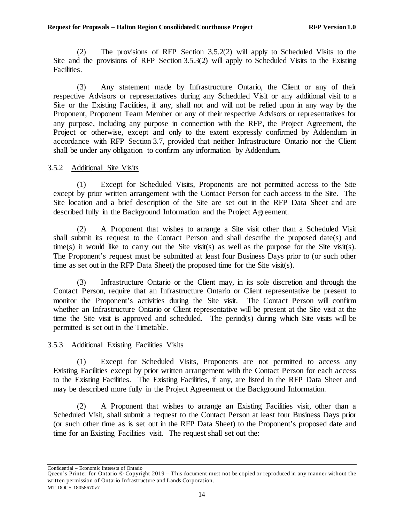(2) The provisions of RFP Section [3.5.2\(2\)](#page-19-2) will apply to Scheduled Visits to the Site and the provisions of RFP Section [3.5.3\(2\)](#page-19-3) will apply to Scheduled Visits to the Existing Facilities.

(3) Any statement made by Infrastructure Ontario, the Client or any of their respective Advisors or representatives during any Scheduled Visit or any additional visit to a Site or the Existing Facilities, if any, shall not and will not be relied upon in any way by the Proponent, Proponent Team Member or any of their respective Advisors or representatives for any purpose, including any purpose in connection with the RFP, the Project Agreement, the Project or otherwise, except and only to the extent expressly confirmed by Addendum in accordance with RFP Section [3.7,](#page-23-0) provided that neither Infrastructure Ontario nor the Client shall be under any obligation to confirm any information by Addendum.

## <span id="page-19-0"></span>3.5.2 Additional Site Visits

(1) Except for Scheduled Visits, Proponents are not permitted access to the Site except by prior written arrangement with the Contact Person for each access to the Site. The Site location and a brief description of the Site are set out in the RFP Data Sheet and are described fully in the Background Information and the Project Agreement.

<span id="page-19-2"></span>(2) A Proponent that wishes to arrange a Site visit other than a Scheduled Visit shall submit its request to the Contact Person and shall describe the proposed date(s) and time(s) it would like to carry out the Site visit(s) as well as the purpose for the Site visit(s). The Proponent's request must be submitted at least four Business Days prior to (or such other time as set out in the RFP Data Sheet) the proposed time for the Site visit(s).

(3) Infrastructure Ontario or the Client may, in its sole discretion and through the Contact Person, require that an Infrastructure Ontario or Client representative be present to monitor the Proponent's activities during the Site visit. The Contact Person will confirm whether an Infrastructure Ontario or Client representative will be present at the Site visit at the time the Site visit is approved and scheduled. The period(s) during which Site visits will be permitted is set out in the Timetable.

## <span id="page-19-1"></span>3.5.3 Additional Existing Facilities Visits

(1) Except for Scheduled Visits, Proponents are not permitted to access any Existing Facilities except by prior written arrangement with the Contact Person for each access to the Existing Facilities. The Existing Facilities, if any, are listed in the RFP Data Sheet and may be described more fully in the Project Agreement or the Background Information.

<span id="page-19-3"></span>(2) A Proponent that wishes to arrange an Existing Facilities visit, other than a Scheduled Visit, shall submit a request to the Contact Person at least four Business Days prior (or such other time as is set out in the RFP Data Sheet) to the Proponent's proposed date and time for an Existing Facilities visit. The request shall set out the:

Queen's Printer for Ontario © Copyright 2019 – This document must not be copied or reproduced in any manner without the written permission of Ontario Infrastructure and Lands Corporation. MT DOCS 18058670v7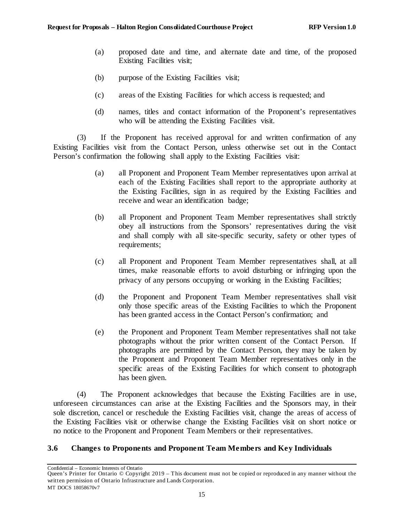- (a) proposed date and time, and alternate date and time, of the proposed Existing Facilities visit;
- (b) purpose of the Existing Facilities visit;
- (c) areas of the Existing Facilities for which access is requested; and
- (d) names, titles and contact information of the Proponent's representatives who will be attending the Existing Facilities visit.

(3) If the Proponent has received approval for and written confirmation of any Existing Facilities visit from the Contact Person, unless otherwise set out in the Contact Person's confirmation the following shall apply to the Existing Facilities visit:

- (a) all Proponent and Proponent Team Member representatives upon arrival at each of the Existing Facilities shall report to the appropriate authority at the Existing Facilities, sign in as required by the Existing Facilities and receive and wear an identification badge;
- (b) all Proponent and Proponent Team Member representatives shall strictly obey all instructions from the Sponsors' representatives during the visit and shall comply with all site-specific security, safety or other types of requirements;
- (c) all Proponent and Proponent Team Member representatives shall, at all times, make reasonable efforts to avoid disturbing or infringing upon the privacy of any persons occupying or working in the Existing Facilities;
- (d) the Proponent and Proponent Team Member representatives shall visit only those specific areas of the Existing Facilities to which the Proponent has been granted access in the Contact Person's confirmation; and
- (e) the Proponent and Proponent Team Member representatives shall not take photographs without the prior written consent of the Contact Person. If photographs are permitted by the Contact Person, they may be taken by the Proponent and Proponent Team Member representatives only in the specific areas of the Existing Facilities for which consent to photograph has been given.

(4) The Proponent acknowledges that because the Existing Facilities are in use, unforeseen circumstances can arise at the Existing Facilities and the Sponsors may, in their sole discretion, cancel or reschedule the Existing Facilities visit, change the areas of access of the Existing Facilities visit or otherwise change the Existing Facilities visit on short notice or no notice to the Proponent and Proponent Team Members or their representatives.

# <span id="page-20-0"></span>**3.6 Changes to Proponents and Proponent Team Members and Key Individuals**

Queen's Printer for Ontario © Copyright 2019 – This document must not be copied or reproduced in any manner without the written permission of Ontario Infrastructure and Lands Corporation. MT DOCS 18058670v7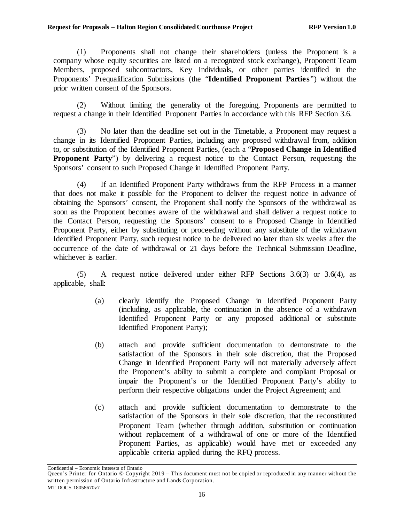(1) Proponents shall not change their shareholders (unless the Proponent is a company whose equity securities are listed on a recognized stock exchange), Proponent Team Members, proposed subcontractors, Key Individuals, or other parties identified in the Proponents' Prequalification Submissions (the "**Identified Proponent Parties**") without the prior written consent of the Sponsors.

(2) Without limiting the generality of the foregoing, Proponents are permitted to request a change in their Identified Proponent Parties in accordance with this RFP Section [3.6.](#page-20-0)

(3) No later than the deadline set out in the Timetable, a Proponent may request a change in its Identified Proponent Parties, including any proposed withdrawal from, addition to, or substitution of the Identified Proponent Parties, (each a "**Proposed Change in Identified Proponent Party**") by delivering a request notice to the Contact Person, requesting the Sponsors' consent to such Proposed Change in Identified Proponent Party.

<span id="page-21-0"></span>(4) If an Identified Proponent Party withdraws from the RFP Process in a manner that does not make it possible for the Proponent to deliver the request notice in advance of obtaining the Sponsors' consent, the Proponent shall notify the Sponsors of the withdrawal as soon as the Proponent becomes aware of the withdrawal and shall deliver a request notice to the Contact Person, requesting the Sponsors' consent to a Proposed Change in Identified Proponent Party, either by substituting or proceeding without any substitute of the withdrawn Identified Proponent Party, such request notice to be delivered no later than six weeks after the occurrence of the date of withdrawal or 21 days before the Technical Submission Deadline, whichever is earlier.

<span id="page-21-1"></span>(5) A request notice delivered under either RFP Sections 3.6(3) or [3.6\(4\),](#page-21-0) as applicable, shall:

- (a) clearly identify the Proposed Change in Identified Proponent Party (including, as applicable, the continuation in the absence of a withdrawn Identified Proponent Party or any proposed additional or substitute Identified Proponent Party);
- (b) attach and provide sufficient documentation to demonstrate to the satisfaction of the Sponsors in their sole discretion, that the Proposed Change in Identified Proponent Party will not materially adversely affect the Proponent's ability to submit a complete and compliant Proposal or impair the Proponent's or the Identified Proponent Party's ability to perform their respective obligations under the Project Agreement; and
- (c) attach and provide sufficient documentation to demonstrate to the satisfaction of the Sponsors in their sole discretion, that the reconstituted Proponent Team (whether through addition, substitution or continuation without replacement of a withdrawal of one or more of the Identified Proponent Parties, as applicable) would have met or exceeded any applicable criteria applied during the RFQ process.

Confidential – Economic Interests of Ontario

16

Queen's Printer for Ontario © Copyright 2019 – This document must not be copied or reproduced in any manner without the written permission of Ontario Infrastructure and Lands Corporation. MT DOCS 18058670v7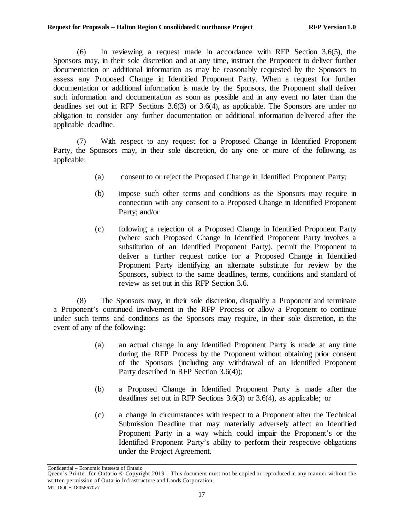(6) In reviewing a request made in accordance with RFP Section [3.6\(5\),](#page-21-1) the Sponsors may, in their sole discretion and at any time, instruct the Proponent to deliver further documentation or additional information as may be reasonably requested by the Sponsors to assess any Proposed Change in Identified Proponent Party. When a request for further documentation or additional information is made by the Sponsors, the Proponent shall deliver such information and documentation as soon as possible and in any event no later than the deadlines set out in RFP Sections 3.6(3) o[r 3.6\(4\),](#page-21-0) as applicable. The Sponsors are under no obligation to consider any further documentation or additional information delivered after the applicable deadline.

(7) With respect to any request for a Proposed Change in Identified Proponent Party, the Sponsors may, in their sole discretion, do any one or more of the following, as applicable:

- (a) consent to or reject the Proposed Change in Identified Proponent Party;
- (b) impose such other terms and conditions as the Sponsors may require in connection with any consent to a Proposed Change in Identified Proponent Party; and/or
- (c) following a rejection of a Proposed Change in Identified Proponent Party (where such Proposed Change in Identified Proponent Party involves a substitution of an Identified Proponent Party), permit the Proponent to deliver a further request notice for a Proposed Change in Identified Proponent Party identifying an alternate substitute for review by the Sponsors, subject to the same deadlines, terms, conditions and standard of review as set out in this RFP Section [3.6.](#page-20-0)

(8) The Sponsors may, in their sole discretion, disqualify a Proponent and terminate a Proponent's continued involvement in the RFP Process or allow a Proponent to continue under such terms and conditions as the Sponsors may require, in their sole discretion, in the event of any of the following:

- (a) an actual change in any Identified Proponent Party is made at any time during the RFP Process by the Proponent without obtaining prior consent of the Sponsors (including any withdrawal of an Identified Proponent Party described in RFP Section [3.6\(4\)\)](#page-21-0);
- (b) a Proposed Change in Identified Proponent Party is made after the deadlines set out in RFP Sections 3.6(3) or [3.6\(4\),](#page-21-0) as applicable; or
- (c) a change in circumstances with respect to a Proponent after the Technical Submission Deadline that may materially adversely affect an Identified Proponent Party in a way which could impair the Proponent's or the Identified Proponent Party's ability to perform their respective obligations under the Project Agreement.

Queen's Printer for Ontario © Copyright 2019 – This document must not be copied or reproduced in any manner without the written permission of Ontario Infrastructure and Lands Corporation. MT DOCS 18058670v7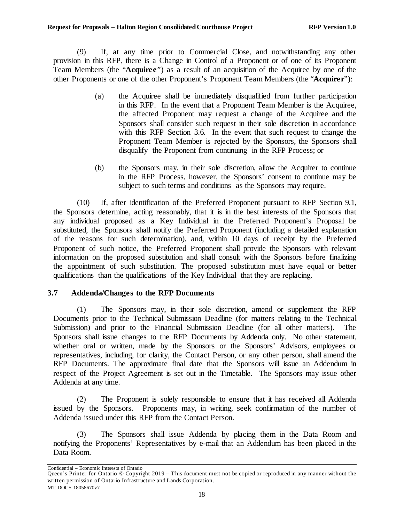(9) If, at any time prior to Commercial Close, and notwithstanding any other provision in this RFP, there is a Change in Control of a Proponent or of one of its Proponent Team Members (the "**Acquiree**") as a result of an acquisition of the Acquiree by one of the other Proponents or one of the other Proponent's Proponent Team Members (the "**Acquirer**"):

- (a) the Acquiree shall be immediately disqualified from further participation in this RFP. In the event that a Proponent Team Member is the Acquiree, the affected Proponent may request a change of the Acquiree and the Sponsors shall consider such request in their sole discretion in accordance with this RFP Section [3.6.](#page-20-0) In the event that such request to change the Proponent Team Member is rejected by the Sponsors, the Sponsors shall disqualify the Proponent from continuing in the RFP Process; or
- (b) the Sponsors may, in their sole discretion, allow the Acquirer to continue in the RFP Process, however, the Sponsors' consent to continue may be subject to such terms and conditions as the Sponsors may require.

(10) If, after identification of the Preferred Proponent pursuant to RFP Section [9.1,](#page-62-1) the Sponsors determine, acting reasonably, that it is in the best interests of the Sponsors that any individual proposed as a Key Individual in the Preferred Proponent's Proposal be substituted, the Sponsors shall notify the Preferred Proponent (including a detailed explanation of the reasons for such determination), and, within 10 days of receipt by the Preferred Proponent of such notice, the Preferred Proponent shall provide the Sponsors with relevant information on the proposed substitution and shall consult with the Sponsors before finalizing the appointment of such substitution. The proposed substitution must have equal or better qualifications than the qualifications of the Key Individual that they are replacing.

## <span id="page-23-0"></span>**3.7 Addenda/Changes to the RFP Documents**

(1) The Sponsors may, in their sole discretion, amend or supplement the RFP Documents prior to the Technical Submission Deadline (for matters relating to the Technical Submission) and prior to the Financial Submission Deadline (for all other matters). The Sponsors shall issue changes to the RFP Documents by Addenda only. No other statement, whether oral or written, made by the Sponsors or the Sponsors' Advisors, employees or representatives, including, for clarity, the Contact Person, or any other person, shall amend the RFP Documents. The approximate final date that the Sponsors will issue an Addendum in respect of the Project Agreement is set out in the Timetable. The Sponsors may issue other Addenda at any time.

(2) The Proponent is solely responsible to ensure that it has received all Addenda issued by the Sponsors. Proponents may, in writing, seek confirmation of the number of Addenda issued under this RFP from the Contact Person.

(3) The Sponsors shall issue Addenda by placing them in the Data Room and notifying the Proponents' Representatives by e-mail that an Addendum has been placed in the Data Room.

Queen's Printer for Ontario © Copyright 2019 – This document must not be copied or reproduced in any manner without the written permission of Ontario Infrastructure and Lands Corporation. MT DOCS 18058670v7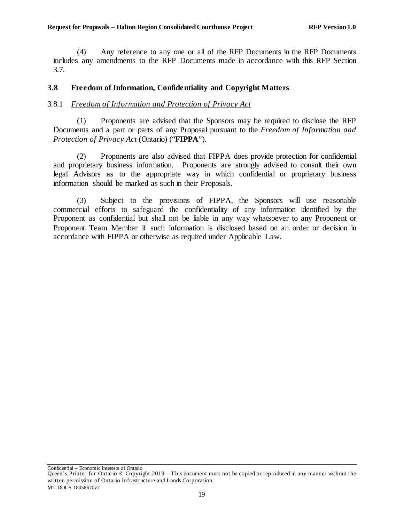(4) Any reference to any one or all of the RFP Documents in the RFP Documents includes any amendments to the RFP Documents made in accordance with this RFP Section [3.7.](#page-23-0)

## <span id="page-24-0"></span>**3.8 Freedom of Information, Confidentiality and Copyright Matters**

## <span id="page-24-1"></span>3.8.1 *Freedom of Information and Protection of Privacy Act*

(1) Proponents are advised that the Sponsors may be required to disclose the RFP Documents and a part or parts of any Proposal pursuant to the *Freedom of Information and Protection of Privacy Act* (Ontario) ("**FIPPA**").

(2) Proponents are also advised that FIPPA does provide protection for confidential and proprietary business information. Proponents are strongly advised to consult their own legal Advisors as to the appropriate way in which confidential or proprietary business information should be marked as such in their Proposals.

(3) Subject to the provisions of FIPPA, the Sponsors will use reasonable commercial efforts to safeguard the confidentiality of any information identified by the Proponent as confidential but shall not be liable in any way whatsoever to any Proponent or Proponent Team Member if such information is disclosed based on an order or decision in accordance with FIPPA or otherwise as required under Applicable Law.

Queen's Printer for Ontario © Copyright 2019 – This document must not be copied or reproduced in any manner without the written permission of Ontario Infrastructure and Lands Corporation. MT DOCS 18058670v7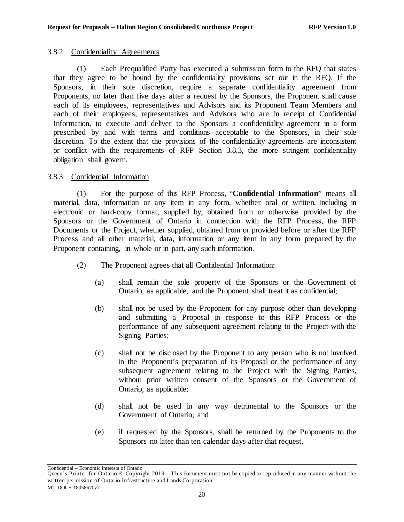## <span id="page-25-0"></span>3.8.2 Confidentiality Agreements

(1) Each Prequalified Party has executed a submission form to the RFQ that states that they agree to be bound by the confidentiality provisions set out in the RFQ. If the Sponsors, in their sole discretion, require a separate confidentiality agreement from Proponents, no later than five days after a request by the Sponsors, the Proponent shall cause each of its employees, representatives and Advisors and its Proponent Team Members and each of their employees, representatives and Advisors who are in receipt of Confidential Information, to execute and deliver to the Sponsors a confidentiality agreement in a form prescribed by and with terms and conditions acceptable to the Sponsors, in their sole discretion. To the extent that the provisions of the confidentiality agreements are inconsistent or conflict with the requirements of RFP Section [3.8.3](#page-25-1), the more stringent confidentiality obligation shall govern.

## <span id="page-25-1"></span>3.8.3 Confidential Information

(1) For the purpose of this RFP Process, "**Confidential Information**" means all material, data, information or any item in any form, whether oral or written, including in electronic or hard-copy format, supplied by, obtained from or otherwise provided by the Sponsors or the Government of Ontario in connection with the RFP Process, the RFP Documents or the Project, whether supplied, obtained from or provided before or after the RFP Process and all other material, data, information or any item in any form prepared by the Proponent containing, in whole or in part, any such information.

- (2) The Proponent agrees that all Confidential Information:
	- (a) shall remain the sole property of the Sponsors or the Government of Ontario, as applicable, and the Proponent shall treat it as confidential;
	- (b) shall not be used by the Proponent for any purpose other than developing and submitting a Proposal in response to this RFP Process or the performance of any subsequent agreement relating to the Project with the Signing Parties;
	- (c) shall not be disclosed by the Proponent to any person who is not involved in the Proponent's preparation of its Proposal or the performance of any subsequent agreement relating to the Project with the Signing Parties, without prior written consent of the Sponsors or the Government of Ontario, as applicable;
	- (d) shall not be used in any way detrimental to the Sponsors or the Government of Ontario; and
	- (e) if requested by the Sponsors, shall be returned by the Proponents to the Sponsors no later than ten calendar days after that request.

Queen's Printer for Ontario © Copyright 2019 – This document must not be copied or reproduced in any manner without the written permission of Ontario Infrastructure and Lands Corporation. MT DOCS 18058670v7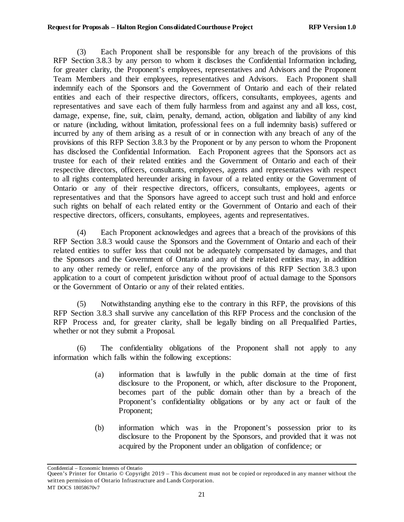(3) Each Proponent shall be responsible for any breach of the provisions of this RFP Section [3.8.3](#page-25-1) by any person to whom it discloses the Confidential Information including, for greater clarity, the Proponent's employees, representatives and Advisors and the Proponent Team Members and their employees, representatives and Advisors. Each Proponent shall indemnify each of the Sponsors and the Government of Ontario and each of their related entities and each of their respective directors, officers, consultants, employees, agents and representatives and save each of them fully harmless from and against any and all loss, cost, damage, expense, fine, suit, claim, penalty, demand, action, obligation and liability of any kind or nature (including, without limitation, professional fees on a full indemnity basis) suffered or incurred by any of them arising as a result of or in connection with any breach of any of the provisions of this RFP Section [3.8.3](#page-25-1) by the Proponent or by any person to whom the Proponent has disclosed the Confidential Information. Each Proponent agrees that the Sponsors act as trustee for each of their related entities and the Government of Ontario and each of their respective directors, officers, consultants, employees, agents and representatives with respect to all rights contemplated hereunder arising in favour of a related entity or the Government of Ontario or any of their respective directors, officers, consultants, employees, agents or representatives and that the Sponsors have agreed to accept such trust and hold and enforce such rights on behalf of each related entity or the Government of Ontario and each of their respective directors, officers, consultants, employees, agents and representatives.

(4) Each Proponent acknowledges and agrees that a breach of the provisions of this RFP Section [3.8.3](#page-25-1) would cause the Sponsors and the Government of Ontario and each of their related entities to suffer loss that could not be adequately compensated by damages, and that the Sponsors and the Government of Ontario and any of their related entities may, in addition to any other remedy or relief, enforce any of the provisions of this RFP Sectio[n 3.8.3](#page-25-1) upon application to a court of competent jurisdiction without proof of actual damage to the Sponsors or the Government of Ontario or any of their related entities.

(5) Notwithstanding anything else to the contrary in this RFP, the provisions of this RFP Section [3.8.3](#page-25-1) shall survive any cancellation of this RFP Process and the conclusion of the RFP Process and, for greater clarity, shall be legally binding on all Prequalified Parties, whether or not they submit a Proposal.

(6) The confidentiality obligations of the Proponent shall not apply to any information which falls within the following exceptions:

- (a) information that is lawfully in the public domain at the time of first disclosure to the Proponent, or which, after disclosure to the Proponent, becomes part of the public domain other than by a breach of the Proponent's confidentiality obligations or by any act or fault of the Proponent;
- (b) information which was in the Proponent's possession prior to its disclosure to the Proponent by the Sponsors, and provided that it was not acquired by the Proponent under an obligation of confidence; or

Queen's Printer for Ontario © Copyright 2019 – This document must not be copied or reproduced in any manner without the written permission of Ontario Infrastructure and Lands Corporation. MT DOCS 18058670v7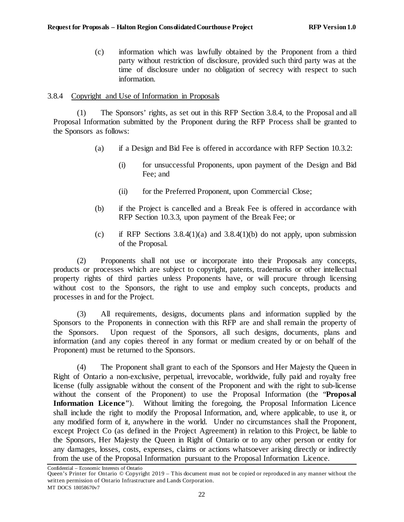(c) information which was lawfully obtained by the Proponent from a third party without restriction of disclosure, provided such third party was at the time of disclosure under no obligation of secrecy with respect to such information.

## <span id="page-27-0"></span>3.8.4 Copyright and Use of Information in Proposals

<span id="page-27-1"></span>(1) The Sponsors' rights, as set out in this RFP Sectio[n 3.8.4,](#page-27-0) to the Proposal and all Proposal Information submitted by the Proponent during the RFP Process shall be granted to the Sponsors as follows:

- (a) if a Design and Bid Fee is offered in accordance with RFP Section [10.3.2:](#page-69-2)
	- (i) for unsuccessful Proponents, upon payment of the Design and Bid Fee; and
	- (ii) for the Preferred Proponent, upon Commercial Close;
- <span id="page-27-2"></span>(b) if the Project is cancelled and a Break Fee is offered in accordance with RFP Section [10.3.3,](#page-71-0) upon payment of the Break Fee; or
- (c) if RFP Sections  $3.8.4(1)(a)$  and  $3.8.4(1)(b)$  do not apply, upon submission of the Proposal.

(2) Proponents shall not use or incorporate into their Proposals any concepts, products or processes which are subject to copyright, patents, trademarks or other intellectual property rights of third parties unless Proponents have, or will procure through licensing without cost to the Sponsors, the right to use and employ such concepts, products and processes in and for the Project.

(3) All requirements, designs, documents plans and information supplied by the Sponsors to the Proponents in connection with this RFP are and shall remain the property of the Sponsors. Upon request of the Sponsors, all such designs, documents, plans and information (and any copies thereof in any format or medium created by or on behalf of the Proponent) must be returned to the Sponsors.

(4) The Proponent shall grant to each of the Sponsors and Her Majesty the Queen in Right of Ontario a non-exclusive, perpetual, irrevocable, worldwide, fully paid and royalty free license (fully assignable without the consent of the Proponent and with the right to sub-license without the consent of the Proponent) to use the Proposal Information (the "**Proposal**  Information Licence"). Without limiting the foregoing, the Proposal Information Licence shall include the right to modify the Proposal Information, and, where applicable, to use it, or any modified form of it, anywhere in the world. Under no circumstances shall the Proponent, except Project Co (as defined in the Project Agreement) in relation to this Project, be liable to the Sponsors, Her Majesty the Queen in Right of Ontario or to any other person or entity for any damages, losses, costs, expenses, claims or actions whatsoever arising directly or indirectly from the use of the Proposal Information pursuant to the Proposal Information Licence.

Confidential – Economic Interests of Ontario

Queen's Printer for Ontario © Copyright 2019 – This document must not be copied or reproduced in any manner without the written permission of Ontario Infrastructure and Lands Corporation. MT DOCS 18058670v7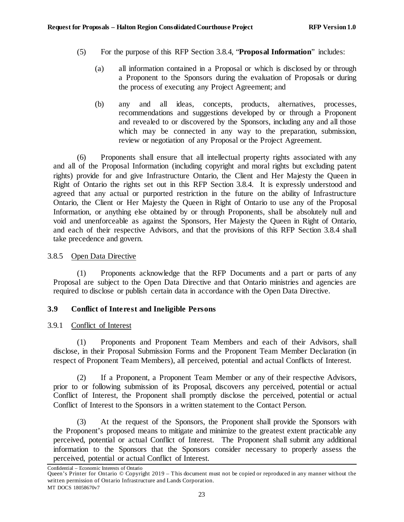- (5) For the purpose of this RFP Section [3.8.4,](#page-27-0) "**Proposal Information**" includes:
	- (a) all information contained in a Proposal or which is disclosed by or through a Proponent to the Sponsors during the evaluation of Proposals or during the process of executing any Project Agreement; and
	- (b) any and all ideas, concepts, products, alternatives, processes, recommendations and suggestions developed by or through a Proponent and revealed to or discovered by the Sponsors, including any and all those which may be connected in any way to the preparation, submission, review or negotiation of any Proposal or the Project Agreement.

(6) Proponents shall ensure that all intellectual property rights associated with any and all of the Proposal Information (including copyright and moral rights but excluding patent rights) provide for and give Infrastructure Ontario, the Client and Her Majesty the Queen in Right of Ontario the rights set out in this RFP Sectio[n 3.8.4.](#page-27-0) It is expressly understood and agreed that any actual or purported restriction in the future on the ability of Infrastructure Ontario, the Client or Her Majesty the Queen in Right of Ontario to use any of the Proposal Information, or anything else obtained by or through Proponents, shall be absolutely null and void and unenforceable as against the Sponsors, Her Majesty the Queen in Right of Ontario, and each of their respective Advisors, and that the provisions of this RFP Section [3.8.4](#page-27-0) shall take precedence and govern.

## <span id="page-28-0"></span>3.8.5 Open Data Directive

(1) Proponents acknowledge that the RFP Documents and a part or parts of any Proposal are subject to the Open Data Directive and that Ontario ministries and agencies are required to disclose or publish certain data in accordance with the Open Data Directive.

# <span id="page-28-1"></span>**3.9 Conflict of Interest and Ineligible Persons**

## <span id="page-28-2"></span>3.9.1 Conflict of Interest

(1) Proponents and Proponent Team Members and each of their Advisors, shall disclose, in their Proposal Submission Forms and the Proponent Team Member Declaration (in respect of Proponent Team Members), all perceived, potential and actual Conflicts of Interest.

(2) If a Proponent, a Proponent Team Member or any of their respective Advisors, prior to or following submission of its Proposal, discovers any perceived, potential or actual Conflict of Interest, the Proponent shall promptly disclose the perceived, potential or actual Conflict of Interest to the Sponsors in a written statement to the Contact Person.

(3) At the request of the Sponsors, the Proponent shall provide the Sponsors with the Proponent's proposed means to mitigate and minimize to the greatest extent practicable any perceived, potential or actual Conflict of Interest. The Proponent shall submit any additional information to the Sponsors that the Sponsors consider necessary to properly assess the perceived, potential or actual Conflict of Interest.

Confidential – Economic Interests of Ontario

Queen's Printer for Ontario © Copyright 2019 – This document must not be copied or reproduced in any manner without the written permission of Ontario Infrastructure and Lands Corporation. MT DOCS 18058670v7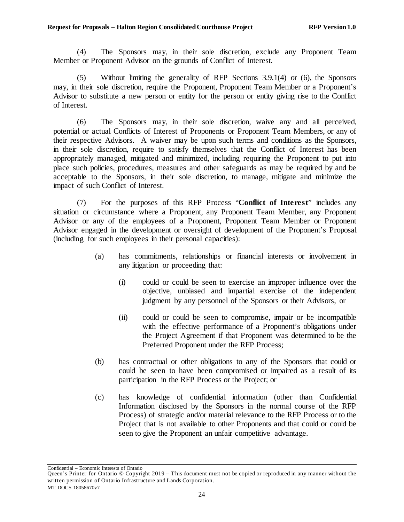<span id="page-29-0"></span>(4) The Sponsors may, in their sole discretion, exclude any Proponent Team Member or Proponent Advisor on the grounds of Conflict of Interest.

(5) Without limiting the generality of RFP Sections [3.9.1\(4\)](#page-29-0) or [\(6\),](#page-29-1) the Sponsors may, in their sole discretion, require the Proponent, Proponent Team Member or a Proponent's Advisor to substitute a new person or entity for the person or entity giving rise to the Conflict of Interest.

<span id="page-29-1"></span>(6) The Sponsors may, in their sole discretion, waive any and all perceived, potential or actual Conflicts of Interest of Proponents or Proponent Team Members, or any of their respective Advisors. A waiver may be upon such terms and conditions as the Sponsors, in their sole discretion, require to satisfy themselves that the Conflict of Interest has been appropriately managed, mitigated and minimized, including requiring the Proponent to put into place such policies, procedures, measures and other safeguards as may be required by and be acceptable to the Sponsors, in their sole discretion, to manage, mitigate and minimize the impact of such Conflict of Interest.

(7) For the purposes of this RFP Process "**Conflict of Interest**" includes any situation or circumstance where a Proponent, any Proponent Team Member, any Proponent Advisor or any of the employees of a Proponent, Proponent Team Member or Proponent Advisor engaged in the development or oversight of development of the Proponent's Proposal (including for such employees in their personal capacities):

- (a) has commitments, relationships or financial interests or involvement in any litigation or proceeding that:
	- (i) could or could be seen to exercise an improper influence over the objective, unbiased and impartial exercise of the independent judgment by any personnel of the Sponsors or their Advisors, or
	- (ii) could or could be seen to compromise, impair or be incompatible with the effective performance of a Proponent's obligations under the Project Agreement if that Proponent was determined to be the Preferred Proponent under the RFP Process;
- (b) has contractual or other obligations to any of the Sponsors that could or could be seen to have been compromised or impaired as a result of its participation in the RFP Process or the Project; or
- (c) has knowledge of confidential information (other than Confidential Information disclosed by the Sponsors in the normal course of the RFP Process) of strategic and/or material relevance to the RFP Process or to the Project that is not available to other Proponents and that could or could be seen to give the Proponent an unfair competitive advantage.

Queen's Printer for Ontario © Copyright 2019 – This document must not be copied or reproduced in any manner without the written permission of Ontario Infrastructure and Lands Corporation. MT DOCS 18058670v7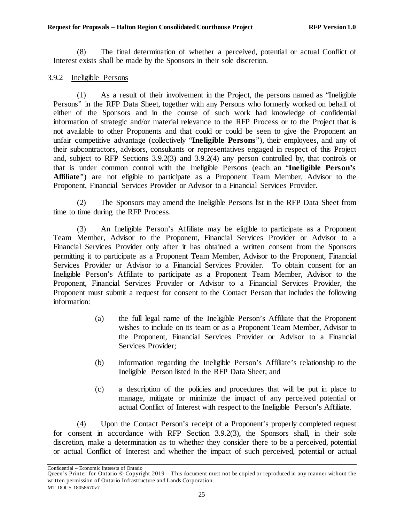(8) The final determination of whether a perceived, potential or actual Conflict of Interest exists shall be made by the Sponsors in their sole discretion.

### <span id="page-30-0"></span>3.9.2 Ineligible Persons

(1) As a result of their involvement in the Project, the persons named as "Ineligible Persons" in the RFP Data Sheet, together with any Persons who formerly worked on behalf of either of the Sponsors and in the course of such work had knowledge of confidential information of strategic and/or material relevance to the RFP Process or to the Project that is not available to other Proponents and that could or could be seen to give the Proponent an unfair competitive advantage (collectively "**Ineligible Persons**"), their employees, and any of their subcontractors, advisors, consultants or representatives engaged in respect of this Project and, subject to RFP Sections [3.9.2\(3\)](#page-30-1) an[d 3.9.2\(4\)](#page-30-2) any person controlled by, that controls or that is under common control with the Ineligible Persons (each an "**Ineligible Person's Affiliate**") are not eligible to participate as a Proponent Team Member, Advisor to the Proponent, Financial Services Provider or Advisor to a Financial Services Provider.

(2) The Sponsors may amend the Ineligible Persons list in the RFP Data Sheet from time to time during the RFP Process.

<span id="page-30-1"></span>(3) An Ineligible Person's Affiliate may be eligible to participate as a Proponent Team Member, Advisor to the Proponent, Financial Services Provider or Advisor to a Financial Services Provider only after it has obtained a written consent from the Sponsors permitting it to participate as a Proponent Team Member, Advisor to the Proponent, Financial Services Provider or Advisor to a Financial Services Provider. To obtain consent for an Ineligible Person's Affiliate to participate as a Proponent Team Member, Advisor to the Proponent, Financial Services Provider or Advisor to a Financial Services Provider, the Proponent must submit a request for consent to the Contact Person that includes the following information:

- (a) the full legal name of the Ineligible Person's Affiliate that the Proponent wishes to include on its team or as a Proponent Team Member, Advisor to the Proponent, Financial Services Provider or Advisor to a Financial Services Provider;
- (b) information regarding the Ineligible Person's Affiliate's relationship to the Ineligible Person listed in the RFP Data Sheet; and
- (c) a description of the policies and procedures that will be put in place to manage, mitigate or minimize the impact of any perceived potential or actual Conflict of Interest with respect to the Ineligible Person's Affiliate.

<span id="page-30-2"></span>(4) Upon the Contact Person's receipt of a Proponent's properly completed request for consent in accordance with RFP Section [3.9.2\(3\),](#page-30-1) the Sponsors shall, in their sole discretion, make a determination as to whether they consider there to be a perceived, potential or actual Conflict of Interest and whether the impact of such perceived, potential or actual

Queen's Printer for Ontario © Copyright 2019 – This document must not be copied or reproduced in any manner without the written permission of Ontario Infrastructure and Lands Corporation. MT DOCS 18058670v7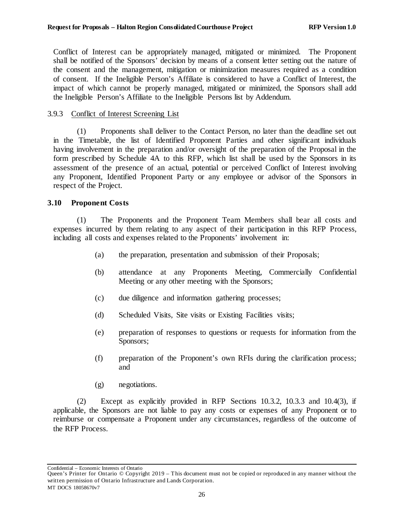Conflict of Interest can be appropriately managed, mitigated or minimized. The Proponent shall be notified of the Sponsors' decision by means of a consent letter setting out the nature of the consent and the management, mitigation or minimization measures required as a condition of consent. If the Ineligible Person's Affiliate is considered to have a Conflict of Interest, the impact of which cannot be properly managed, mitigated or minimized, the Sponsors shall add the Ineligible Person's Affiliate to the Ineligible Persons list by Addendum.

## <span id="page-31-0"></span>3.9.3 Conflict of Interest Screening List

(1) Proponents shall deliver to the Contact Person, no later than the deadline set out in the Timetable, the list of Identified Proponent Parties and other significant individuals having involvement in the preparation and/or oversight of the preparation of the Proposal in the form prescribed by Schedule 4A to this RFP, which list shall be used by the Sponsors in its assessment of the presence of an actual, potential or perceived Conflict of Interest involving any Proponent, Identified Proponent Party or any employee or advisor of the Sponsors in respect of the Project.

## <span id="page-31-1"></span>**3.10 Proponent Costs**

(1) The Proponents and the Proponent Team Members shall bear all costs and expenses incurred by them relating to any aspect of their participation in this RFP Process, including all costs and expenses related to the Proponents' involvement in:

- (a) the preparation, presentation and submission of their Proposals;
- (b) attendance at any Proponents Meeting, Commercially Confidential Meeting or any other meeting with the Sponsors;
- (c) due diligence and information gathering processes;
- (d) Scheduled Visits, Site visits or Existing Facilities visits;
- (e) preparation of responses to questions or requests for information from the Sponsors;
- (f) preparation of the Proponent's own RFIs during the clarification process; and
- (g) negotiations.

(2) Except as explicitly provided in RFP Sections [10.3.2,](#page-69-2) [10.3.3](#page-71-0) and [10.4\(3\),](#page-72-3) if applicable, the Sponsors are not liable to pay any costs or expenses of any Proponent or to reimburse or compensate a Proponent under any circumstances, regardless of the outcome of the RFP Process.

Queen's Printer for Ontario © Copyright 2019 – This document must not be copied or reproduced in any manner without the written permission of Ontario Infrastructure and Lands Corporation. MT DOCS 18058670v7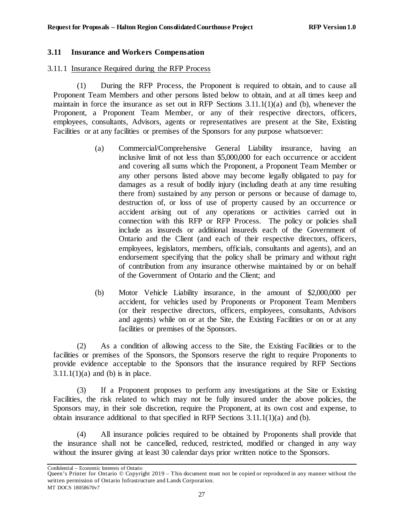## <span id="page-32-0"></span>**3.11 Insurance and Workers Compensation**

### <span id="page-32-1"></span>3.11.1 Insurance Required during the RFP Process

(1) During the RFP Process, the Proponent is required to obtain, and to cause all Proponent Team Members and other persons listed below to obtain, and at all times keep and maintain in force the insurance as set out in RFP Sections [3.11.1\(1\)\(a\)](#page-32-2) and [\(b\),](#page-32-3) whenever the Proponent, a Proponent Team Member, or any of their respective directors, officers, employees, consultants, Advisors, agents or representatives are present at the Site, Existing Facilities or at any facilities or premises of the Sponsors for any purpose whatsoever:

- <span id="page-32-2"></span>(a) Commercial/Comprehensive General Liability insurance, having an inclusive limit of not less than \$5,000,000 for each occurrence or accident and covering all sums which the Proponent, a Proponent Team Member or any other persons listed above may become legally obligated to pay for damages as a result of bodily injury (including death at any time resulting there from) sustained by any person or persons or because of damage to, destruction of, or loss of use of property caused by an occurrence or accident arising out of any operations or activities carried out in connection with this RFP or RFP Process. The policy or policies shall include as insureds or additional insureds each of the Government of Ontario and the Client (and each of their respective directors, officers, employees, legislators, members, officials, consultants and agents), and an endorsement specifying that the policy shall be primary and without right of contribution from any insurance otherwise maintained by or on behalf of the Government of Ontario and the Client; and
- <span id="page-32-3"></span>(b) Motor Vehicle Liability insurance, in the amount of \$2,000,000 per accident, for vehicles used by Proponents or Proponent Team Members (or their respective directors, officers, employees, consultants, Advisors and agents) while on or at the Site, the Existing Facilities or on or at any facilities or premises of the Sponsors.

(2) As a condition of allowing access to the Site, the Existing Facilities or to the facilities or premises of the Sponsors, the Sponsors reserve the right to require Proponents to provide evidence acceptable to the Sponsors that the insurance required by RFP Sections  $3.11.1(1)(a)$  and [\(b\)](#page-32-3) is in place.

(3) If a Proponent proposes to perform any investigations at the Site or Existing Facilities, the risk related to which may not be fully insured under the above policies, the Sponsors may, in their sole discretion, require the Proponent, at its own cost and expense, to obtain insurance additional to that specified in RFP Sections [3.11.1\(1\)\(a\)](#page-32-2) and [\(b\).](#page-32-3)

(4) All insurance policies required to be obtained by Proponents shall provide that the insurance shall not be cancelled, reduced, restricted, modified or changed in any way without the insurer giving at least 30 calendar days prior written notice to the Sponsors.

Queen's Printer for Ontario © Copyright 2019 – This document must not be copied or reproduced in any manner without the written permission of Ontario Infrastructure and Lands Corporation. MT DOCS 18058670v7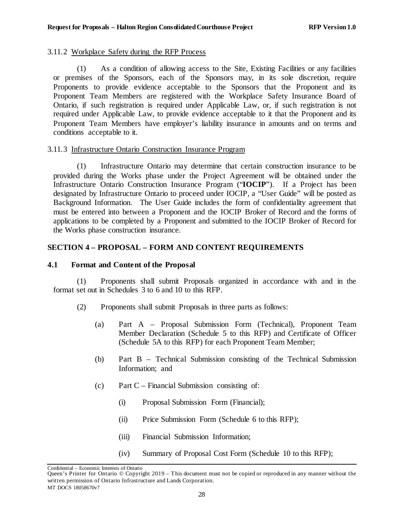### <span id="page-33-0"></span>3.11.2 Workplace Safety during the RFP Process

(1) As a condition of allowing access to the Site, Existing Facilities or any facilities or premises of the Sponsors, each of the Sponsors may, in its sole discretion, require Proponents to provide evidence acceptable to the Sponsors that the Proponent and its Proponent Team Members are registered with the Workplace Safety Insurance Board of Ontario, if such registration is required under Applicable Law, or, if such registration is not required under Applicable Law, to provide evidence acceptable to it that the Proponent and its Proponent Team Members have employer's liability insurance in amounts and on terms and conditions acceptable to it.

## <span id="page-33-1"></span>3.11.3 Infrastructure Ontario Construction Insurance Program

(1) Infrastructure Ontario may determine that certain construction insurance to be provided during the Works phase under the Project Agreement will be obtained under the Infrastructure Ontario Construction Insurance Program ("**IOCIP**"). If a Project has been designated by Infrastructure Ontario to proceed under IOCIP, a "User Guide" will be posted as Background Information. The User Guide includes the form of confidentiality agreement that must be entered into between a Proponent and the IOCIP Broker of Record and the forms of applications to be completed by a Proponent and submitted to the IOCIP Broker of Record for the Works phase construction insurance.

## <span id="page-33-2"></span>**SECTION 4 – PROPOSAL – FORM AND CONTENT REQUIREMENTS**

## <span id="page-33-3"></span>**4.1 Format and Content of the Proposal**

(1) Proponents shall submit Proposals organized in accordance with and in the format set out in Schedules 3 to 6 and 10 to this RFP.

- (2) Proponents shall submit Proposals in three parts as follows:
	- (a) Part A Proposal Submission Form (Technical), Proponent Team Member Declaration (Schedule 5 to this RFP) and Certificate of Officer (Schedule 5A to this RFP) for each Proponent Team Member;
	- (b) Part B Technical Submission consisting of the Technical Submission Information; and
	- (c) Part C Financial Submission consisting of:
		- (i) Proposal Submission Form (Financial);
		- (ii) Price Submission Form (Schedule 6 to this RFP);
		- (iii) Financial Submission Information;
		- (iv) Summary of Proposal Cost Form (Schedule 10 to this RFP);

Confidential – Economic Interests of Ontario

Queen's Printer for Ontario © Copyright 2019 – This document must not be copied or reproduced in any manner without the written permission of Ontario Infrastructure and Lands Corporation. MT DOCS 18058670v7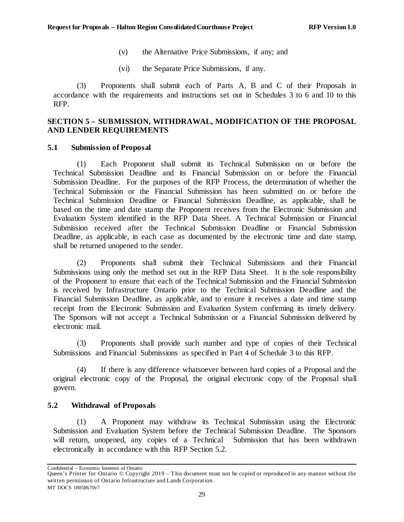- (v) the Alternative Price Submissions, if any; and
- (vi) the Separate Price Submissions, if any.

(3) Proponents shall submit each of Parts A, B and C of their Proposals in accordance with the requirements and instructions set out in Schedules 3 to 6 and 10 to this RFP.

## <span id="page-34-0"></span>**SECTION 5 – SUBMISSION, WITHDRAWAL, MODIFICATION OF THE PROPOSAL AND LENDER REQUIREMENTS**

#### <span id="page-34-1"></span>**5.1 Submission of Proposal**

(1) Each Proponent shall submit its Technical Submission on or before the Technical Submission Deadline and its Financial Submission on or before the Financial Submission Deadline. For the purposes of the RFP Process, the determination of whether the Technical Submission or the Financial Submission has been submitted on or before the Technical Submission Deadline or Financial Submission Deadline, as applicable, shall be based on the time and date stamp the Proponent receives from the Electronic Submission and Evaluation System identified in the RFP Data Sheet. A Technical Submission or Financial Submission received after the Technical Submission Deadline or Financial Submission Deadline, as applicable, in each case as documented by the electronic time and date stamp, shall be returned unopened to the sender.

(2) Proponents shall submit their Technical Submissions and their Financial Submissions using only the method set out in the RFP Data Sheet. It is the sole responsibility of the Proponent to ensure that each of the Technical Submission and the Financial Submission is received by Infrastructure Ontario prior to the Technical Submission Deadline and the Financial Submission Deadline, as applicable, and to ensure it receives a date and time stamp receipt from the Electronic Submission and Evaluation System confirming its timely delivery. The Sponsors will not accept a Technical Submission or a Financial Submission delivered by electronic mail.

(3) Proponents shall provide such number and type of copies of their Technical Submissions and Financial Submissions as specified in Part 4 of Schedule 3 to this RFP.

(4) If there is any difference whatsoever between hard copies of a Proposal and the original electronic copy of the Proposal, the original electronic copy of the Proposal shall govern.

## <span id="page-34-2"></span>**5.2 Withdrawal of Proposals**

(1) A Proponent may withdraw its Technical Submission using the Electronic Submission and Evaluation System before the Technical Submission Deadline. The Sponsors will return, unopened, any copies of a Technical Submission that has been withdrawn electronically in accordance with this RFP Section [5.2.](#page-34-2)

Queen's Printer for Ontario © Copyright 2019 – This document must not be copied or reproduced in any manner without the written permission of Ontario Infrastructure and Lands Corporation. MT DOCS 18058670v7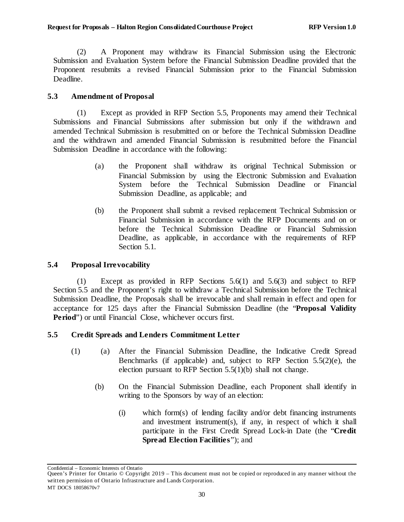(2) A Proponent may withdraw its Financial Submission using the Electronic Submission and Evaluation System before the Financial Submission Deadline provided that the Proponent resubmits a revised Financial Submission prior to the Financial Submission Deadline.

## <span id="page-35-0"></span>**5.3 Amendment of Proposal**

(1) Except as provided in RFP Section [5.5,](#page-35-2) Proponents may amend their Technical Submissions and Financial Submissions after submission but only if the withdrawn and amended Technical Submission is resubmitted on or before the Technical Submission Deadline and the withdrawn and amended Financial Submission is resubmitted before the Financial Submission Deadline in accordance with the following:

- (a) the Proponent shall withdraw its original Technical Submission or Financial Submission by using the Electronic Submission and Evaluation System before the Technical Submission Deadline or Financial Submission Deadline, as applicable; and
- (b) the Proponent shall submit a revised replacement Technical Submission or Financial Submission in accordance with the RFP Documents and on or before the Technical Submission Deadline or Financial Submission Deadline, as applicable, in accordance with the requirements of RFP Section [5.1.](#page-34-1)

## <span id="page-35-1"></span>**5.4 Proposal Irrevocability**

(1) Except as provided in RFP Sections [5.6\(1\)](#page-51-1) and [5.6\(3\)](#page-52-1) and subject to RFP Section [5.5](#page-35-2) and the Proponent's right to withdraw a Technical Submission before the Technical Submission Deadline, the Proposals shall be irrevocable and shall remain in effect and open for acceptance for 125 days after the Financial Submission Deadline (the "**Proposal Validity Period**") or until Financial Close, whichever occurs first.

## <span id="page-35-2"></span>**5.5 Credit Spreads and Lenders Commitment Letter**

- <span id="page-35-3"></span>(1) (a) After the Financial Submission Deadline, the Indicative Credit Spread Benchmarks (if applicable) and, subject to RFP Section [5.5\(2\)\(e\),](#page-41-0) the election pursuant to RFP Section [5.5\(1\)\(b\)](#page-35-3) shall not change.
	- (b) On the Financial Submission Deadline, each Proponent shall identify in writing to the Sponsors by way of an election:
		- (i) which form(s) of lending facility and/or debt financing instruments and investment instrument(s), if any, in respect of which it shall participate in the First Credit Spread Lock-in Date (the "**Credit Spread Election Facilities**"); and

Queen's Printer for Ontario © Copyright 2019 – This document must not be copied or reproduced in any manner without the written permission of Ontario Infrastructure and Lands Corporation. MT DOCS 18058670v7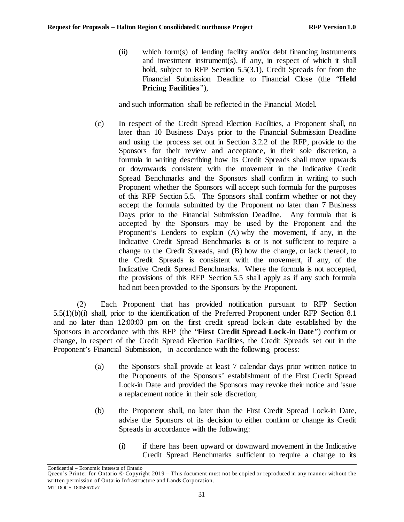<span id="page-36-3"></span>(ii) which form(s) of lending facility and/or debt financing instruments and investment instrument(s), if any, in respect of which it shall hold, subject to RFP Section [5.5\(3.1\),](#page-35-0) Credit Spreads for from the Financial Submission Deadline to Financial Close (the "**Held Pricing Facilities**"),

and such information shall be reflected in the Financial Model.

(c) In respect of the Credit Spread Election Facilities, a Proponent shall, no later than 10 Business Days prior to the Financial Submission Deadline and using the process set out in Section [3.2.2](#page-12-0) of the RFP, provide to the Sponsors for their review and acceptance, in their sole discretion, a formula in writing describing how its Credit Spreads shall move upwards or downwards consistent with the movement in the Indicative Credit Spread Benchmarks and the Sponsors shall confirm in writing to such Proponent whether the Sponsors will accept such formula for the purposes of this RFP Section [5.5.](#page-35-0) The Sponsors shall confirm whether or not they accept the formula submitted by the Proponent no later than 7 Business Days prior to the Financial Submission Deadline. Any formula that is accepted by the Sponsors may be used by the Proponent and the Proponent's Lenders to explain (A) why the movement, if any, in the Indicative Credit Spread Benchmarks is or is not sufficient to require a change to the Credit Spreads, and (B) how the change, or lack thereof, to the Credit Spreads is consistent with the movement, if any, of the Indicative Credit Spread Benchmarks. Where the formula is not accepted, the provisions of this RFP Section [5.5](#page-35-0) shall apply as if any such formula had not been provided to the Sponsors by the Proponent.

<span id="page-36-0"></span>(2) Each Proponent that has provided notification pursuant to RFP Section [5.5\(1\)\(b\)\(i\)](#page-35-1) shall, prior to the identification of the Preferred Proponent under RFP Section [8.1](#page-61-0) and no later than 12:00:00 pm on the first credit spread lock-in date established by the Sponsors in accordance with this RFP (the "**First Credit Spread Lock-in Date**") confirm or change, in respect of the Credit Spread Election Facilities, the Credit Spreads set out in the Proponent's Financial Submission, in accordance with the following process:

- (a) the Sponsors shall provide at least 7 calendar days prior written notice to the Proponents of the Sponsors' establishment of the First Credit Spread Lock-in Date and provided the Sponsors may revoke their notice and issue a replacement notice in their sole discretion;
- <span id="page-36-2"></span>(b) the Proponent shall, no later than the First Credit Spread Lock-in Date, advise the Sponsors of its decision to either confirm or change its Credit Spreads in accordance with the following:
	- (i) if there has been upward or downward movement in the Indicative Credit Spread Benchmarks sufficient to require a change to its

<span id="page-36-1"></span>Confidential – Economic Interests of Ontario

Queen's Printer for Ontario © Copyright 2019 – This document must not be copied or reproduced in any manner without the written permission of Ontario Infrastructure and Lands Corporation. MT DOCS 18058670v7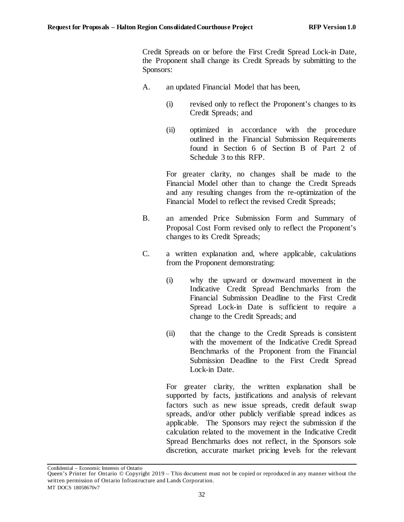Credit Spreads on or before the First Credit Spread Lock-in Date, the Proponent shall change its Credit Spreads by submitting to the Sponsors:

- A. an updated Financial Model that has been,
	- (i) revised only to reflect the Proponent's changes to its Credit Spreads; and
	- (ii) optimized in accordance with the procedure outlined in the Financial Submission Requirements found in Section 6 of Section B of Part 2 of Schedule 3 to this RFP.

For greater clarity, no changes shall be made to the Financial Model other than to change the Credit Spreads and any resulting changes from the re-optimization of the Financial Model to reflect the revised Credit Spreads;

- B. an amended Price Submission Form and Summary of Proposal Cost Form revised only to reflect the Proponent's changes to its Credit Spreads;
- C. a written explanation and, where applicable, calculations from the Proponent demonstrating:
	- (i) why the upward or downward movement in the Indicative Credit Spread Benchmarks from the Financial Submission Deadline to the First Credit Spread Lock-in Date is sufficient to require a change to the Credit Spreads; and
	- (ii) that the change to the Credit Spreads is consistent with the movement of the Indicative Credit Spread Benchmarks of the Proponent from the Financial Submission Deadline to the First Credit Spread Lock-in Date.

For greater clarity, the written explanation shall be supported by facts, justifications and analysis of relevant factors such as new issue spreads, credit default swap spreads, and/or other publicly verifiable spread indices as applicable. The Sponsors may reject the submission if the calculation related to the movement in the Indicative Credit Spread Benchmarks does not reflect, in the Sponsors sole discretion, accurate market pricing levels for the relevant

Queen's Printer for Ontario © Copyright 2019 – This document must not be copied or reproduced in any manner without the written permission of Ontario Infrastructure and Lands Corporation. MT DOCS 18058670v7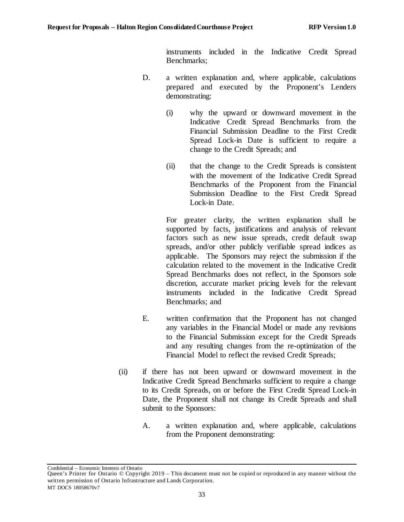instruments included in the Indicative Credit Spread Benchmarks;

- D. a written explanation and, where applicable, calculations prepared and executed by the Proponent's Lenders demonstrating:
	- (i) why the upward or downward movement in the Indicative Credit Spread Benchmarks from the Financial Submission Deadline to the First Credit Spread Lock-in Date is sufficient to require a change to the Credit Spreads; and
	- (ii) that the change to the Credit Spreads is consistent with the movement of the Indicative Credit Spread Benchmarks of the Proponent from the Financial Submission Deadline to the First Credit Spread Lock-in Date.

For greater clarity, the written explanation shall be supported by facts, justifications and analysis of relevant factors such as new issue spreads, credit default swap spreads, and/or other publicly verifiable spread indices as applicable. The Sponsors may reject the submission if the calculation related to the movement in the Indicative Credit Spread Benchmarks does not reflect, in the Sponsors sole discretion, accurate market pricing levels for the relevant instruments included in the Indicative Credit Spread Benchmarks; and

- E. written confirmation that the Proponent has not changed any variables in the Financial Model or made any revisions to the Financial Submission except for the Credit Spreads and any resulting changes from the re-optimization of the Financial Model to reflect the revised Credit Spreads;
- <span id="page-38-0"></span>(ii) if there has not been upward or downward movement in the Indicative Credit Spread Benchmarks sufficient to require a change to its Credit Spreads, on or before the First Credit Spread Lock-in Date, the Proponent shall not change its Credit Spreads and shall submit to the Sponsors:
	- A. a written explanation and, where applicable, calculations from the Proponent demonstrating:

Queen's Printer for Ontario © Copyright 2019 – This document must not be copied or reproduced in any manner without the written permission of Ontario Infrastructure and Lands Corporation. MT DOCS 18058670v7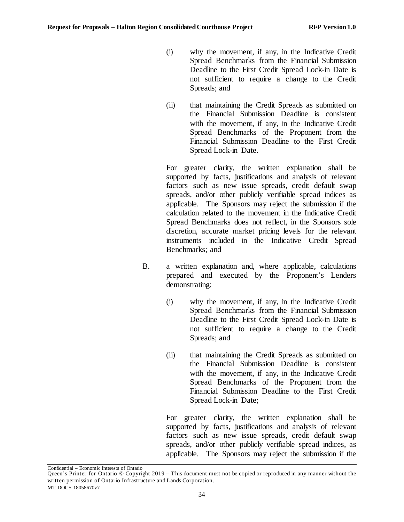- (i) why the movement, if any, in the Indicative Credit Spread Benchmarks from the Financial Submission Deadline to the First Credit Spread Lock-in Date is not sufficient to require a change to the Credit Spreads; and
- (ii) that maintaining the Credit Spreads as submitted on the Financial Submission Deadline is consistent with the movement, if any, in the Indicative Credit Spread Benchmarks of the Proponent from the Financial Submission Deadline to the First Credit Spread Lock-in Date.

For greater clarity, the written explanation shall be supported by facts, justifications and analysis of relevant factors such as new issue spreads, credit default swap spreads, and/or other publicly verifiable spread indices as applicable. The Sponsors may reject the submission if the calculation related to the movement in the Indicative Credit Spread Benchmarks does not reflect, in the Sponsors sole discretion, accurate market pricing levels for the relevant instruments included in the Indicative Credit Spread Benchmarks; and

- B. a written explanation and, where applicable, calculations prepared and executed by the Proponent's Lenders demonstrating:
	- (i) why the movement, if any, in the Indicative Credit Spread Benchmarks from the Financial Submission Deadline to the First Credit Spread Lock-in Date is not sufficient to require a change to the Credit Spreads; and
	- (ii) that maintaining the Credit Spreads as submitted on the Financial Submission Deadline is consistent with the movement, if any, in the Indicative Credit Spread Benchmarks of the Proponent from the Financial Submission Deadline to the First Credit Spread Lock-in Date;

For greater clarity, the written explanation shall be supported by facts, justifications and analysis of relevant factors such as new issue spreads, credit default swap spreads, and/or other publicly verifiable spread indices, as applicable. The Sponsors may reject the submission if the

Queen's Printer for Ontario © Copyright 2019 – This document must not be copied or reproduced in any manner without the written permission of Ontario Infrastructure and Lands Corporation. MT DOCS 18058670v7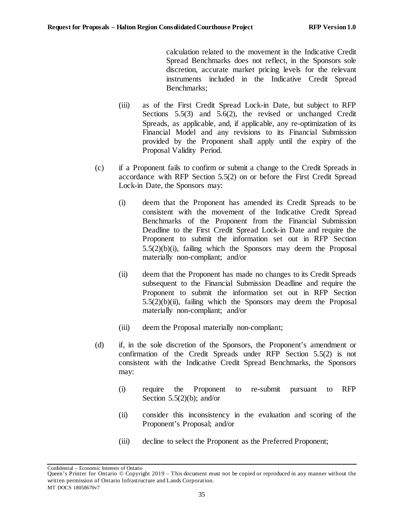calculation related to the movement in the Indicative Credit Spread Benchmarks does not reflect, in the Sponsors sole discretion, accurate market pricing levels for the relevant instruments included in the Indicative Credit Spread Benchmarks;

- (iii) as of the First Credit Spread Lock-in Date, but subject to RFP Sections [5.5\(3\)](#page-41-0) and [5.6\(2\),](#page-52-0) the revised or unchanged Credit Spreads, as applicable, and, if applicable, any re-optimization of its Financial Model and any revisions to its Financial Submission provided by the Proponent shall apply until the expiry of the Proposal Validity Period.
- (c) if a Proponent fails to confirm or submit a change to the Credit Spreads in accordance with RFP Section [5.5\(2\)](#page-36-0) on or before the First Credit Spread Lock-in Date, the Sponsors may:
	- (i) deem that the Proponent has amended its Credit Spreads to be consistent with the movement of the Indicative Credit Spread Benchmarks of the Proponent from the Financial Submission Deadline to the First Credit Spread Lock-in Date and require the Proponent to submit the information set out in RFP Section [5.5\(2\)\(b\)\(i\),](#page-36-1) failing which the Sponsors may deem the Proposal materially non-compliant; and/or
	- (ii) deem that the Proponent has made no changes to its Credit Spreads subsequent to the Financial Submission Deadline and require the Proponent to submit the information set out in RFP Section  $5.5(2)(b)(ii)$ , failing which the Sponsors may deem the Proposal materially non-compliant; and/or
	- (iii) deem the Proposal materially non-compliant;
- (d) if, in the sole discretion of the Sponsors, the Proponent's amendment or confirmation of the Credit Spreads under RFP Section [5.5\(2\)](#page-36-0) is not consistent with the Indicative Credit Spread Benchmarks, the Sponsors may:
	- (i) require the Proponent to re-submit pursuant to RFP Section  $5.5(2)(b)$ ; and/or
	- (ii) consider this inconsistency in the evaluation and scoring of the Proponent's Proposal; and/or
	- (iii) decline to select the Proponent as the Preferred Proponent;

Queen's Printer for Ontario © Copyright 2019 – This document must not be copied or reproduced in any manner without the written permission of Ontario Infrastructure and Lands Corporation. MT DOCS 18058670v7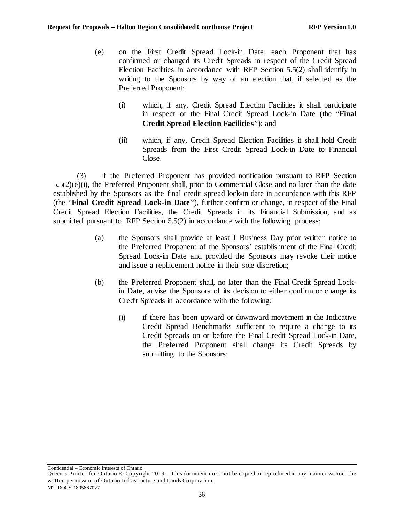- (e) on the First Credit Spread Lock-in Date, each Proponent that has confirmed or changed its Credit Spreads in respect of the Credit Spread Election Facilities in accordance with RFP Sectio[n 5.5\(2\)](#page-36-0) shall identify in writing to the Sponsors by way of an election that, if selected as the Preferred Proponent:
	- (i) which, if any, Credit Spread Election Facilities it shall participate in respect of the Final Credit Spread Lock-in Date (the "**Final Credit Spread Election Facilities**"); and
	- (ii) which, if any, Credit Spread Election Facilities it shall hold Credit Spreads from the First Credit Spread Lock-in Date to Financial Close.

<span id="page-41-1"></span><span id="page-41-0"></span>(3) If the Preferred Proponent has provided notification pursuant to RFP Section [5.5\(2\)\(e\)\(i\),](#page-41-1) the Preferred Proponent shall, prior to Commercial Close and no later than the date established by the Sponsors as the final credit spread lock-in date in accordance with this RFP (the "**Final Credit Spread Lock-in Date**"), further confirm or change, in respect of the Final Credit Spread Election Facilities, the Credit Spreads in its Financial Submission, and as submitted pursuant to RFP Section [5.5\(2\)](#page-36-0) in accordance with the following process:

- (a) the Sponsors shall provide at least 1 Business Day prior written notice to the Preferred Proponent of the Sponsors' establishment of the Final Credit Spread Lock-in Date and provided the Sponsors may revoke their notice and issue a replacement notice in their sole discretion;
- <span id="page-41-2"></span>(b) the Preferred Proponent shall, no later than the Final Credit Spread Lockin Date, advise the Sponsors of its decision to either confirm or change its Credit Spreads in accordance with the following:
	- (i) if there has been upward or downward movement in the Indicative Credit Spread Benchmarks sufficient to require a change to its Credit Spreads on or before the Final Credit Spread Lock-in Date, the Preferred Proponent shall change its Credit Spreads by submitting to the Sponsors:

Queen's Printer for Ontario © Copyright 2019 – This document must not be copied or reproduced in any manner without the written permission of Ontario Infrastructure and Lands Corporation. MT DOCS 18058670v7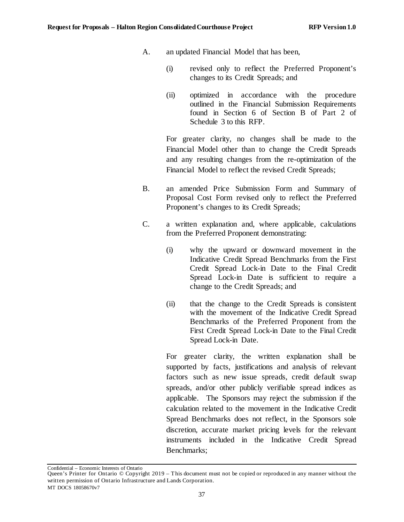- A. an updated Financial Model that has been,
	- (i) revised only to reflect the Preferred Proponent's changes to its Credit Spreads; and
	- (ii) optimized in accordance with the procedure outlined in the Financial Submission Requirements found in Section 6 of Section B of Part 2 of Schedule 3 to this RFP.

For greater clarity, no changes shall be made to the Financial Model other than to change the Credit Spreads and any resulting changes from the re-optimization of the Financial Model to reflect the revised Credit Spreads;

- B. an amended Price Submission Form and Summary of Proposal Cost Form revised only to reflect the Preferred Proponent's changes to its Credit Spreads;
- C. a written explanation and, where applicable, calculations from the Preferred Proponent demonstrating:
	- (i) why the upward or downward movement in the Indicative Credit Spread Benchmarks from the First Credit Spread Lock-in Date to the Final Credit Spread Lock-in Date is sufficient to require a change to the Credit Spreads; and
	- (ii) that the change to the Credit Spreads is consistent with the movement of the Indicative Credit Spread Benchmarks of the Preferred Proponent from the First Credit Spread Lock-in Date to the Final Credit Spread Lock-in Date.

For greater clarity, the written explanation shall be supported by facts, justifications and analysis of relevant factors such as new issue spreads, credit default swap spreads, and/or other publicly verifiable spread indices as applicable. The Sponsors may reject the submission if the calculation related to the movement in the Indicative Credit Spread Benchmarks does not reflect, in the Sponsors sole discretion, accurate market pricing levels for the relevant instruments included in the Indicative Credit Spread Benchmarks;

Queen's Printer for Ontario © Copyright 2019 – This document must not be copied or reproduced in any manner without the written permission of Ontario Infrastructure and Lands Corporation. MT DOCS 18058670v7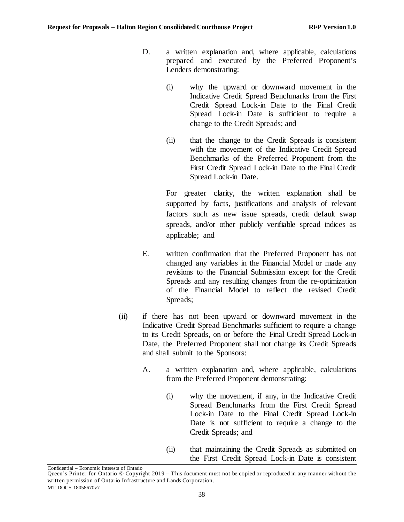- D. a written explanation and, where applicable, calculations prepared and executed by the Preferred Proponent's Lenders demonstrating:
	- (i) why the upward or downward movement in the Indicative Credit Spread Benchmarks from the First Credit Spread Lock-in Date to the Final Credit Spread Lock-in Date is sufficient to require a change to the Credit Spreads; and
	- (ii) that the change to the Credit Spreads is consistent with the movement of the Indicative Credit Spread Benchmarks of the Preferred Proponent from the First Credit Spread Lock-in Date to the Final Credit Spread Lock-in Date.

For greater clarity, the written explanation shall be supported by facts, justifications and analysis of relevant factors such as new issue spreads, credit default swap spreads, and/or other publicly verifiable spread indices as applicable; and

- E. written confirmation that the Preferred Proponent has not changed any variables in the Financial Model or made any revisions to the Financial Submission except for the Credit Spreads and any resulting changes from the re-optimization of the Financial Model to reflect the revised Credit Spreads:
- <span id="page-43-0"></span>(ii) if there has not been upward or downward movement in the Indicative Credit Spread Benchmarks sufficient to require a change to its Credit Spreads, on or before the Final Credit Spread Lock-in Date, the Preferred Proponent shall not change its Credit Spreads and shall submit to the Sponsors:
	- A. a written explanation and, where applicable, calculations from the Preferred Proponent demonstrating:
		- (i) why the movement, if any, in the Indicative Credit Spread Benchmarks from the First Credit Spread Lock-in Date to the Final Credit Spread Lock-in Date is not sufficient to require a change to the Credit Spreads; and
		- (ii) that maintaining the Credit Spreads as submitted on the First Credit Spread Lock-in Date is consistent

Queen's Printer for Ontario © Copyright 2019 – This document must not be copied or reproduced in any manner without the written permission of Ontario Infrastructure and Lands Corporation. MT DOCS 18058670v7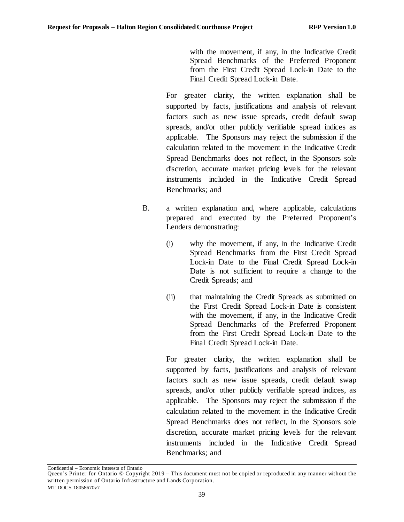with the movement, if any, in the Indicative Credit Spread Benchmarks of the Preferred Proponent from the First Credit Spread Lock-in Date to the Final Credit Spread Lock-in Date.

For greater clarity, the written explanation shall be supported by facts, justifications and analysis of relevant factors such as new issue spreads, credit default swap spreads, and/or other publicly verifiable spread indices as applicable. The Sponsors may reject the submission if the calculation related to the movement in the Indicative Credit Spread Benchmarks does not reflect, in the Sponsors sole discretion, accurate market pricing levels for the relevant instruments included in the Indicative Credit Spread Benchmarks; and

- B. a written explanation and, where applicable, calculations prepared and executed by the Preferred Proponent's Lenders demonstrating:
	- (i) why the movement, if any, in the Indicative Credit Spread Benchmarks from the First Credit Spread Lock-in Date to the Final Credit Spread Lock-in Date is not sufficient to require a change to the Credit Spreads; and
	- (ii) that maintaining the Credit Spreads as submitted on the First Credit Spread Lock-in Date is consistent with the movement, if any, in the Indicative Credit Spread Benchmarks of the Preferred Proponent from the First Credit Spread Lock-in Date to the Final Credit Spread Lock-in Date.

For greater clarity, the written explanation shall be supported by facts, justifications and analysis of relevant factors such as new issue spreads, credit default swap spreads, and/or other publicly verifiable spread indices, as applicable. The Sponsors may reject the submission if the calculation related to the movement in the Indicative Credit Spread Benchmarks does not reflect, in the Sponsors sole discretion, accurate market pricing levels for the relevant instruments included in the Indicative Credit Spread Benchmarks; and

Queen's Printer for Ontario © Copyright 2019 – This document must not be copied or reproduced in any manner without the written permission of Ontario Infrastructure and Lands Corporation. MT DOCS 18058670v7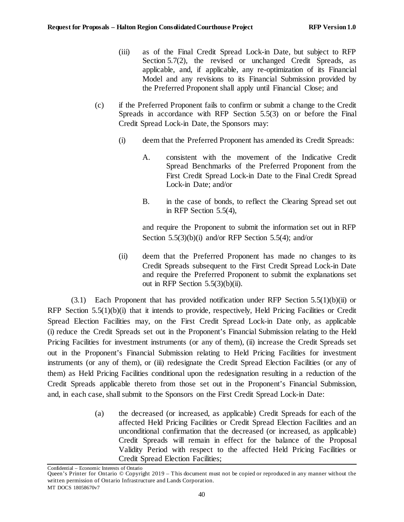- (iii) as of the Final Credit Spread Lock-in Date, but subject to RFP Section [5.7\(2\),](#page-53-0) the revised or unchanged Credit Spreads, as applicable, and, if applicable, any re-optimization of its Financial Model and any revisions to its Financial Submission provided by the Preferred Proponent shall apply until Financial Close; and
- (c) if the Preferred Proponent fails to confirm or submit a change to the Credit Spreads in accordance with RFP Section [5.5\(3\)](#page-41-0) on or before the Final Credit Spread Lock-in Date, the Sponsors may:
	- (i) deem that the Preferred Proponent has amended its Credit Spreads:
		- A. consistent with the movement of the Indicative Credit Spread Benchmarks of the Preferred Proponent from the First Credit Spread Lock-in Date to the Final Credit Spread Lock-in Date; and/or
		- B. in the case of bonds, to reflect the Clearing Spread set out in RFP Section [5.5\(4\),](#page-47-0)

and require the Proponent to submit the information set out in RFP Section [5.5\(3\)\(b\)\(i\)](#page-41-2) and/or RFP Section [5.5\(4\);](#page-47-0) and/or

(ii) deem that the Preferred Proponent has made no changes to its Credit Spreads subsequent to the First Credit Spread Lock-in Date and require the Preferred Proponent to submit the explanations set out in RFP Section  $5.5(3)(b)(ii)$ .

 $(3.1)$  Each Proponent that has provided notification under RFP Sectio[n 5.5\(1\)\(b\)\(ii\)](#page-36-3) or RFP Section [5.5\(1\)\(b\)\(i\)](#page-35-1) that it intends to provide, respectively, Held Pricing Facilities or Credit Spread Election Facilities may, on the First Credit Spread Lock-in Date only, as applicable (i) reduce the Credit Spreads set out in the Proponent's Financial Submission relating to the Held Pricing Facilities for investment instruments (or any of them), (ii) increase the Credit Spreads set out in the Proponent's Financial Submission relating to Held Pricing Facilities for investment instruments (or any of them), or (iii) redesignate the Credit Spread Election Facilities (or any of them) as Held Pricing Facilities conditional upon the redesignation resulting in a reduction of the Credit Spreads applicable thereto from those set out in the Proponent's Financial Submission, and, in each case, shall submit to the Sponsors on the First Credit Spread Lock-in Date:

> (a) the decreased (or increased, as applicable) Credit Spreads for each of the affected Held Pricing Facilities or Credit Spread Election Facilities and an unconditional confirmation that the decreased (or increased, as applicable) Credit Spreads will remain in effect for the balance of the Proposal Validity Period with respect to the affected Held Pricing Facilities or Credit Spread Election Facilities;

Queen's Printer for Ontario © Copyright 2019 – This document must not be copied or reproduced in any manner without the written permission of Ontario Infrastructure and Lands Corporation. MT DOCS 18058670v7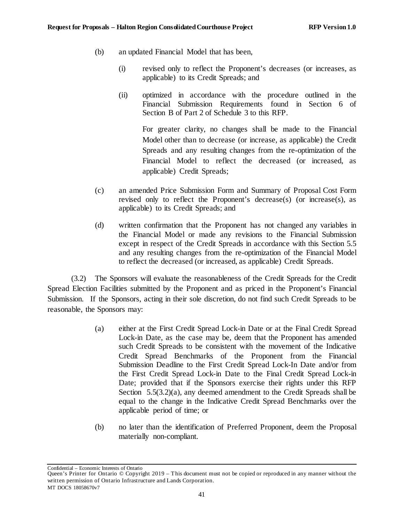- (b) an updated Financial Model that has been,
	- (i) revised only to reflect the Proponent's decreases (or increases, as applicable) to its Credit Spreads; and
	- (ii) optimized in accordance with the procedure outlined in the Financial Submission Requirements found in Section 6 of Section B of Part 2 of Schedule 3 to this RFP.

For greater clarity, no changes shall be made to the Financial Model other than to decrease (or increase, as applicable) the Credit Spreads and any resulting changes from the re-optimization of the Financial Model to reflect the decreased (or increased, as applicable) Credit Spreads;

- (c) an amended Price Submission Form and Summary of Proposal Cost Form revised only to reflect the Proponent's decrease(s) (or increase(s), as applicable) to its Credit Spreads; and
- (d) written confirmation that the Proponent has not changed any variables in the Financial Model or made any revisions to the Financial Submission except in respect of the Credit Spreads in accordance with this Section 5.5 and any resulting changes from the re-optimization of the Financial Model to reflect the decreased (or increased, as applicable) Credit Spreads.

(3.2) The Sponsors will evaluate the reasonableness of the Credit Spreads for the Credit Spread Election Facilities submitted by the Proponent and as priced in the Proponent's Financial Submission. If the Sponsors, acting in their sole discretion, do not find such Credit Spreads to be reasonable, the Sponsors may:

- <span id="page-46-0"></span>(a) either at the First Credit Spread Lock-in Date or at the Final Credit Spread Lock-in Date, as the case may be, deem that the Proponent has amended such Credit Spreads to be consistent with the movement of the Indicative Credit Spread Benchmarks of the Proponent from the Financial Submission Deadline to the First Credit Spread Lock-In Date and/or from the First Credit Spread Lock-in Date to the Final Credit Spread Lock-in Date; provided that if the Sponsors exercise their rights under this RFP Section [5.5\(3.2\)](#page-35-0)[\(a\),](#page-46-0) any deemed amendment to the Credit Spreads shall be equal to the change in the Indicative Credit Spread Benchmarks over the applicable period of time; or
- (b) no later than the identification of Preferred Proponent, deem the Proposal materially non-compliant.

Queen's Printer for Ontario © Copyright 2019 – This document must not be copied or reproduced in any manner without the written permission of Ontario Infrastructure and Lands Corporation. MT DOCS 18058670v7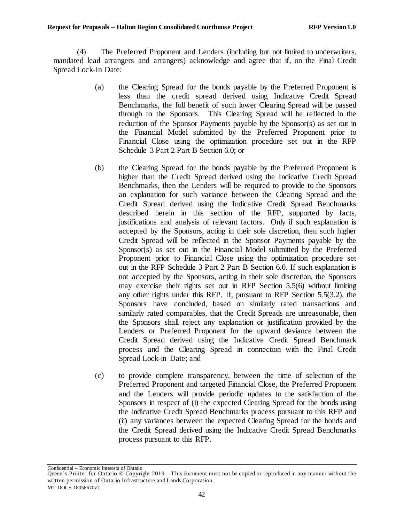<span id="page-47-0"></span>(4) The Preferred Proponent and Lenders (including but not limited to underwriters, mandated lead arrangers and arrangers) acknowledge and agree that if, on the Final Credit Spread Lock-In Date:

- (a) the Clearing Spread for the bonds payable by the Preferred Proponent is less than the credit spread derived using Indicative Credit Spread Benchmarks, the full benefit of such lower Clearing Spread will be passed through to the Sponsors. This Clearing Spread will be reflected in the reduction of the Sponsor Payments payable by the Sponsor(s) as set out in the Financial Model submitted by the Preferred Proponent prior to Financial Close using the optimization procedure set out in the RFP Schedule 3 Part 2 Part B Section 6.0; or
- (b) the Clearing Spread for the bonds payable by the Preferred Proponent is higher than the Credit Spread derived using the Indicative Credit Spread Benchmarks, then the Lenders will be required to provide to the Sponsors an explanation for such variance between the Clearing Spread and the Credit Spread derived using the Indicative Credit Spread Benchmarks described herein in this section of the RFP, supported by facts, justifications and analysis of relevant factors. Only if such explanation is accepted by the Sponsors, acting in their sole discretion, then such higher Credit Spread will be reflected in the Sponsor Payments payable by the Sponsor(s) as set out in the Financial Model submitted by the Preferred Proponent prior to Financial Close using the optimization procedure set out in the RFP Schedule 3 Part 2 Part B Section 6.0. If such explanation is not accepted by the Sponsors, acting in their sole discretion, the Sponsors may exercise their rights set out in RFP Sectio[n 5.5\(6\)](#page-48-0) without limiting any other rights under this RFP. If, pursuant to RFP Section [5.5\(3.2\),](#page-35-0) the Sponsors have concluded, based on similarly rated transactions and similarly rated comparables, that the Credit Spreads are unreasonable, then the Sponsors shall reject any explanation or justification provided by the Lenders or Preferred Proponent for the upward deviance between the Credit Spread derived using the Indicative Credit Spread Benchmark process and the Clearing Spread in connection with the Final Credit Spread Lock-in Date; and
- (c) to provide complete transparency, between the time of selection of the Preferred Proponent and targeted Financial Close, the Preferred Proponent and the Lenders will provide periodic updates to the satisfaction of the Sponsors in respect of (i) the expected Clearing Spread for the bonds using the Indicative Credit Spread Benchmarks process pursuant to this RFP and (ii) any variances between the expected Clearing Spread for the bonds and the Credit Spread derived using the Indicative Credit Spread Benchmarks process pursuant to this RFP.

Queen's Printer for Ontario © Copyright 2019 – This document must not be copied or reproduced in any manner without the written permission of Ontario Infrastructure and Lands Corporation. MT DOCS 18058670v7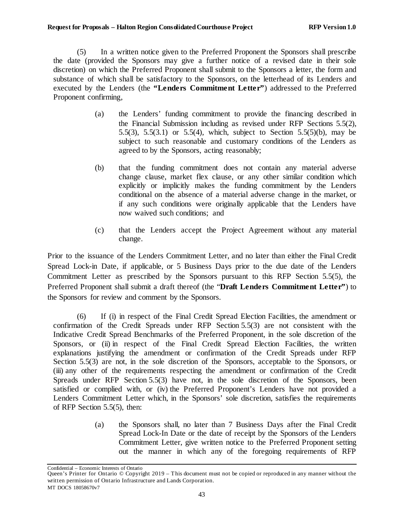<span id="page-48-2"></span>(5) In a written notice given to the Preferred Proponent the Sponsors shall prescribe the date (provided the Sponsors may give a further notice of a revised date in their sole discretion) on which the Preferred Proponent shall submit to the Sponsors a letter, the form and substance of which shall be satisfactory to the Sponsors, on the letterhead of its Lenders and executed by the Lenders (the **"Lenders Commitment Letter"**) addressed to the Preferred Proponent confirming,

- (a) the Lenders' funding commitment to provide the financing described in the Financial Submission including as revised under RFP Sections [5.5\(2\),](#page-36-0) [5.5\(3\),](#page-41-0) [5.5\(3.1\)](#page-35-0) or [5.5\(4\),](#page-47-0) which, subject to Section [5.5\(5\)\(b\),](#page-48-1) may be subject to such reasonable and customary conditions of the Lenders as agreed to by the Sponsors, acting reasonably;
- <span id="page-48-1"></span>(b) that the funding commitment does not contain any material adverse change clause, market flex clause, or any other similar condition which explicitly or implicitly makes the funding commitment by the Lenders conditional on the absence of a material adverse change in the market, or if any such conditions were originally applicable that the Lenders have now waived such conditions; and
- (c) that the Lenders accept the Project Agreement without any material change.

Prior to the issuance of the Lenders Commitment Letter, and no later than either the Final Credit Spread Lock-in Date, if applicable, or 5 Business Days prior to the due date of the Lenders Commitment Letter as prescribed by the Sponsors pursuant to this RFP Section [5.5\(5\),](#page-48-2) the Preferred Proponent shall submit a draft thereof (the "**Draft Lenders Commitment Letter"**) to the Sponsors for review and comment by the Sponsors.

<span id="page-48-0"></span>(6) If (i) in respect of the Final Credit Spread Election Facilities, the amendment or confirmation of the Credit Spreads under RFP Section [5.5\(3\)](#page-41-0) are not consistent with the Indicative Credit Spread Benchmarks of the Preferred Proponent, in the sole discretion of the Sponsors, or (ii) in respect of the Final Credit Spread Election Facilities, the written explanations justifying the amendment or confirmation of the Credit Spreads under RFP Section [5.5\(3\)](#page-41-0) are not, in the sole discretion of the Sponsors, acceptable to the Sponsors, or (iii) any other of the requirements respecting the amendment or confirmation of the Credit Spreads under RFP Section [5.5\(3\)](#page-41-0) have not, in the sole discretion of the Sponsors, been satisfied or complied with, or (iv) the Preferred Proponent's Lenders have not provided a Lenders Commitment Letter which, in the Sponsors' sole discretion, satisfies the requirements of RFP Section [5.5\(5\),](#page-48-2) then:

> (a) the Sponsors shall, no later than 7 Business Days after the Final Credit Spread Lock-In Date or the date of receipt by the Sponsors of the Lenders Commitment Letter, give written notice to the Preferred Proponent setting out the manner in which any of the foregoing requirements of RFP

Queen's Printer for Ontario © Copyright 2019 – This document must not be copied or reproduced in any manner without the written permission of Ontario Infrastructure and Lands Corporation. MT DOCS 18058670v7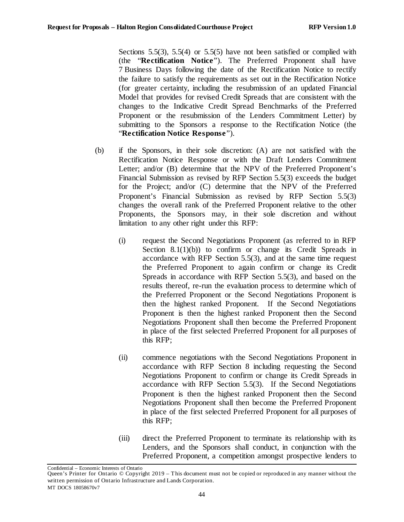Sections [5.5\(3\),](#page-41-0) [5.5\(4\)](#page-47-0) or [5.5\(5\)](#page-48-2) have not been satisfied or complied with (the "**Rectification Notice**"). The Preferred Proponent shall have 7 Business Days following the date of the Rectification Notice to rectify the failure to satisfy the requirements as set out in the Rectification Notice (for greater certainty, including the resubmission of an updated Financial Model that provides for revised Credit Spreads that are consistent with the changes to the Indicative Credit Spread Benchmarks of the Preferred Proponent or the resubmission of the Lenders Commitment Letter) by submitting to the Sponsors a response to the Rectification Notice (the "**Rectification Notice Response**").

- <span id="page-49-1"></span><span id="page-49-0"></span>(b) if the Sponsors, in their sole discretion: (A) are not satisfied with the Rectification Notice Response or with the Draft Lenders Commitment Letter; and/or (B) determine that the NPV of the Preferred Proponent's Financial Submission as revised by RFP Section [5.5\(3\)](#page-41-0) exceeds the budget for the Project; and/or (C) determine that the NPV of the Preferred Proponent's Financial Submission as revised by RFP Section [5.5\(3\)](#page-41-0) changes the overall rank of the Preferred Proponent relative to the other Proponents, the Sponsors may, in their sole discretion and without limitation to any other right under this RFP:
	- (i) request the Second Negotiations Proponent (as referred to in RFP Section  $8.1(1)(b)$  to confirm or change its Credit Spreads in accordance with RFP Section [5.5\(3\),](#page-41-0) and at the same time request the Preferred Proponent to again confirm or change its Credit Spreads in accordance with RFP Section [5.5\(3\),](#page-41-0) and based on the results thereof, re-run the evaluation process to determine which of the Preferred Proponent or the Second Negotiations Proponent is then the highest ranked Proponent. If the Second Negotiations Proponent is then the highest ranked Proponent then the Second Negotiations Proponent shall then become the Preferred Proponent in place of the first selected Preferred Proponent for all purposes of this RFP;
	- (ii) commence negotiations with the Second Negotiations Proponent in accordance with RFP [Section 8](#page-61-2) including requesting the Second Negotiations Proponent to confirm or change its Credit Spreads in accordance with RFP Section [5.5\(3\).](#page-41-0) If the Second Negotiations Proponent is then the highest ranked Proponent then the Second Negotiations Proponent shall then become the Preferred Proponent in place of the first selected Preferred Proponent for all purposes of this RFP;
	- (iii) direct the Preferred Proponent to terminate its relationship with its Lenders, and the Sponsors shall conduct, in conjunction with the Preferred Proponent, a competition amongst prospective lenders to

<span id="page-49-2"></span>Queen's Printer for Ontario © Copyright 2019 – This document must not be copied or reproduced in any manner without the written permission of Ontario Infrastructure and Lands Corporation. MT DOCS 18058670v7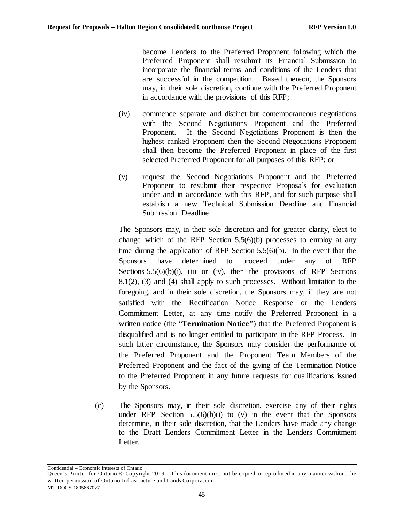become Lenders to the Preferred Proponent following which the Preferred Proponent shall resubmit its Financial Submission to incorporate the financial terms and conditions of the Lenders that are successful in the competition. Based thereon, the Sponsors may, in their sole discretion, continue with the Preferred Proponent in accordance with the provisions of this RFP;

- <span id="page-50-0"></span>(iv) commence separate and distinct but contemporaneous negotiations with the Second Negotiations Proponent and the Preferred Proponent. If the Second Negotiations Proponent is then the highest ranked Proponent then the Second Negotiations Proponent shall then become the Preferred Proponent in place of the first selected Preferred Proponent for all purposes of this RFP; or
- <span id="page-50-1"></span>(v) request the Second Negotiations Proponent and the Preferred Proponent to resubmit their respective Proposals for evaluation under and in accordance with this RFP, and for such purpose shall establish a new Technical Submission Deadline and Financial Submission Deadline.

The Sponsors may, in their sole discretion and for greater clarity, elect to change which of the RFP Section [5.5\(6\)\(b\)](#page-49-0) processes to employ at any time during the application of RFP Section [5.5\(6\)\(b\).](#page-49-0) In the event that the Sponsors have determined to proceed under any of RFP Sections  $5.5(6)(b)(i)$ , [\(ii\)](#page-49-2) or [\(iv\),](#page-50-0) then the provisions of RFP Sections [8.1\(2\),](#page-61-3) [\(3\)](#page-62-0) and [\(4\)](#page-62-1) shall apply to such processes. Without limitation to the foregoing, and in their sole discretion, the Sponsors may, if they are not satisfied with the Rectification Notice Response or the Lenders Commitment Letter, at any time notify the Preferred Proponent in a written notice (the "**Termination Notice**") that the Preferred Proponent is disqualified and is no longer entitled to participate in the RFP Process. In such latter circumstance, the Sponsors may consider the performance of the Preferred Proponent and the Proponent Team Members of the Preferred Proponent and the fact of the giving of the Termination Notice to the Preferred Proponent in any future requests for qualifications issued by the Sponsors.

(c) The Sponsors may, in their sole discretion, exercise any of their rights under RFP Section  $5.5(6)(b)(i)$  to [\(v\)](#page-50-1) in the event that the Sponsors determine, in their sole discretion, that the Lenders have made any change to the Draft Lenders Commitment Letter in the Lenders Commitment Letter.

Queen's Printer for Ontario © Copyright 2019 – This document must not be copied or reproduced in any manner without the written permission of Ontario Infrastructure and Lands Corporation. MT DOCS 18058670v7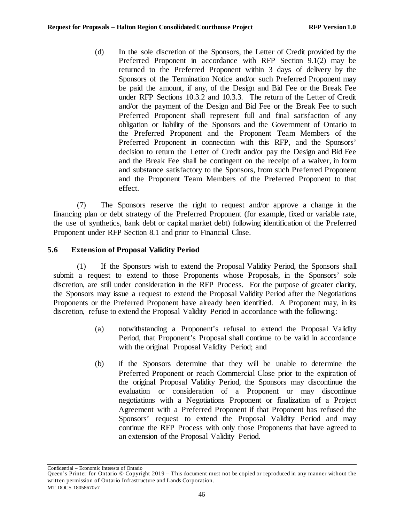(d) In the sole discretion of the Sponsors, the Letter of Credit provided by the Preferred Proponent in accordance with RFP Section [9.1\(2\)](#page-62-2) may be returned to the Preferred Proponent within 3 days of delivery by the Sponsors of the Termination Notice and/or such Preferred Proponent may be paid the amount, if any, of the Design and Bid Fee or the Break Fee under RFP Sections [10.3.2](#page-69-0) and [10.3.3.](#page-71-0) The return of the Letter of Credit and/or the payment of the Design and Bid Fee or the Break Fee to such Preferred Proponent shall represent full and final satisfaction of any obligation or liability of the Sponsors and the Government of Ontario to the Preferred Proponent and the Proponent Team Members of the Preferred Proponent in connection with this RFP, and the Sponsors' decision to return the Letter of Credit and/or pay the Design and Bid Fee and the Break Fee shall be contingent on the receipt of a waiver, in form and substance satisfactory to the Sponsors, from such Preferred Proponent and the Proponent Team Members of the Preferred Proponent to that effect.

(7) The Sponsors reserve the right to request and/or approve a change in the financing plan or debt strategy of the Preferred Proponent (for example, fixed or variable rate, the use of synthetics, bank debt or capital market debt) following identification of the Preferred Proponent under RFP Section [8.1](#page-61-0) and prior to Financial Close.

# **5.6 Extension of Proposal Validity Period**

<span id="page-51-0"></span>(1) If the Sponsors wish to extend the Proposal Validity Period, the Sponsors shall submit a request to extend to those Proponents whose Proposals, in the Sponsors' sole discretion, are still under consideration in the RFP Process. For the purpose of greater clarity, the Sponsors may issue a request to extend the Proposal Validity Period after the Negotiations Proponents or the Preferred Proponent have already been identified. A Proponent may, in its discretion, refuse to extend the Proposal Validity Period in accordance with the following:

- (a) notwithstanding a Proponent's refusal to extend the Proposal Validity Period, that Proponent's Proposal shall continue to be valid in accordance with the original Proposal Validity Period; and
- (b) if the Sponsors determine that they will be unable to determine the Preferred Proponent or reach Commercial Close prior to the expiration of the original Proposal Validity Period, the Sponsors may discontinue the evaluation or consideration of a Proponent or may discontinue negotiations with a Negotiations Proponent or finalization of a Project Agreement with a Preferred Proponent if that Proponent has refused the Sponsors' request to extend the Proposal Validity Period and may continue the RFP Process with only those Proponents that have agreed to an extension of the Proposal Validity Period.

Queen's Printer for Ontario © Copyright 2019 – This document must not be copied or reproduced in any manner without the written permission of Ontario Infrastructure and Lands Corporation. MT DOCS 18058670v7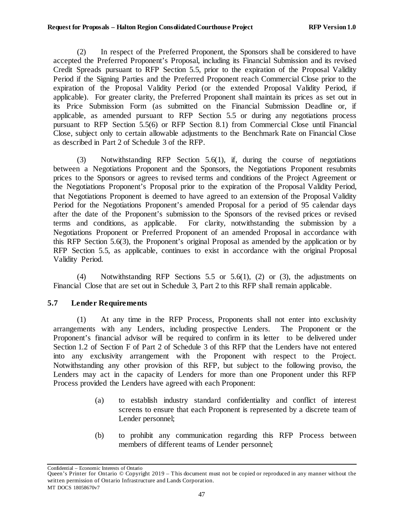<span id="page-52-0"></span>(2) In respect of the Preferred Proponent, the Sponsors shall be considered to have accepted the Preferred Proponent's Proposal, including its Financial Submission and its revised Credit Spreads pursuant to RFP Sectio[n 5.5](#page-35-0), prior to the expiration of the Proposal Validity Period if the Signing Parties and the Preferred Proponent reach Commercial Close prior to the expiration of the Proposal Validity Period (or the extended Proposal Validity Period, if applicable). For greater clarity, the Preferred Proponent shall maintain its prices as set out in its Price Submission Form (as submitted on the Financial Submission Deadline or, if applicable, as amended pursuant to RFP Section [5.5](#page-35-0) or during any negotiations process pursuant to RFP Sectio[n 5.5\(6\)](#page-48-0) or RFP Sectio[n 8.1](#page-61-0)) from Commercial Close until Financial Close, subject only to certain allowable adjustments to the Benchmark Rate on Financial Close as described in Part 2 of Schedule 3 of the RFP.

<span id="page-52-1"></span>(3) Notwithstanding RFP Section [5.6\(1\),](#page-51-0) if, during the course of negotiations between a Negotiations Proponent and the Sponsors, the Negotiations Proponent resubmits prices to the Sponsors or agrees to revised terms and conditions of the Project Agreement or the Negotiations Proponent's Proposal prior to the expiration of the Proposal Validity Period, that Negotiations Proponent is deemed to have agreed to an extension of the Proposal Validity Period for the Negotiations Proponent's amended Proposal for a period of 95 calendar days after the date of the Proponent's submission to the Sponsors of the revised prices or revised terms and conditions, as applicable. For clarity, notwithstanding the submission by a Negotiations Proponent or Preferred Proponent of an amended Proposal in accordance with this RFP Section [5.6\(3\),](#page-52-1) the Proponent's original Proposal as amended by the application or by RFP Section [5.5,](#page-35-0) as applicable, continues to exist in accordance with the original Proposal Validity Period.

(4) Notwithstanding RFP Sections [5.5](#page-35-0) or [5.6\(1\),](#page-51-0) [\(2\)](#page-52-0) or [\(3\),](#page-52-1) the adjustments on Financial Close that are set out in Schedule 3, Part 2 to this RFP shall remain applicable.

# **5.7 Lender Requirements**

(1) At any time in the RFP Process, Proponents shall not enter into exclusivity arrangements with any Lenders, including prospective Lenders. The Proponent or the Proponent's financial advisor will be required to confirm in its letter to be delivered under Section 1.2 of Section F of Part 2 of Schedule 3 of this RFP that the Lenders have not entered into any exclusivity arrangement with the Proponent with respect to the Project. Notwithstanding any other provision of this RFP, but subject to the following proviso, the Lenders may act in the capacity of Lenders for more than one Proponent under this RFP Process provided the Lenders have agreed with each Proponent:

- (a) to establish industry standard confidentiality and conflict of interest screens to ensure that each Proponent is represented by a discrete team of Lender personnel;
- (b) to prohibit any communication regarding this RFP Process between members of different teams of Lender personnel;

Queen's Printer for Ontario © Copyright 2019 – This document must not be copied or reproduced in any manner without the written permission of Ontario Infrastructure and Lands Corporation. MT DOCS 18058670v7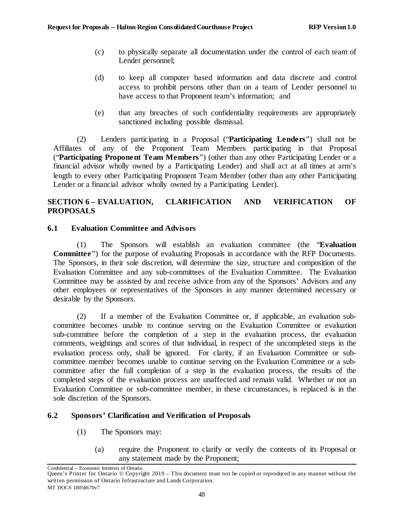- (c) to physically separate all documentation under the control of each team of Lender personnel;
- (d) to keep all computer based information and data discrete and control access to prohibit persons other than on a team of Lender personnel to have access to that Proponent team's information; and
- (e) that any breaches of such confidentiality requirements are appropriately sanctioned including possible dismissal.

<span id="page-53-0"></span>(2) Lenders participating in a Proposal ("**Participating Lenders**") shall not be Affiliates of any of the Proponent Team Members participating in that Proposal ("**Participating Proponent Team Members**") (other than any other Participating Lender or a financial advisor wholly owned by a Participating Lender) and shall act at all times at arm's length to every other Participating Proponent Team Member (other than any other Participating Lender or a financial advisor wholly owned by a Participating Lender).

# **SECTION 6 – EVALUATION, CLARIFICATION AND VERIFICATION OF PROPOSALS**

## **6.1 Evaluation Committee and Advisors**

(1) The Sponsors will establish an evaluation committee (the "**Evaluation Committee**") for the purpose of evaluating Proposals in accordance with the RFP Documents. The Sponsors, in their sole discretion, will determine the size, structure and composition of the Evaluation Committee and any sub-committees of the Evaluation Committee. The Evaluation Committee may be assisted by and receive advice from any of the Sponsors' Advisors and any other employees or representatives of the Sponsors in any manner determined necessary or desirable by the Sponsors.

(2) If a member of the Evaluation Committee or, if applicable, an evaluation subcommittee becomes unable to continue serving on the Evaluation Committee or evaluation sub-committee before the completion of a step in the evaluation process, the evaluation comments, weightings and scores of that individual, in respect of the uncompleted steps in the evaluation process only, shall be ignored. For clarity, if an Evaluation Committee or subcommittee member becomes unable to continue serving on the Evaluation Committee or a subcommittee after the full completion of a step in the evaluation process, the results of the completed steps of the evaluation process are unaffected and remain valid. Whether or not an Evaluation Committee or sub-committee member, in these circumstances, is replaced is in the sole discretion of the Sponsors.

## **6.2 Sponsors' Clarification and Verification of Proposals**

- (1) The Sponsors may:
	- (a) require the Proponent to clarify or verify the contents of its Proposal or any statement made by the Proponent;

Confidential – Economic Interests of Ontario

Queen's Printer for Ontario © Copyright 2019 – This document must not be copied or reproduced in any manner without the written permission of Ontario Infrastructure and Lands Corporation. MT DOCS 18058670v7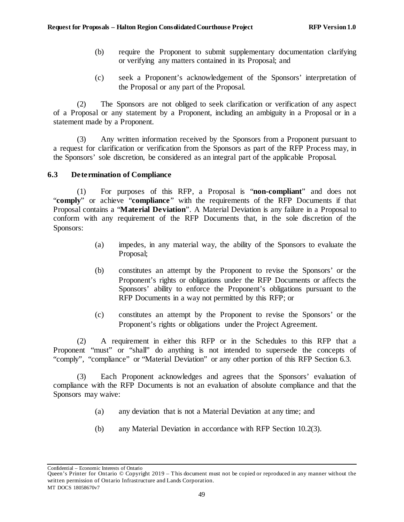- (b) require the Proponent to submit supplementary documentation clarifying or verifying any matters contained in its Proposal; and
- (c) seek a Proponent's acknowledgement of the Sponsors' interpretation of the Proposal or any part of the Proposal.

(2) The Sponsors are not obliged to seek clarification or verification of any aspect of a Proposal or any statement by a Proponent, including an ambiguity in a Proposal or in a statement made by a Proponent.

(3) Any written information received by the Sponsors from a Proponent pursuant to a request for clarification or verification from the Sponsors as part of the RFP Process may, in the Sponsors' sole discretion, be considered as an integral part of the applicable Proposal.

## <span id="page-54-0"></span>**6.3 Determination of Compliance**

<span id="page-54-2"></span>(1) For purposes of this RFP, a Proposal is "**non-compliant**" and does not "**comply**" or achieve "**compliance**" with the requirements of the RFP Documents if that Proposal contains a "**Material Deviation**". A Material Deviation is any failure in a Proposal to conform with any requirement of the RFP Documents that, in the sole discretion of the Sponsors:

- (a) impedes, in any material way, the ability of the Sponsors to evaluate the Proposal;
- (b) constitutes an attempt by the Proponent to revise the Sponsors' or the Proponent's rights or obligations under the RFP Documents or affects the Sponsors' ability to enforce the Proponent's obligations pursuant to the RFP Documents in a way not permitted by this RFP; or
- (c) constitutes an attempt by the Proponent to revise the Sponsors' or the Proponent's rights or obligations under the Project Agreement.

(2) A requirement in either this RFP or in the Schedules to this RFP that a Proponent "must" or "shall" do anything is not intended to supersede the concepts of "comply", "compliance" or "Material Deviation" or any other portion of this RFP Section [6.3.](#page-54-0)

(3) Each Proponent acknowledges and agrees that the Sponsors' evaluation of compliance with the RFP Documents is not an evaluation of absolute compliance and that the Sponsors may waive:

- (a) any deviation that is not a Material Deviation at any time; and
- (b) any Material Deviation in accordance with RFP Section [10.2\(3\).](#page-69-1)

<span id="page-54-1"></span>Confidential – Economic Interests of Ontario

Queen's Printer for Ontario © Copyright 2019 – This document must not be copied or reproduced in any manner without the written permission of Ontario Infrastructure and Lands Corporation. MT DOCS 18058670v7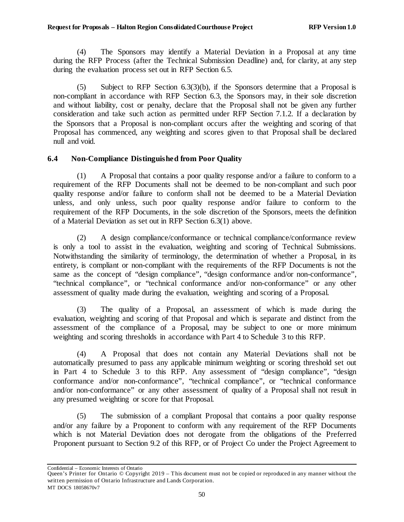(4) The Sponsors may identify a Material Deviation in a Proposal at any time during the RFP Process (after the Technical Submission Deadline) and, for clarity, at any step during the evaluation process set out in RFP Section [6.5.](#page-56-0)

<span id="page-55-0"></span>(5) Subject to RFP Section [6.3\(3\)\(b\),](#page-54-1) if the Sponsors determine that a Proposal is non-compliant in accordance with RFP Sectio[n 6.3,](#page-54-0) the Sponsors may, in their sole discretion and without liability, cost or penalty, declare that the Proposal shall not be given any further consideration and take such action as permitted under RFP Section [7.1.2.](#page-59-0) If a declaration by the Sponsors that a Proposal is non-compliant occurs after the weighting and scoring of that Proposal has commenced, any weighting and scores given to that Proposal shall be declared null and void.

## **6.4 Non-Compliance Distinguished from Poor Quality**

(1) A Proposal that contains a poor quality response and/or a failure to conform to a requirement of the RFP Documents shall not be deemed to be non-compliant and such poor quality response and/or failure to conform shall not be deemed to be a Material Deviation unless, and only unless, such poor quality response and/or failure to conform to the requirement of the RFP Documents, in the sole discretion of the Sponsors, meets the definition of a Material Deviation as set out in RFP Section [6.3\(1\)](#page-54-2) above.

(2) A design compliance/conformance or technical compliance/conformance review is only a tool to assist in the evaluation, weighting and scoring of Technical Submissions. Notwithstanding the similarity of terminology, the determination of whether a Proposal, in its entirety, is compliant or non-compliant with the requirements of the RFP Documents is not the same as the concept of "design compliance", "design conformance and/or non-conformance", "technical compliance", or "technical conformance and/or non-conformance" or any other assessment of quality made during the evaluation, weighting and scoring of a Proposal.

(3) The quality of a Proposal, an assessment of which is made during the evaluation, weighting and scoring of that Proposal and which is separate and distinct from the assessment of the compliance of a Proposal, may be subject to one or more minimum weighting and scoring thresholds in accordance with Part 4 to Schedule 3 to this RFP.

(4) A Proposal that does not contain any Material Deviations shall not be automatically presumed to pass any applicable minimum weighting or scoring threshold set out in Part 4 to Schedule 3 to this RFP. Any assessment of "design compliance", "design conformance and/or non-conformance", "technical compliance", or "technical conformance and/or non-conformance" or any other assessment of quality of a Proposal shall not result in any presumed weighting or score for that Proposal.

(5) The submission of a compliant Proposal that contains a poor quality response and/or any failure by a Proponent to conform with any requirement of the RFP Documents which is not Material Deviation does not derogate from the obligations of the Preferred Proponent pursuant to Section [9.2](#page-64-0) of this RFP, or of Project Co under the Project Agreement to

Queen's Printer for Ontario © Copyright 2019 – This document must not be copied or reproduced in any manner without the written permission of Ontario Infrastructure and Lands Corporation. MT DOCS 18058670v7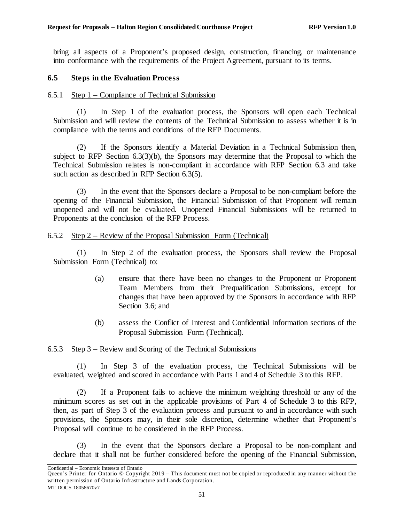bring all aspects of a Proponent's proposed design, construction, financing, or maintenance into conformance with the requirements of the Project Agreement, pursuant to its terms.

### <span id="page-56-0"></span>**6.5 Steps in the Evaluation Process**

#### 6.5.1 Step 1 – Compliance of Technical Submission

(1) In Step 1 of the evaluation process, the Sponsors will open each Technical Submission and will review the contents of the Technical Submission to assess whether it is in compliance with the terms and conditions of the RFP Documents.

(2) If the Sponsors identify a Material Deviation in a Technical Submission then, subject to RFP Section [6.3\(3\)\(b\),](#page-54-1) the Sponsors may determine that the Proposal to which the Technical Submission relates is non-compliant in accordance with RFP Section [6.3](#page-54-0) and take such action as described in RFP Section [6.3\(5\).](#page-55-0)

(3) In the event that the Sponsors declare a Proposal to be non-compliant before the opening of the Financial Submission, the Financial Submission of that Proponent will remain unopened and will not be evaluated. Unopened Financial Submissions will be returned to Proponents at the conclusion of the RFP Process.

#### 6.5.2 Step 2 – Review of the Proposal Submission Form (Technical)

(1) In Step 2 of the evaluation process, the Sponsors shall review the Proposal Submission Form (Technical) to:

- (a) ensure that there have been no changes to the Proponent or Proponent Team Members from their Prequalification Submissions, except for changes that have been approved by the Sponsors in accordance with RFP Section [3.6;](#page-20-0) and
- (b) assess the Conflict of Interest and Confidential Information sections of the Proposal Submission Form (Technical).

#### 6.5.3 Step 3 – Review and Scoring of the Technical Submissions

(1) In Step 3 of the evaluation process, the Technical Submissions will be evaluated, weighted and scored in accordance with Parts 1 and 4 of Schedule 3 to this RFP.

(2) If a Proponent fails to achieve the minimum weighting threshold or any of the minimum scores as set out in the applicable provisions of Part 4 of Schedule 3 to this RFP, then, as part of Step 3 of the evaluation process and pursuant to and in accordance with such provisions, the Sponsors may, in their sole discretion, determine whether that Proponent's Proposal will continue to be considered in the RFP Process.

(3) In the event that the Sponsors declare a Proposal to be non-compliant and declare that it shall not be further considered before the opening of the Financial Submission,

Confidential – Economic Interests of Ontario

Queen's Printer for Ontario © Copyright 2019 – This document must not be copied or reproduced in any manner without the written permission of Ontario Infrastructure and Lands Corporation. MT DOCS 18058670v7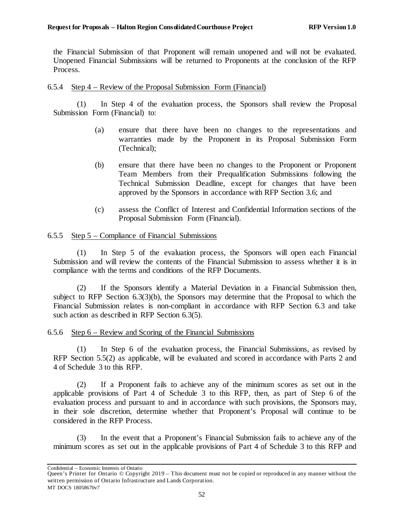the Financial Submission of that Proponent will remain unopened and will not be evaluated. Unopened Financial Submissions will be returned to Proponents at the conclusion of the RFP Process.

### 6.5.4 Step 4 – Review of the Proposal Submission Form (Financial)

(1) In Step 4 of the evaluation process, the Sponsors shall review the Proposal Submission Form (Financial) to:

- (a) ensure that there have been no changes to the representations and warranties made by the Proponent in its Proposal Submission Form (Technical);
- (b) ensure that there have been no changes to the Proponent or Proponent Team Members from their Prequalification Submissions following the Technical Submission Deadline, except for changes that have been approved by the Sponsors in accordance with RFP Section 3.6; and
- (c) assess the Conflict of Interest and Confidential Information sections of the Proposal Submission Form (Financial).

#### 6.5.5 Step 5 – Compliance of Financial Submissions

(1) In Step 5 of the evaluation process, the Sponsors will open each Financial Submission and will review the contents of the Financial Submission to assess whether it is in compliance with the terms and conditions of the RFP Documents.

(2) If the Sponsors identify a Material Deviation in a Financial Submission then, subject to RFP Section [6.3\(3\)\(b\),](#page-54-1) the Sponsors may determine that the Proposal to which the Financial Submission relates is non-compliant in accordance with RFP Section [6.3](#page-54-0) and take such action as described in RFP Section [6.3\(5\).](#page-55-0)

#### 6.5.6 Step 6 – Review and Scoring of the Financial Submissions

(1) In Step 6 of the evaluation process, the Financial Submissions, as revised by RFP Section [5.5\(2\)](#page-36-0) as applicable, will be evaluated and scored in accordance with Parts 2 and 4 of Schedule 3 to this RFP.

<span id="page-57-0"></span>(2) If a Proponent fails to achieve any of the minimum scores as set out in the applicable provisions of Part 4 of Schedule 3 to this RFP, then, as part of Step 6 of the evaluation process and pursuant to and in accordance with such provisions, the Sponsors may, in their sole discretion, determine whether that Proponent's Proposal will continue to be considered in the RFP Process.

(3) In the event that a Proponent's Financial Submission fails to achieve any of the minimum scores as set out in the applicable provisions of Part 4 of Schedule 3 to this RFP and

Queen's Printer for Ontario © Copyright 2019 – This document must not be copied or reproduced in any manner without the written permission of Ontario Infrastructure and Lands Corporation. MT DOCS 18058670v7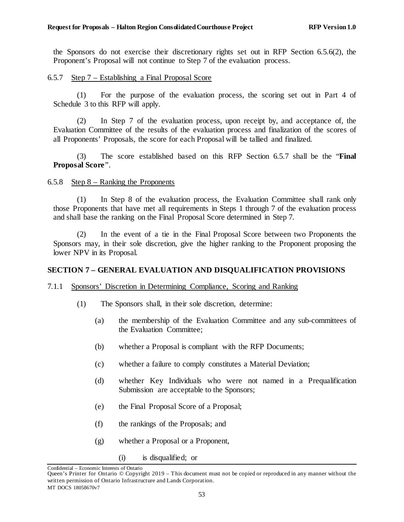the Sponsors do not exercise their discretionary rights set out in RFP Section [6.5.6\(2\),](#page-57-0) the Proponent's Proposal will not continue to Step 7 of the evaluation process.

### <span id="page-58-0"></span>6.5.7 Step 7 – Establishing a Final Proposal Score

(1) For the purpose of the evaluation process, the scoring set out in Part 4 of Schedule 3 to this RFP will apply.

(2) In Step 7 of the evaluation process, upon receipt by, and acceptance of, the Evaluation Committee of the results of the evaluation process and finalization of the scores of all Proponents' Proposals, the score for each Proposal will be tallied and finalized.

(3) The score established based on this RFP Section [6.5.7](#page-58-0) shall be the "**Final Proposal Score**".

#### 6.5.8 Step 8 – Ranking the Proponents

(1) In Step 8 of the evaluation process, the Evaluation Committee shall rank only those Proponents that have met all requirements in Steps 1 through 7 of the evaluation process and shall base the ranking on the Final Proposal Score determined in Step 7.

(2) In the event of a tie in the Final Proposal Score between two Proponents the Sponsors may, in their sole discretion, give the higher ranking to the Proponent proposing the lower NPV in its Proposal.

## **SECTION 7 – GENERAL EVALUATION AND DISQUALIFICATION PROVISIONS**

#### 7.1.1 Sponsors' Discretion in Determining Compliance, Scoring and Ranking

- (1) The Sponsors shall, in their sole discretion, determine:
	- (a) the membership of the Evaluation Committee and any sub-committees of the Evaluation Committee;
	- (b) whether a Proposal is compliant with the RFP Documents;
	- (c) whether a failure to comply constitutes a Material Deviation;
	- (d) whether Key Individuals who were not named in a Prequalification Submission are acceptable to the Sponsors;
	- (e) the Final Proposal Score of a Proposal;
	- (f) the rankings of the Proposals; and
	- (g) whether a Proposal or a Proponent,
		- (i) is disqualified; or

Confidential – Economic Interests of Ontario

Queen's Printer for Ontario © Copyright 2019 – This document must not be copied or reproduced in any manner without the written permission of Ontario Infrastructure and Lands Corporation. MT DOCS 18058670v7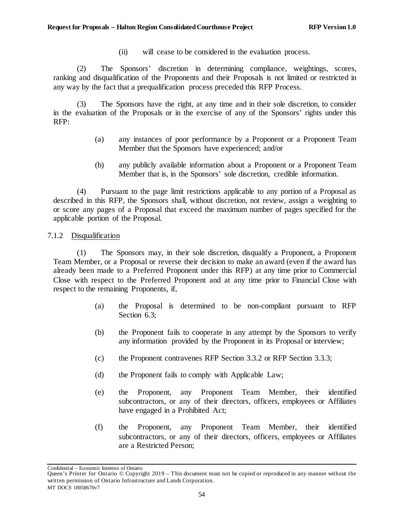(ii) will cease to be considered in the evaluation process.

(2) The Sponsors' discretion in determining compliance, weightings, scores, ranking and disqualification of the Proponents and their Proposals is not limited or restricted in any way by the fact that a prequalification process preceded this RFP Process.

(3) The Sponsors have the right, at any time and in their sole discretion, to consider in the evaluation of the Proposals or in the exercise of any of the Sponsors' rights under this RFP:

- (a) any instances of poor performance by a Proponent or a Proponent Team Member that the Sponsors have experienced; and/or
- (b) any publicly available information about a Proponent or a Proponent Team Member that is, in the Sponsors' sole discretion, credible information.

(4) Pursuant to the page limit restrictions applicable to any portion of a Proposal as described in this RFP, the Sponsors shall, without discretion, not review, assign a weighting to or score any pages of a Proposal that exceed the maximum number of pages specified for the applicable portion of the Proposal.

## <span id="page-59-0"></span>7.1.2 Disqualification

(1) The Sponsors may, in their sole discretion, disqualify a Proponent, a Proponent Team Member, or a Proposal or reverse their decision to make an award (even if the award has already been made to a Preferred Proponent under this RFP) at any time prior to Commercial Close with respect to the Preferred Proponent and at any time prior to Financial Close with respect to the remaining Proponents, if,

- (a) the Proposal is determined to be non-compliant pursuant to RFP Section [6.3;](#page-54-0)
- (b) the Proponent fails to cooperate in any attempt by the Sponsors to verify any information provided by the Proponent in its Proposal or interview;
- (c) the Proponent contravenes RFP Section [3.3.2](#page-14-0) or RFP Section [3.3.3;](#page-15-0)
- (d) the Proponent fails to comply with Applicable Law;
- (e) the Proponent, any Proponent Team Member, their identified subcontractors, or any of their directors, officers, employees or Affiliates have engaged in a Prohibited Act;
- (f) the Proponent, any Proponent Team Member, their identified subcontractors, or any of their directors, officers, employees or Affiliates are a Restricted Person;

Queen's Printer for Ontario © Copyright 2019 – This document must not be copied or reproduced in any manner without the written permission of Ontario Infrastructure and Lands Corporation. MT DOCS 18058670v7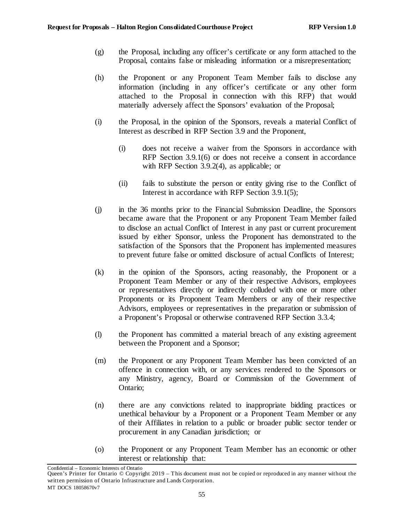- (g) the Proposal, including any officer's certificate or any form attached to the Proposal, contains false or misleading information or a misrepresentation;
- (h) the Proponent or any Proponent Team Member fails to disclose any information (including in any officer's certificate or any other form attached to the Proposal in connection with this RFP) that would materially adversely affect the Sponsors' evaluation of the Proposal;
- (i) the Proposal, in the opinion of the Sponsors, reveals a material Conflict of Interest as described in RFP Section [3.9](#page-28-0) and the Proponent,
	- (i) does not receive a waiver from the Sponsors in accordance with RFP Section [3.9.1\(6\)](#page-29-0) or does not receive a consent in accordance with RFP Section [3.9.2\(4\),](#page-30-0) as applicable; or
	- (ii) fails to substitute the person or entity giving rise to the Conflict of Interest in accordance with RFP Section [3.9.1\(5\);](#page-29-1)
- (j) in the 36 months prior to the Financial Submission Deadline, the Sponsors became aware that the Proponent or any Proponent Team Member failed to disclose an actual Conflict of Interest in any past or current procurement issued by either Sponsor, unless the Proponent has demonstrated to the satisfaction of the Sponsors that the Proponent has implemented measures to prevent future false or omitted disclosure of actual Conflicts of Interest;
- (k) in the opinion of the Sponsors, acting reasonably, the Proponent or a Proponent Team Member or any of their respective Advisors, employees or representatives directly or indirectly colluded with one or more other Proponents or its Proponent Team Members or any of their respective Advisors, employees or representatives in the preparation or submission of a Proponent's Proposal or otherwise contravened RFP Section [3.3.4;](#page-16-0)
- (l) the Proponent has committed a material breach of any existing agreement between the Proponent and a Sponsor;
- (m) the Proponent or any Proponent Team Member has been convicted of an offence in connection with, or any services rendered to the Sponsors or any Ministry, agency, Board or Commission of the Government of Ontario;
- (n) there are any convictions related to inappropriate bidding practices or unethical behaviour by a Proponent or a Proponent Team Member or any of their Affiliates in relation to a public or broader public sector tender or procurement in any Canadian jurisdiction; or
- (o) the Proponent or any Proponent Team Member has an economic or other interest or relationship that:

Queen's Printer for Ontario © Copyright 2019 – This document must not be copied or reproduced in any manner without the written permission of Ontario Infrastructure and Lands Corporation. MT DOCS 18058670v7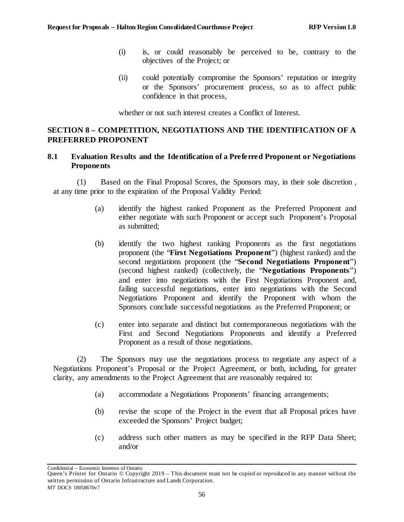- (i) is, or could reasonably be perceived to be, contrary to the objectives of the Project; or
- (ii) could potentially compromise the Sponsors' reputation or integrity or the Sponsors' procurement process, so as to affect public confidence in that process,

whether or not such interest creates a Conflict of Interest.

## <span id="page-61-2"></span>**SECTION 8 – COMPETITION, NEGOTIATIONS AND THE IDENTIFICATION OF A PREFERRED PROPONENT**

## <span id="page-61-0"></span>**8.1 Evaluation Results and the Identification of a Preferred Proponent or Negotiations Proponents**

<span id="page-61-5"></span>(1) Based on the Final Proposal Scores, the Sponsors may, in their sole discretion , at any time prior to the expiration of the Proposal Validity Period:

- (a) identify the highest ranked Proponent as the Preferred Proponent and either negotiate with such Proponent or accept such Proponent's Proposal as submitted;
- <span id="page-61-1"></span>(b) identify the two highest ranking Proponents as the first negotiations proponent (the "**First Negotiations Proponent**") (highest ranked) and the second negotiations proponent (the "**Second Negotiations Proponent**") (second highest ranked) (collectively, the "**Negotiations Proponents**") and enter into negotiations with the First Negotiations Proponent and, failing successful negotiations, enter into negotiations with the Second Negotiations Proponent and identify the Proponent with whom the Sponsors conclude successful negotiations as the Preferred Proponent; or
- (c) enter into separate and distinct but contemporaneous negotiations with the First and Second Negotiations Proponents and identify a Preferred Proponent as a result of those negotiations.

<span id="page-61-4"></span><span id="page-61-3"></span>(2) The Sponsors may use the negotiations process to negotiate any aspect of a Negotiations Proponent's Proposal or the Project Agreement, or both, including, for greater clarity, any amendments to the Project Agreement that are reasonably required to:

- (a) accommodate a Negotiations Proponents' financing arrangements;
- (b) revise the scope of the Project in the event that all Proposal prices have exceeded the Sponsors' Project budget;
- (c) address such other matters as may be specified in the RFP Data Sheet; and/or

Queen's Printer for Ontario © Copyright 2019 – This document must not be copied or reproduced in any manner without the written permission of Ontario Infrastructure and Lands Corporation. MT DOCS 18058670v7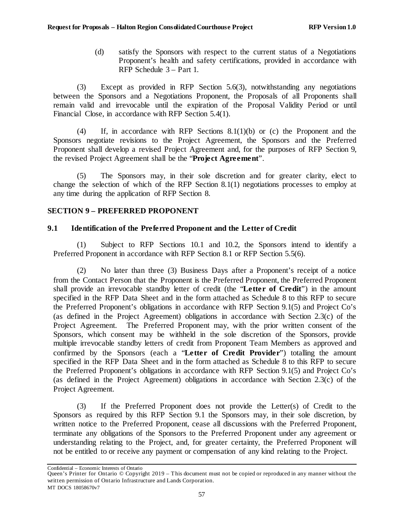(d) satisfy the Sponsors with respect to the current status of a Negotiations Proponent's health and safety certifications, provided in accordance with RFP Schedule 3 – Part 1.

<span id="page-62-0"></span>(3) Except as provided in RFP Sectio[n 5.6\(3\)](#page-52-1), notwithstanding any negotiations between the Sponsors and a Negotiations Proponent, the Proposals of all Proponents shall remain valid and irrevocable until the expiration of the Proposal Validity Period or until Financial Close, in accordance with RFP Section [5.4\(1\).](#page-35-2)

<span id="page-62-1"></span>(4) If, in accordance with RFP Sections [8.1\(1\)\(b\)](#page-61-1) or [\(c\)](#page-61-4) the Proponent and the Sponsors negotiate revisions to the Project Agreement, the Sponsors and the Preferred Proponent shall develop a revised Project Agreement and, for the purposes of RFP [Section 9,](#page-62-3) the revised Project Agreement shall be the "**Project Agreement**".

(5) The Sponsors may, in their sole discretion and for greater clarity, elect to change the selection of which of the RFP Sectio[n 8.1\(1\)](#page-61-5) negotiations processes to employ at any time during the application of RFP [Section 8.](#page-61-2)

## <span id="page-62-3"></span>**SECTION 9 – PREFERRED PROPONENT**

## <span id="page-62-4"></span>**9.1 Identification of the Preferred Proponent and the Letter of Credit**

(1) Subject to RFP Sections [10.1](#page-67-0) and [10.2](#page-68-0), the Sponsors intend to identify a Preferred Proponent in accordance with RFP Section [8.1](#page-61-0) or RFP Section [5.5\(6\).](#page-48-0)

<span id="page-62-2"></span>(2) No later than three (3) Business Days after a Proponent's receipt of a notice from the Contact Person that the Proponent is the Preferred Proponent, the Preferred Proponent shall provide an irrevocable standby letter of credit (the "**Letter of Credit**") in the amount specified in the RFP Data Sheet and in the form attached as Schedule 8 to this RFP to secure the Preferred Proponent's obligations in accordance with RFP Section [9.1\(5\)](#page-63-0) and Project Co's (as defined in the Project Agreement) obligations in accordance with Section 2.3(c) of the Project Agreement. The Preferred Proponent may, with the prior written consent of the Sponsors, which consent may be withheld in the sole discretion of the Sponsors, provide multiple irrevocable standby letters of credit from Proponent Team Members as approved and confirmed by the Sponsors (each a "**Letter of Credit Provider**") totalling the amount specified in the RFP Data Sheet and in the form attached as Schedule 8 to this RFP to secure the Preferred Proponent's obligations in accordance with RFP Section [9.1\(5\)](#page-63-0) and Project Co's (as defined in the Project Agreement) obligations in accordance with Section 2.3(c) of the Project Agreement.

(3) If the Preferred Proponent does not provide the Letter(s) of Credit to the Sponsors as required by this RFP Section [9.1](#page-62-4) the Sponsors may, in their sole discretion, by written notice to the Preferred Proponent, cease all discussions with the Preferred Proponent, terminate any obligations of the Sponsors to the Preferred Proponent under any agreement or understanding relating to the Project, and, for greater certainty, the Preferred Proponent will not be entitled to or receive any payment or compensation of any kind relating to the Project.

Confidential – Economic Interests of Ontario

Queen's Printer for Ontario © Copyright 2019 – This document must not be copied or reproduced in any manner without the written permission of Ontario Infrastructure and Lands Corporation. MT DOCS 18058670v7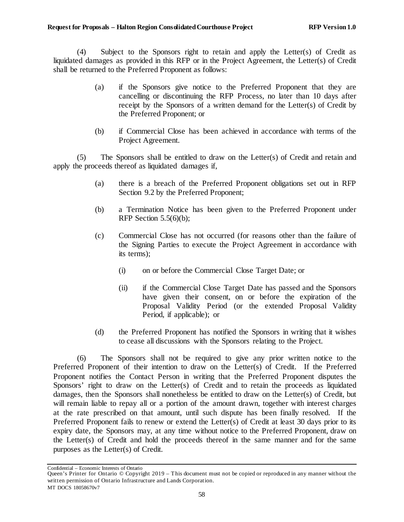(4) Subject to the Sponsors right to retain and apply the Letter(s) of Credit as liquidated damages as provided in this RFP or in the Project Agreement, the Letter(s) of Credit shall be returned to the Preferred Proponent as follows:

- (a) if the Sponsors give notice to the Preferred Proponent that they are cancelling or discontinuing the RFP Process, no later than 10 days after receipt by the Sponsors of a written demand for the Letter(s) of Credit by the Preferred Proponent; or
- (b) if Commercial Close has been achieved in accordance with terms of the Project Agreement.

<span id="page-63-0"></span>(5) The Sponsors shall be entitled to draw on the Letter(s) of Credit and retain and apply the proceeds thereof as liquidated damages if,

- (a) there is a breach of the Preferred Proponent obligations set out in RFP Section [9.2](#page-64-0) by the Preferred Proponent;
- (b) a Termination Notice has been given to the Preferred Proponent under RFP Section  $5.5(6)(b)$ ;
- (c) Commercial Close has not occurred (for reasons other than the failure of the Signing Parties to execute the Project Agreement in accordance with its terms);
	- (i) on or before the Commercial Close Target Date; or
	- (ii) if the Commercial Close Target Date has passed and the Sponsors have given their consent, on or before the expiration of the Proposal Validity Period (or the extended Proposal Validity Period, if applicable); or
- (d) the Preferred Proponent has notified the Sponsors in writing that it wishes to cease all discussions with the Sponsors relating to the Project.

(6) The Sponsors shall not be required to give any prior written notice to the Preferred Proponent of their intention to draw on the Letter(s) of Credit. If the Preferred Proponent notifies the Contact Person in writing that the Preferred Proponent disputes the Sponsors' right to draw on the Letter(s) of Credit and to retain the proceeds as liquidated damages, then the Sponsors shall nonetheless be entitled to draw on the Letter(s) of Credit, but will remain liable to repay all or a portion of the amount drawn, together with interest charges at the rate prescribed on that amount, until such dispute has been finally resolved. If the Preferred Proponent fails to renew or extend the Letter(s) of Credit at least 30 days prior to its expiry date, the Sponsors may, at any time without notice to the Preferred Proponent, draw on the Letter(s) of Credit and hold the proceeds thereof in the same manner and for the same purposes as the Letter(s) of Credit.

Confidential – Economic Interests of Ontario

Queen's Printer for Ontario © Copyright 2019 – This document must not be copied or reproduced in any manner without the written permission of Ontario Infrastructure and Lands Corporation. MT DOCS 18058670v7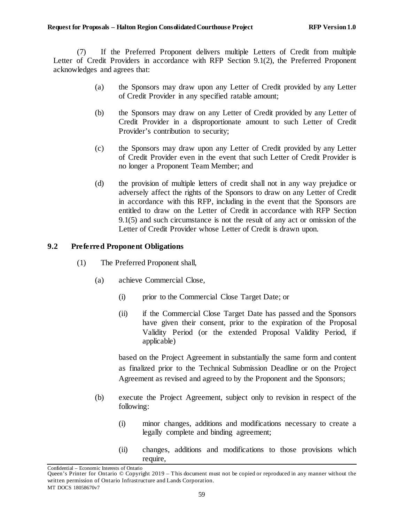(7) If the Preferred Proponent delivers multiple Letters of Credit from multiple Letter of Credit Providers in accordance with RFP Section [9.1\(2\),](#page-62-2) the Preferred Proponent acknowledges and agrees that:

- (a) the Sponsors may draw upon any Letter of Credit provided by any Letter of Credit Provider in any specified ratable amount;
- (b) the Sponsors may draw on any Letter of Credit provided by any Letter of Credit Provider in a disproportionate amount to such Letter of Credit Provider's contribution to security;
- (c) the Sponsors may draw upon any Letter of Credit provided by any Letter of Credit Provider even in the event that such Letter of Credit Provider is no longer a Proponent Team Member; and
- (d) the provision of multiple letters of credit shall not in any way prejudice or adversely affect the rights of the Sponsors to draw on any Letter of Credit in accordance with this RFP, including in the event that the Sponsors are entitled to draw on the Letter of Credit in accordance with RFP Section [9.1\(5\)](#page-63-0) and such circumstance is not the result of any act or omission of the Letter of Credit Provider whose Letter of Credit is drawn upon.

## <span id="page-64-0"></span>**9.2 Preferred Proponent Obligations**

- (1) The Preferred Proponent shall,
	- (a) achieve Commercial Close,
		- (i) prior to the Commercial Close Target Date; or
		- (ii) if the Commercial Close Target Date has passed and the Sponsors have given their consent, prior to the expiration of the Proposal Validity Period (or the extended Proposal Validity Period, if applicable)

based on the Project Agreement in substantially the same form and content as finalized prior to the Technical Submission Deadline or on the Project Agreement as revised and agreed to by the Proponent and the Sponsors;

- <span id="page-64-1"></span>(b) execute the Project Agreement, subject only to revision in respect of the following:
	- (i) minor changes, additions and modifications necessary to create a legally complete and binding agreement;
	- (ii) changes, additions and modifications to those provisions which require,

Confidential – Economic Interests of Ontario

Queen's Printer for Ontario © Copyright 2019 – This document must not be copied or reproduced in any manner without the written permission of Ontario Infrastructure and Lands Corporation. MT DOCS 18058670v7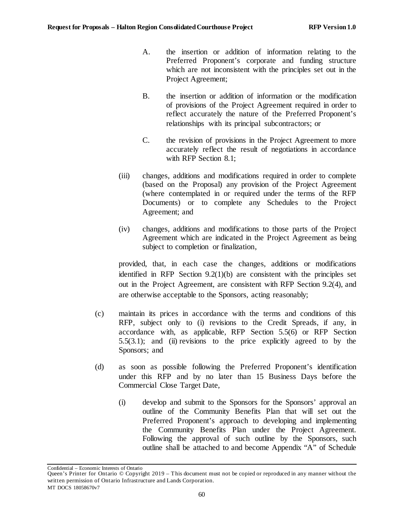- A. the insertion or addition of information relating to the Preferred Proponent's corporate and funding structure which are not inconsistent with the principles set out in the Project Agreement;
- B. the insertion or addition of information or the modification of provisions of the Project Agreement required in order to reflect accurately the nature of the Preferred Proponent's relationships with its principal subcontractors; or
- C. the revision of provisions in the Project Agreement to more accurately reflect the result of negotiations in accordance with RFP Section [8.1;](#page-61-0)
- (iii) changes, additions and modifications required in order to complete (based on the Proposal) any provision of the Project Agreement (where contemplated in or required under the terms of the RFP Documents) or to complete any Schedules to the Project Agreement; and
- (iv) changes, additions and modifications to those parts of the Project Agreement which are indicated in the Project Agreement as being subject to completion or finalization,

provided, that, in each case the changes, additions or modifications identified in RFP Section [9.2\(1\)\(b\)](#page-64-1) are consistent with the principles set out in the Project Agreement, are consistent with RFP Section 9.2(4), and are otherwise acceptable to the Sponsors, acting reasonably;

- (c) maintain its prices in accordance with the terms and conditions of this RFP, subject only to (i) revisions to the Credit Spreads, if any, in accordance with, as applicable, RFP Section [5.5\(6\)](#page-48-0) or RFP Section [5.5\(3.1\);](#page-35-0) and (ii) revisions to the price explicitly agreed to by the Sponsors; and
- (d) as soon as possible following the Preferred Proponent's identification under this RFP and by no later than 15 Business Days before the Commercial Close Target Date,
	- (i) develop and submit to the Sponsors for the Sponsors' approval an outline of the Community Benefits Plan that will set out the Preferred Proponent's approach to developing and implementing the Community Benefits Plan under the Project Agreement. Following the approval of such outline by the Sponsors, such outline shall be attached to and become Appendix "A" of Schedule

Queen's Printer for Ontario © Copyright 2019 – This document must not be copied or reproduced in any manner without the written permission of Ontario Infrastructure and Lands Corporation. MT DOCS 18058670v7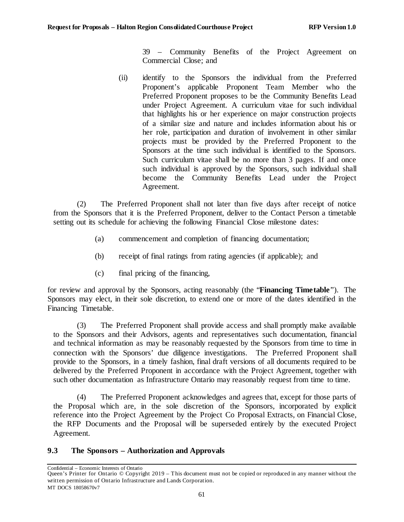39 – Community Benefits of the Project Agreement on Commercial Close; and

(ii) identify to the Sponsors the individual from the Preferred Proponent's applicable Proponent Team Member who the Preferred Proponent proposes to be the Community Benefits Lead under Project Agreement. A curriculum vitae for such individual that highlights his or her experience on major construction projects of a similar size and nature and includes information about his or her role, participation and duration of involvement in other similar projects must be provided by the Preferred Proponent to the Sponsors at the time such individual is identified to the Sponsors. Such curriculum vitae shall be no more than 3 pages. If and once such individual is approved by the Sponsors, such individual shall become the Community Benefits Lead under the Project Agreement.

(2) The Preferred Proponent shall not later than five days after receipt of notice from the Sponsors that it is the Preferred Proponent, deliver to the Contact Person a timetable setting out its schedule for achieving the following Financial Close milestone dates:

- (a) commencement and completion of financing documentation;
- (b) receipt of final ratings from rating agencies (if applicable); and
- (c) final pricing of the financing,

for review and approval by the Sponsors, acting reasonably (the "**Financing Timetable**"). The Sponsors may elect, in their sole discretion, to extend one or more of the dates identified in the Financing Timetable.

(3) The Preferred Proponent shall provide access and shall promptly make available to the Sponsors and their Advisors, agents and representatives such documentation, financial and technical information as may be reasonably requested by the Sponsors from time to time in connection with the Sponsors' due diligence investigations. The Preferred Proponent shall provide to the Sponsors, in a timely fashion, final draft versions of all documents required to be delivered by the Preferred Proponent in accordance with the Project Agreement, together with such other documentation as Infrastructure Ontario may reasonably request from time to time.

(4) The Preferred Proponent acknowledges and agrees that, except for those parts of the Proposal which are, in the sole discretion of the Sponsors, incorporated by explicit reference into the Project Agreement by the Project Co Proposal Extracts, on Financial Close, the RFP Documents and the Proposal will be superseded entirely by the executed Project Agreement.

# **9.3 The Sponsors – Authorization and Approvals**

Queen's Printer for Ontario © Copyright 2019 – This document must not be copied or reproduced in any manner without the written permission of Ontario Infrastructure and Lands Corporation. MT DOCS 18058670v7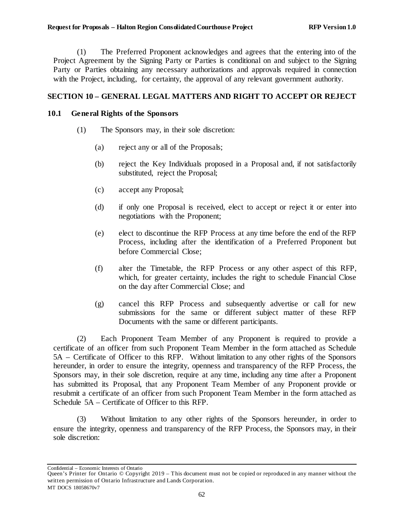(1) The Preferred Proponent acknowledges and agrees that the entering into of the Project Agreement by the Signing Party or Parties is conditional on and subject to the Signing Party or Parties obtaining any necessary authorizations and approvals required in connection with the Project, including, for certainty, the approval of any relevant government authority.

## **SECTION 10 – GENERAL LEGAL MATTERS AND RIGHT TO ACCEPT OR REJECT**

## <span id="page-67-3"></span><span id="page-67-0"></span>**10.1 General Rights of the Sponsors**

- (1) The Sponsors may, in their sole discretion:
	- (a) reject any or all of the Proposals;
	- (b) reject the Key Individuals proposed in a Proposal and, if not satisfactorily substituted, reject the Proposal;
	- (c) accept any Proposal;
	- (d) if only one Proposal is received, elect to accept or reject it or enter into negotiations with the Proponent;
	- (e) elect to discontinue the RFP Process at any time before the end of the RFP Process, including after the identification of a Preferred Proponent but before Commercial Close;
	- (f) alter the Timetable, the RFP Process or any other aspect of this RFP, which, for greater certainty, includes the right to schedule Financial Close on the day after Commercial Close; and
	- (g) cancel this RFP Process and subsequently advertise or call for new submissions for the same or different subject matter of these RFP Documents with the same or different participants.

<span id="page-67-1"></span>(2) Each Proponent Team Member of any Proponent is required to provide a certificate of an officer from such Proponent Team Member in the form attached as Schedule 5A – Certificate of Officer to this RFP. Without limitation to any other rights of the Sponsors hereunder, in order to ensure the integrity, openness and transparency of the RFP Process, the Sponsors may, in their sole discretion, require at any time, including any time after a Proponent has submitted its Proposal, that any Proponent Team Member of any Proponent provide or resubmit a certificate of an officer from such Proponent Team Member in the form attached as Schedule 5A – Certificate of Officer to this RFP.

<span id="page-67-2"></span>(3) Without limitation to any other rights of the Sponsors hereunder, in order to ensure the integrity, openness and transparency of the RFP Process, the Sponsors may, in their sole discretion:

Queen's Printer for Ontario © Copyright 2019 – This document must not be copied or reproduced in any manner without the written permission of Ontario Infrastructure and Lands Corporation. MT DOCS 18058670v7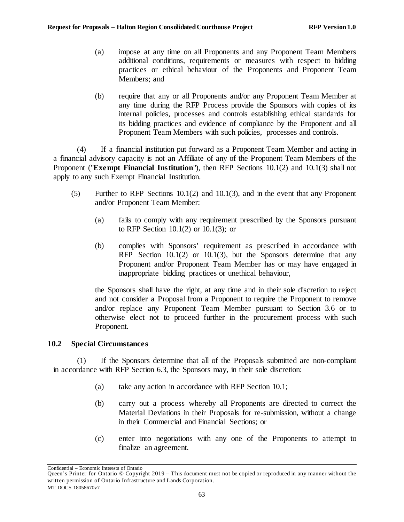- (a) impose at any time on all Proponents and any Proponent Team Members additional conditions, requirements or measures with respect to bidding practices or ethical behaviour of the Proponents and Proponent Team Members; and
- (b) require that any or all Proponents and/or any Proponent Team Member at any time during the RFP Process provide the Sponsors with copies of its internal policies, processes and controls establishing ethical standards for its bidding practices and evidence of compliance by the Proponent and all Proponent Team Members with such policies, processes and controls.

(4) If a financial institution put forward as a Proponent Team Member and acting in a financial advisory capacity is not an Affiliate of any of the Proponent Team Members of the Proponent ("**Exempt Financial Institution**"), then RFP Sections [10.1\(2\)](#page-67-1) an[d 10.1\(3\)](#page-67-2) shall not apply to any such Exempt Financial Institution.

- (5) Further to RFP Sections [10.1\(2\)](#page-67-1) an[d 10.1\(3\),](#page-67-2) and in the event that any Proponent and/or Proponent Team Member:
	- (a) fails to comply with any requirement prescribed by the Sponsors pursuant to RFP Section [10.1\(2\)](#page-67-1) or [10.1\(3\);](#page-67-2) or
	- (b) complies with Sponsors' requirement as prescribed in accordance with RFP Section [10.1\(2\)](#page-67-1) or [10.1\(3\),](#page-67-2) but the Sponsors determine that any Proponent and/or Proponent Team Member has or may have engaged in inappropriate bidding practices or unethical behaviour,

the Sponsors shall have the right, at any time and in their sole discretion to reject and not consider a Proposal from a Proponent to require the Proponent to remove and/or replace any Proponent Team Member pursuant to Section [3.6](#page-20-0) or to otherwise elect not to proceed further in the procurement process with such Proponent.

## <span id="page-68-0"></span>**10.2 Special Circumstances**

(1) If the Sponsors determine that all of the Proposals submitted are non-compliant in accordance with RFP Section [6.3,](#page-54-0) the Sponsors may, in their sole discretion:

- (a) take any action in accordance with RFP Section [10.1;](#page-67-0)
- (b) carry out a process whereby all Proponents are directed to correct the Material Deviations in their Proposals for re-submission, without a change in their Commercial and Financial Sections; or
- (c) enter into negotiations with any one of the Proponents to attempt to finalize an agreement.

Queen's Printer for Ontario © Copyright 2019 – This document must not be copied or reproduced in any manner without the written permission of Ontario Infrastructure and Lands Corporation. MT DOCS 18058670v7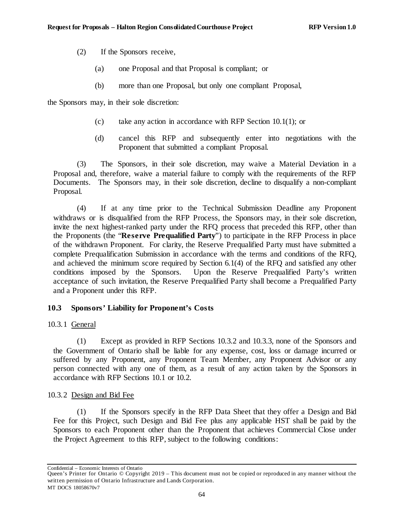- (2) If the Sponsors receive,
	- (a) one Proposal and that Proposal is compliant; or
	- (b) more than one Proposal, but only one compliant Proposal,

the Sponsors may, in their sole discretion:

- (c) take any action in accordance with RFP Section [10.1\(1\);](#page-67-3) or
- (d) cancel this RFP and subsequently enter into negotiations with the Proponent that submitted a compliant Proposal.

<span id="page-69-1"></span>(3) The Sponsors, in their sole discretion, may waive a Material Deviation in a Proposal and, therefore, waive a material failure to comply with the requirements of the RFP Documents. The Sponsors may, in their sole discretion, decline to disqualify a non-compliant Proposal.

(4) If at any time prior to the Technical Submission Deadline any Proponent withdraws or is disqualified from the RFP Process, the Sponsors may, in their sole discretion, invite the next highest-ranked party under the RFQ process that preceded this RFP, other than the Proponents (the "**Reserve Prequalified Party**") to participate in the RFP Process in place of the withdrawn Proponent. For clarity, the Reserve Prequalified Party must have submitted a complete Prequalification Submission in accordance with the terms and conditions of the RFQ, and achieved the minimum score required by Section 6.1(4) of the RFQ and satisfied any other conditions imposed by the Sponsors. Upon the Reserve Prequalified Party's written acceptance of such invitation, the Reserve Prequalified Party shall become a Prequalified Party and a Proponent under this RFP.

## **10.3 Sponsors' Liability for Proponent's Costs**

10.3.1 General

(1) Except as provided in RFP Sections [10.3.2](#page-69-0) and [10.3.3,](#page-71-0) none of the Sponsors and the Government of Ontario shall be liable for any expense, cost, loss or damage incurred or suffered by any Proponent, any Proponent Team Member, any Proponent Advisor or any person connected with any one of them, as a result of any action taken by the Sponsors in accordance with RFP Sections [10.1](#page-67-0) or [10.2.](#page-68-0)

## <span id="page-69-0"></span>10.3.2 Design and Bid Fee

<span id="page-69-2"></span>(1) If the Sponsors specify in the RFP Data Sheet that they offer a Design and Bid Fee for this Project, such Design and Bid Fee plus any applicable HST shall be paid by the Sponsors to each Proponent other than the Proponent that achieves Commercial Close under the Project Agreement to this RFP, subject to the following conditions:

Confidential – Economic Interests of Ontario

Queen's Printer for Ontario © Copyright 2019 – This document must not be copied or reproduced in any manner without the written permission of Ontario Infrastructure and Lands Corporation. MT DOCS 18058670v7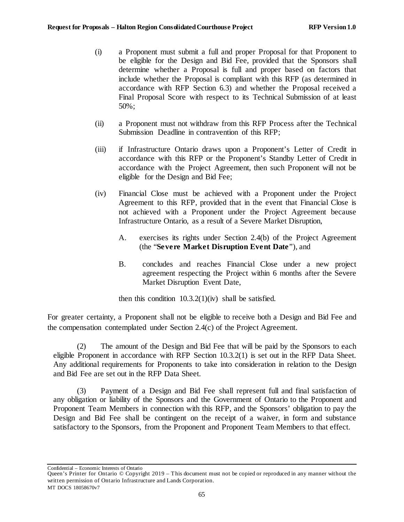- (i) a Proponent must submit a full and proper Proposal for that Proponent to be eligible for the Design and Bid Fee, provided that the Sponsors shall determine whether a Proposal is full and proper based on factors that include whether the Proposal is compliant with this RFP (as determined in accordance with RFP Section [6.3\)](#page-54-0) and whether the Proposal received a Final Proposal Score with respect to its Technical Submission of at least 50%;
- (ii) a Proponent must not withdraw from this RFP Process after the Technical Submission Deadline in contravention of this RFP;
- (iii) if Infrastructure Ontario draws upon a Proponent's Letter of Credit in accordance with this RFP or the Proponent's Standby Letter of Credit in accordance with the Project Agreement, then such Proponent will not be eligible for the Design and Bid Fee;
- <span id="page-70-0"></span>(iv) Financial Close must be achieved with a Proponent under the Project Agreement to this RFP, provided that in the event that Financial Close is not achieved with a Proponent under the Project Agreement because Infrastructure Ontario, as a result of a Severe Market Disruption,
	- A. exercises its rights under Section 2.4(b) of the Project Agreement (the "**Severe Market Disruption Event Date**"), and
	- B. concludes and reaches Financial Close under a new project agreement respecting the Project within 6 months after the Severe Market Disruption Event Date,

then this condition  $10.3.2(1)(iv)$  shall be satisfied.

For greater certainty, a Proponent shall not be eligible to receive both a Design and Bid Fee and the compensation contemplated under Section 2.4(c) of the Project Agreement.

(2) The amount of the Design and Bid Fee that will be paid by the Sponsors to each eligible Proponent in accordance with RFP Section [10.3.2\(1\)](#page-69-2) is set out in the RFP Data Sheet. Any additional requirements for Proponents to take into consideration in relation to the Design and Bid Fee are set out in the RFP Data Sheet.

(3) Payment of a Design and Bid Fee shall represent full and final satisfaction of any obligation or liability of the Sponsors and the Government of Ontario to the Proponent and Proponent Team Members in connection with this RFP, and the Sponsors' obligation to pay the Design and Bid Fee shall be contingent on the receipt of a waiver, in form and substance satisfactory to the Sponsors, from the Proponent and Proponent Team Members to that effect.

Queen's Printer for Ontario © Copyright 2019 – This document must not be copied or reproduced in any manner without the written permission of Ontario Infrastructure and Lands Corporation. MT DOCS 18058670v7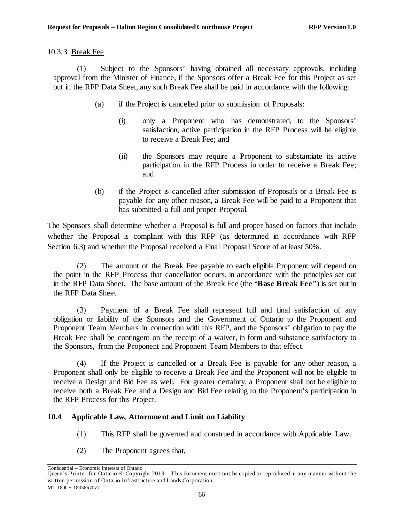#### <span id="page-71-0"></span>10.3.3 Break Fee

(1) Subject to the Sponsors' having obtained all necessary approvals, including approval from the Minister of Finance, if the Sponsors offer a Break Fee for this Project as set out in the RFP Data Sheet, any such Break Fee shall be paid in accordance with the following:

- (a) if the Project is cancelled prior to submission of Proposals:
	- (i) only a Proponent who has demonstrated, to the Sponsors' satisfaction, active participation in the RFP Process will be eligible to receive a Break Fee; and
	- (ii) the Sponsors may require a Proponent to substantiate its active participation in the RFP Process in order to receive a Break Fee; and
- (b) if the Project is cancelled after submission of Proposals or a Break Fee is payable for any other reason, a Break Fee will be paid to a Proponent that has submitted a full and proper Proposal.

The Sponsors shall determine whether a Proposal is full and proper based on factors that include whether the Proposal is compliant with this RFP (as determined in accordance with RFP Section [6.3\)](#page-54-0) and whether the Proposal received a Final Proposal Score of at least 50%.

(2) The amount of the Break Fee payable to each eligible Proponent will depend on the point in the RFP Process that cancellation occurs, in accordance with the principles set out in the RFP Data Sheet. The base amount of the Break Fee (the "**Base Break Fee**") is set out in the RFP Data Sheet.

(3) Payment of a Break Fee shall represent full and final satisfaction of any obligation or liability of the Sponsors and the Government of Ontario to the Proponent and Proponent Team Members in connection with this RFP, and the Sponsors' obligation to pay the Break Fee shall be contingent on the receipt of a waiver, in form and substance satisfactory to the Sponsors, from the Proponent and Proponent Team Members to that effect.

(4) If the Project is cancelled or a Break Fee is payable for any other reason, a Proponent shall only be eligible to receive a Break Fee and the Proponent will not be eligible to receive a Design and Bid Fee as well. For greater certainty, a Proponent shall not be eligible to receive both a Break Fee and a Design and Bid Fee relating to the Proponent's participation in the RFP Process for this Project.

## **10.4 Applicable Law, Attornment and Limit on Liability**

- (1) This RFP shall be governed and construed in accordance with Applicable Law.
- (2) The Proponent agrees that,

Queen's Printer for Ontario © Copyright 2019 – This document must not be copied or reproduced in any manner without the written permission of Ontario Infrastructure and Lands Corporation. MT DOCS 18058670v7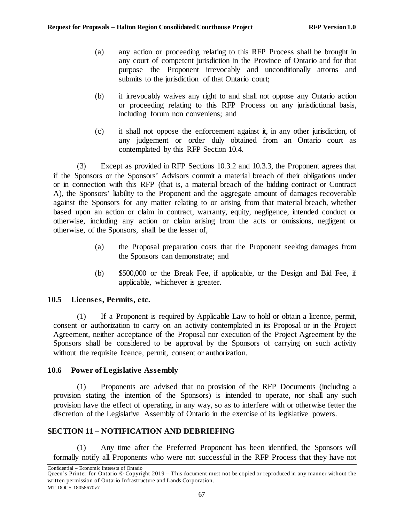- (a) any action or proceeding relating to this RFP Process shall be brought in any court of competent jurisdiction in the Province of Ontario and for that purpose the Proponent irrevocably and unconditionally attorns and submits to the jurisdiction of that Ontario court;
- (b) it irrevocably waives any right to and shall not oppose any Ontario action or proceeding relating to this RFP Process on any jurisdictional basis, including forum non conveniens; and
- (c) it shall not oppose the enforcement against it, in any other jurisdiction, of any judgement or order duly obtained from an Ontario court as contemplated by this RFP Section [10.4.](#page-71-0)

(3) Except as provided in RFP Sections [10.3.2](#page-69-0) and [10.3.3,](#page-71-1) the Proponent agrees that if the Sponsors or the Sponsors' Advisors commit a material breach of their obligations under or in connection with this RFP (that is, a material breach of the bidding contract or Contract A), the Sponsors' liability to the Proponent and the aggregate amount of damages recoverable against the Sponsors for any matter relating to or arising from that material breach, whether based upon an action or claim in contract, warranty, equity, negligence, intended conduct or otherwise, including any action or claim arising from the acts or omissions, negligent or otherwise, of the Sponsors, shall be the lesser of,

- (a) the Proposal preparation costs that the Proponent seeking damages from the Sponsors can demonstrate; and
- (b) \$500,000 or the Break Fee, if applicable, or the Design and Bid Fee, if applicable, whichever is greater.

# **10.5 Licenses, Permits, etc.**

(1) If a Proponent is required by Applicable Law to hold or obtain a licence, permit, consent or authorization to carry on an activity contemplated in its Proposal or in the Project Agreement, neither acceptance of the Proposal nor execution of the Project Agreement by the Sponsors shall be considered to be approval by the Sponsors of carrying on such activity without the requisite licence, permit, consent or authorization.

# **10.6 Power of Legislative Assembly**

(1) Proponents are advised that no provision of the RFP Documents (including a provision stating the intention of the Sponsors) is intended to operate, nor shall any such provision have the effect of operating, in any way, so as to interfere with or otherwise fetter the discretion of the Legislative Assembly of Ontario in the exercise of its legislative powers.

# **SECTION 11 – NOTIFICATION AND DEBRIEFING**

(1) Any time after the Preferred Proponent has been identified, the Sponsors will formally notify all Proponents who were not successful in the RFP Process that they have not

Confidential – Economic Interests of Ontario

Queen's Printer for Ontario © Copyright 2019 – This document must not be copied or reproduced in any manner without the written permission of Ontario Infrastructure and Lands Corporation. MT DOCS 18058670v7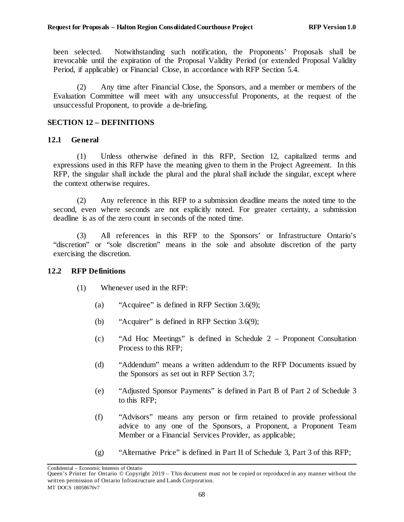been selected. Notwithstanding such notification, the Proponents' Proposals shall be irrevocable until the expiration of the Proposal Validity Period (or extended Proposal Validity Period, if applicable) or Financial Close, in accordance with RFP Section [5.4.](#page-35-0)

(2) Any time after Financial Close, the Sponsors, and a member or members of the Evaluation Committee will meet with any unsuccessful Proponents, at the request of the unsuccessful Proponent, to provide a de-briefing.

## <span id="page-73-0"></span>**SECTION 12 – DEFINITIONS**

### **12.1 General**

(1) Unless otherwise defined in this RFP, [Section 12,](#page-73-0) capitalized terms and expressions used in this RFP have the meaning given to them in the Project Agreement. In this RFP, the singular shall include the plural and the plural shall include the singular, except where the context otherwise requires.

(2) Any reference in this RFP to a submission deadline means the noted time to the second, even where seconds are not explicitly noted. For greater certainty, a submission deadline is as of the zero count in seconds of the noted time.

(3) All references in this RFP to the Sponsors' or Infrastructure Ontario's "discretion" or "sole discretion" means in the sole and absolute discretion of the party exercising the discretion.

### **12.2 RFP Definitions**

- (1) Whenever used in the RFP:
	- (a) "Acquiree" is defined in RFP Section [3.6\(9\);](#page-23-0)
	- (b) "Acquirer" is defined in RFP Section [3.6\(9\);](#page-23-0)
	- (c) "Ad Hoc Meetings" is defined in Schedule 2 Proponent Consultation Process to this RFP;
	- (d) "Addendum" means a written addendum to the RFP Documents issued by the Sponsors as set out in RFP Section [3.7;](#page-23-1)
	- (e) "Adjusted Sponsor Payments" is defined in Part B of Part 2 of Schedule 3 to this RFP;
	- (f) "Advisors" means any person or firm retained to provide professional advice to any one of the Sponsors, a Proponent, a Proponent Team Member or a Financial Services Provider, as applicable;
	- (g) "Alternative Price" is defined in Part II of Schedule 3, Part 3 of this RFP;

Queen's Printer for Ontario © Copyright 2019 – This document must not be copied or reproduced in any manner without the written permission of Ontario Infrastructure and Lands Corporation. MT DOCS 18058670v7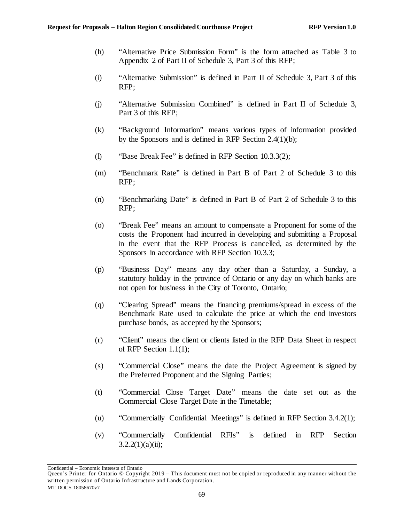- (h) "Alternative Price Submission Form" is the form attached as Table 3 to Appendix 2 of Part II of Schedule 3, Part 3 of this RFP;
- (i) "Alternative Submission" is defined in Part II of Schedule 3, Part 3 of this RFP;
- (j) "Alternative Submission Combined" is defined in Part II of Schedule 3, Part 3 of this RFP;
- (k) "Background Information" means various types of information provided by the Sponsors and is defined in RFP Section [2.4\(1\)\(b\);](#page-11-0)
- (l) "Base Break Fee" is defined in RFP Section [10.3.3\(2\);](#page-71-2)
- (m) "Benchmark Rate" is defined in Part B of Part 2 of Schedule 3 to this RFP;
- (n) "Benchmarking Date" is defined in Part B of Part 2 of Schedule 3 to this RFP;
- (o) "Break Fee" means an amount to compensate a Proponent for some of the costs the Proponent had incurred in developing and submitting a Proposal in the event that the RFP Process is cancelled, as determined by the Sponsors in accordance with RFP Section [10.3.3;](#page-71-1)
- (p) "Business Day" means any day other than a Saturday, a Sunday, a statutory holiday in the province of Ontario or any day on which banks are not open for business in the City of Toronto, Ontario;
- (q) "Clearing Spread" means the financing premiums/spread in excess of the Benchmark Rate used to calculate the price at which the end investors purchase bonds, as accepted by the Sponsors;
- (r) "Client" means the client or clients listed in the RFP Data Sheet in respect of RFP Section [1.1\(1\);](#page-6-0)
- (s) "Commercial Close" means the date the Project Agreement is signed by the Preferred Proponent and the Signing Parties;
- (t) "Commercial Close Target Date" means the date set out as the Commercial Close Target Date in the Timetable;
- (u) "Commercially Confidential Meetings" is defined in RFP Section [3.4.2\(1\);](#page-17-0)
- (v) "Commercially Confidential RFIs" is defined in RFP Section  $3.2.2(1)(a)(ii);$

Queen's Printer for Ontario © Copyright 2019 – This document must not be copied or reproduced in any manner without the written permission of Ontario Infrastructure and Lands Corporation. MT DOCS 18058670v7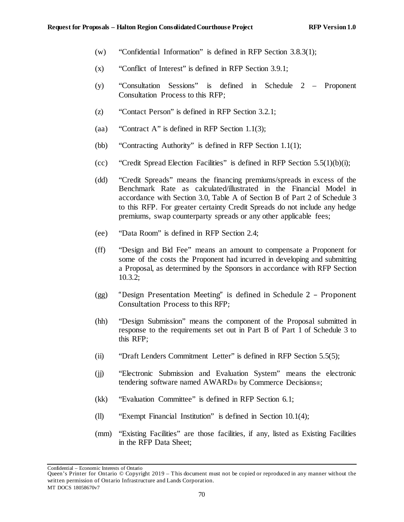- (w) "Confidential Information" is defined in RFP Section [3.8.3\(1\);](#page-25-0)
- (x) "Conflict of Interest" is defined in RFP Section [3.9.1;](#page-28-0)
- (y) "Consultation Sessions" is defined in Schedule 2 Proponent Consultation Process to this RFP;
- (z) "Contact Person" is defined in RFP Section [3.2.1;](#page-12-0)
- (aa) "Contract A" is defined in RFP Section [1.1\(3\);](#page-6-1)
- (bb) "Contracting Authority" is defined in RFP Section [1.1\(1\);](#page-6-0)
- (cc) "Credit Spread Election Facilities" is defined in RFP Section  $5.5(1)(b)(i)$ ;
- (dd) "Credit Spreads" means the financing premiums/spreads in excess of the Benchmark Rate as calculated/illustrated in the Financial Model in accordance with Section 3.0, Table A of Section B of Part 2 of Schedule 3 to this RFP. For greater certainty Credit Spreads do not include any hedge premiums, swap counterparty spreads or any other applicable fees;
- (ee) "Data Room" is defined in RFP Section [2.4;](#page-11-1)
- (ff) "Design and Bid Fee" means an amount to compensate a Proponent for some of the costs the Proponent had incurred in developing and submitting a Proposal, as determined by the Sponsors in accordance with RFP Section [10.3.2;](#page-69-0)
- (gg) "Design Presentation Meeting" is defined in Schedule 2 Proponent Consultation Process to this RFP;
- (hh) "Design Submission" means the component of the Proposal submitted in response to the requirements set out in Part B of Part 1 of Schedule 3 to this RFP;
- (ii) "Draft Lenders Commitment Letter" is defined in RFP Section [5.5\(5\);](#page-48-0)
- (jj) "Electronic Submission and Evaluation System" means the electronic tendering software named AWARD® by Commerce Decisions®;
- (kk) "Evaluation Committee" is defined in RFP Section [6.1;](#page-53-0)
- (ll) "Exempt Financial Institution" is defined in Section [10.1\(4\);](#page-68-0)
- (mm) "Existing Facilities" are those facilities, if any, listed as Existing Facilities in the RFP Data Sheet;

Queen's Printer for Ontario © Copyright 2019 – This document must not be copied or reproduced in any manner without the written permission of Ontario Infrastructure and Lands Corporation. MT DOCS 18058670v7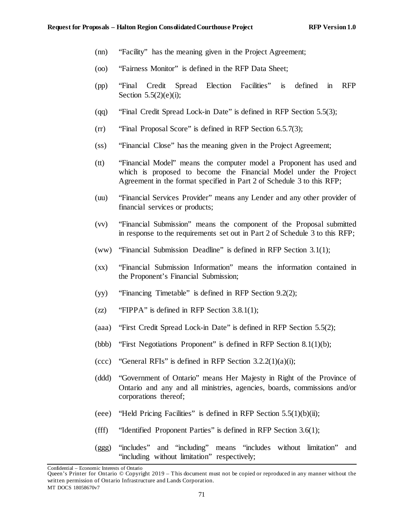- (nn) "Facility" has the meaning given in the Project Agreement;
- (oo) "Fairness Monitor" is defined in the RFP Data Sheet;
- (pp) "Final Credit Spread Election Facilities" is defined in RFP Section  $5.5(2)(e)(i)$ ;
- (qq) "Final Credit Spread Lock-in Date" is defined in RFP Section [5.5\(3\);](#page-41-1)
- (rr) "Final Proposal Score" is defined in RFP Section 6.5.7(3);
- (ss) "Financial Close" has the meaning given in the Project Agreement;
- (tt) "Financial Model" means the computer model a Proponent has used and which is proposed to become the Financial Model under the Project Agreement in the format specified in Part 2 of Schedule 3 to this RFP;
- (uu) "Financial Services Provider" means any Lender and any other provider of financial services or products;
- (vv) "Financial Submission" means the component of the Proposal submitted in response to the requirements set out in Part 2 of Schedule 3 to this RFP;
- (ww) "Financial Submission Deadline" is defined in RFP Section [3.1\(1\);](#page-12-1)
- (xx) "Financial Submission Information" means the information contained in the Proponent's Financial Submission;
- (yy) "Financing Timetable" is defined in RFP Section [9.2\(2\);](#page-66-0)
- (zz) "FIPPA" is defined in RFP Section  $3.8.1(1)$ ;
- (aaa) "First Credit Spread Lock-in Date" is defined in RFP Section [5.5\(2\);](#page-36-0)
- (bbb) "First Negotiations Proponent" is defined in RFP Section [8.1\(1\)\(b\);](#page-61-0)
- (ccc) "General RFIs" is defined in RFP Section  $3.2.2(1)(a)(i)$ ;
- (ddd) "Government of Ontario" means Her Majesty in Right of the Province of Ontario and any and all ministries, agencies, boards, commissions and/or corporations thereof;
- (eee) "Held Pricing Facilities" is defined in RFP Section  $5.5(1)(b)(ii)$ ;
- (fff) "Identified Proponent Parties" is defined in RFP Section [3.6\(1\);](#page-21-0)
- (ggg) "includes" and "including" means "includes without limitation" and "including without limitation" respectively;

Queen's Printer for Ontario © Copyright 2019 – This document must not be copied or reproduced in any manner without the written permission of Ontario Infrastructure and Lands Corporation. MT DOCS 18058670v7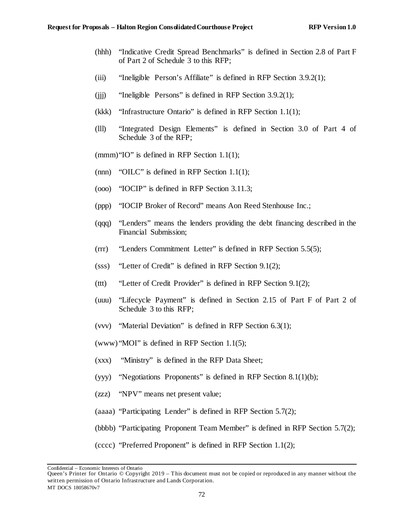- (hhh) "Indicative Credit Spread Benchmarks" is defined in Section 2.8 of Part F of Part 2 of Schedule 3 to this RFP;
- (iii) "Ineligible Person's Affiliate" is defined in RFP Section [3.9.2\(1\);](#page-30-0)
- (iii) "Ineligible Persons" is defined in RFP Section  $3.9.2(1)$ ;
- (kkk) "Infrastructure Ontario" is defined in RFP Section [1.1\(1\);](#page-6-0)
- (lll) "Integrated Design Elements" is defined in Section 3.0 of Part 4 of Schedule 3 of the RFP;

(mmm)"IO" is defined in RFP Section [1.1\(1\);](#page-6-0)

- (nnn) "OILC" is defined in RFP Section [1.1\(1\);](#page-6-0)
- (ooo) "IOCIP" is defined in RFP Section [3.11.3;](#page-33-0)
- (ppp) "IOCIP Broker of Record" means Aon Reed Stenhouse Inc.;
- (qqq) "Lenders" means the lenders providing the debt financing described in the Financial Submission;
- (rrr) "Lenders Commitment Letter" is defined in RFP Section [5.5\(5\);](#page-48-0)
- (sss) "Letter of Credit" is defined in RFP Section [9.1\(2\);](#page-62-0)
- (ttt) "Letter of Credit Provider" is defined in RFP Section [9.1\(2\);](#page-62-0)
- (uuu) "Lifecycle Payment" is defined in Section 2.15 of Part F of Part 2 of Schedule 3 to this RFP;
- (vvv) "Material Deviation" is defined in RFP Section [6.3\(1\);](#page-54-0)

(www) "MOI" is defined in RFP Section [1.1\(5\);](#page-7-0)

- (xxx) "Ministry" is defined in the RFP Data Sheet;
- (yyy) "Negotiations Proponents" is defined in RFP Section [8.1\(1\)\(b\);](#page-61-0)
- (zzz) "NPV" means net present value;
- (aaaa) "Participating Lender" is defined in RFP Section [5.7\(2\);](#page-53-1)
- (bbbb) "Participating Proponent Team Member" is defined in RFP Section [5.7\(2\);](#page-53-1)
- (cccc) "Preferred Proponent" is defined in RFP Section [1.1\(2\);](#page-6-2)

Queen's Printer for Ontario © Copyright 2019 – This document must not be copied or reproduced in any manner without the written permission of Ontario Infrastructure and Lands Corporation. MT DOCS 18058670v7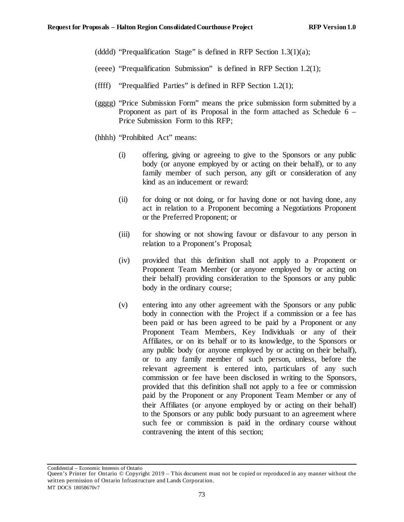- (dddd) "Prequalification Stage" is defined in RFP Section  $1.3(1)(a)$ ;
- (eeee) "Prequalification Submission" is defined in RFP Section [1.2\(1\);](#page-7-1)
- (ffff) "Prequalified Parties" is defined in RFP Section  $1.2(1)$ ;
- (gggg) "Price Submission Form" means the price submission form submitted by a Proponent as part of its Proposal in the form attached as Schedule 6 – Price Submission Form to this RFP;
- (hhhh) "Prohibited Act" means:
	- (i) offering, giving or agreeing to give to the Sponsors or any public body (or anyone employed by or acting on their behalf), or to any family member of such person, any gift or consideration of any kind as an inducement or reward:
	- (ii) for doing or not doing, or for having done or not having done, any act in relation to a Proponent becoming a Negotiations Proponent or the Preferred Proponent; or
	- (iii) for showing or not showing favour or disfavour to any person in relation to a Proponent's Proposal;
	- (iv) provided that this definition shall not apply to a Proponent or Proponent Team Member (or anyone employed by or acting on their behalf) providing consideration to the Sponsors or any public body in the ordinary course;
	- (v) entering into any other agreement with the Sponsors or any public body in connection with the Project if a commission or a fee has been paid or has been agreed to be paid by a Proponent or any Proponent Team Members, Key Individuals or any of their Affiliates, or on its behalf or to its knowledge, to the Sponsors or any public body (or anyone employed by or acting on their behalf), or to any family member of such person, unless, before the relevant agreement is entered into, particulars of any such commission or fee have been disclosed in writing to the Sponsors, provided that this definition shall not apply to a fee or commission paid by the Proponent or any Proponent Team Member or any of their Affiliates (or anyone employed by or acting on their behalf) to the Sponsors or any public body pursuant to an agreement where such fee or commission is paid in the ordinary course without contravening the intent of this section;

Queen's Printer for Ontario © Copyright 2019 – This document must not be copied or reproduced in any manner without the written permission of Ontario Infrastructure and Lands Corporation. MT DOCS 18058670v7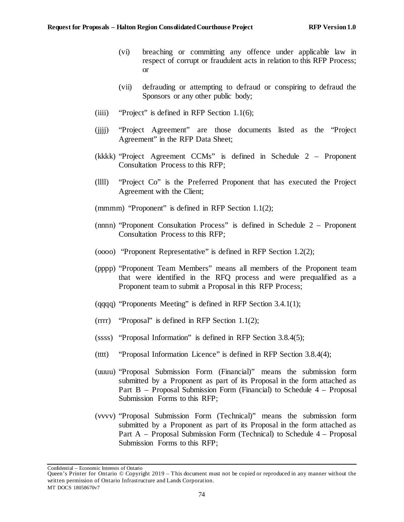- (vi) breaching or committing any offence under applicable law in respect of corrupt or fraudulent acts in relation to this RFP Process; or
- (vii) defrauding or attempting to defraud or conspiring to defraud the Sponsors or any other public body;
- (iiii) "Project" is defined in RFP Section  $1.1(6)$ ;
- (jjjj) "Project Agreement" are those documents listed as the "Project Agreement" in the RFP Data Sheet;
- (kkkk) "Project Agreement CCMs" is defined in Schedule 2 Proponent Consultation Process to this RFP;
- (llll) "Project Co" is the Preferred Proponent that has executed the Project Agreement with the Client;
- (mmmm) "Proponent" is defined in RFP Section [1.1\(2\);](#page-6-2)
- (nnnn) "Proponent Consultation Process" is defined in Schedule 2 Proponent Consultation Process to this RFP;
- (oooo) "Proponent Representative" is defined in RFP Section [1.2\(2\);](#page-7-3)
- (pppp) "Proponent Team Members" means all members of the Proponent team that were identified in the RFQ process and were prequalified as a Proponent team to submit a Proposal in this RFP Process;
- (qqqq) "Proponents Meeting" is defined in RFP Section [3.4.1\(1\);](#page-16-0)
- (rrrr) "Proposal" is defined in RFP Section [1.1\(2\);](#page-6-2)
- (ssss) "Proposal Information" is defined in RFP Section [3.8.4\(5\);](#page-28-1)
- (tttt) "Proposal Information Licence" is defined in RFP Section [3.8.4\(4\);](#page-27-0)
- (uuuu) "Proposal Submission Form (Financial)" means the submission form submitted by a Proponent as part of its Proposal in the form attached as Part B – Proposal Submission Form (Financial) to Schedule 4 – Proposal Submission Forms to this RFP;
- (vvvv) "Proposal Submission Form (Technical)" means the submission form submitted by a Proponent as part of its Proposal in the form attached as Part A – Proposal Submission Form (Technical) to Schedule 4 – Proposal Submission Forms to this RFP;

Queen's Printer for Ontario © Copyright 2019 – This document must not be copied or reproduced in any manner without the written permission of Ontario Infrastructure and Lands Corporation. MT DOCS 18058670v7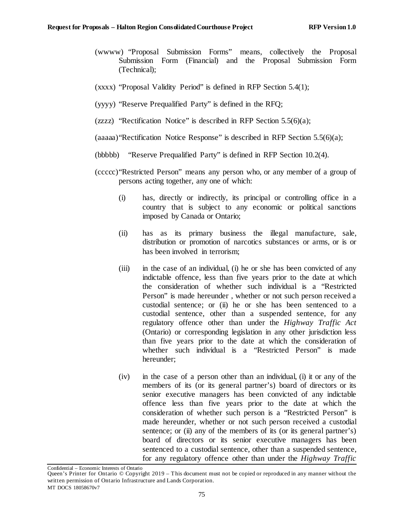- (wwww) "Proposal Submission Forms" means, collectively the Proposal Submission Form (Financial) and the Proposal Submission Form (Technical);
- (xxxx) "Proposal Validity Period" is defined in RFP Section [5.4\(1\);](#page-35-2)
- (yyyy) "Reserve Prequalified Party" is defined in the RFQ;
- (zzzz) "Rectification Notice" is described in RFP Section  $5.5(6)(a)$ ;
- $(aaaaa)$  Rectification Notice Response" is described in RFP Section [5.5\(6\)\(a\);](#page-48-1)
- (bbbbb) "Reserve Prequalified Party" is defined in RFP Section [10.2\(4\).](#page-69-1)
- (ccccc)"Restricted Person" means any person who, or any member of a group of persons acting together, any one of which:
	- (i) has, directly or indirectly, its principal or controlling office in a country that is subject to any economic or political sanctions imposed by Canada or Ontario;
	- (ii) has as its primary business the illegal manufacture, sale, distribution or promotion of narcotics substances or arms, or is or has been involved in terrorism;
	- (iii) in the case of an individual, (i) he or she has been convicted of any indictable offence, less than five years prior to the date at which the consideration of whether such individual is a "Restricted Person" is made hereunder , whether or not such person received a custodial sentence; or (ii) he or she has been sentenced to a custodial sentence, other than a suspended sentence, for any regulatory offence other than under the *Highway Traffic Act*  (Ontario) or corresponding legislation in any other jurisdiction less than five years prior to the date at which the consideration of whether such individual is a "Restricted Person" is made hereunder;
	- (iv) in the case of a person other than an individual, (i) it or any of the members of its (or its general partner's) board of directors or its senior executive managers has been convicted of any indictable offence less than five years prior to the date at which the consideration of whether such person is a "Restricted Person" is made hereunder, whether or not such person received a custodial sentence; or (ii) any of the members of its (or its general partner's) board of directors or its senior executive managers has been sentenced to a custodial sentence, other than a suspended sentence, for any regulatory offence other than under the *Highway Traffic*

Queen's Printer for Ontario © Copyright 2019 – This document must not be copied or reproduced in any manner without the written permission of Ontario Infrastructure and Lands Corporation. MT DOCS 18058670v7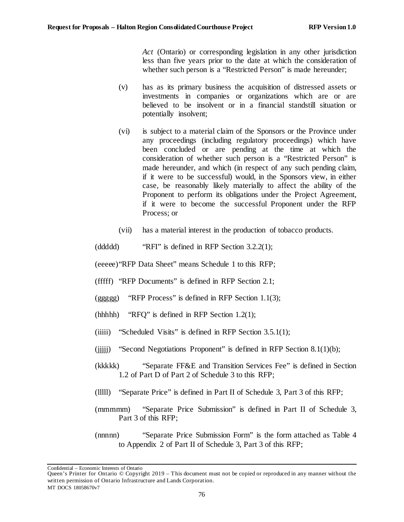*Act* (Ontario) or corresponding legislation in any other jurisdiction less than five years prior to the date at which the consideration of whether such person is a "Restricted Person" is made hereunder;

- (v) has as its primary business the acquisition of distressed assets or investments in companies or organizations which are or are believed to be insolvent or in a financial standstill situation or potentially insolvent;
- (vi) is subject to a material claim of the Sponsors or the Province under any proceedings (including regulatory proceedings) which have been concluded or are pending at the time at which the consideration of whether such person is a "Restricted Person" is made hereunder, and which (in respect of any such pending claim, if it were to be successful) would, in the Sponsors view, in either case, be reasonably likely materially to affect the ability of the Proponent to perform its obligations under the Project Agreement, if it were to become the successful Proponent under the RFP Process; or
- (vii) has a material interest in the production of tobacco products.
- (ddddd) "RFI" is defined in RFP Section [3.2.2\(1\);](#page-12-2)

(eeeee)"RFP Data Sheet" means Schedule 1 to this RFP;

- (fffff) "RFP Documents" is defined in RFP Section [2.1;](#page-8-1)
- (ggggg) "RFP Process" is defined in RFP Section [1.1\(3\);](#page-6-1)
- (hhhhh) "RFQ" is defined in RFP Section  $1.2(1)$ ;
- (iiiii) "Scheduled Visits" is defined in RFP Section  $3.5.1(1)$ ;
- (iiiii) "Second Negotiations Proponent" is defined in RFP Section  $8.1(1)(b)$ ;
- (kkkkk) "Separate FF&E and Transition Services Fee" is defined in Section 1.2 of Part D of Part 2 of Schedule 3 to this RFP;
- (lllll) "Separate Price" is defined in Part II of Schedule 3, Part 3 of this RFP;
- (mmmmm) "Separate Price Submission" is defined in Part II of Schedule 3, Part 3 of this RFP;
- (nnnnn) "Separate Price Submission Form" is the form attached as Table 4 to Appendix 2 of Part II of Schedule 3, Part 3 of this RFP;

Queen's Printer for Ontario © Copyright 2019 – This document must not be copied or reproduced in any manner without the written permission of Ontario Infrastructure and Lands Corporation. MT DOCS 18058670v7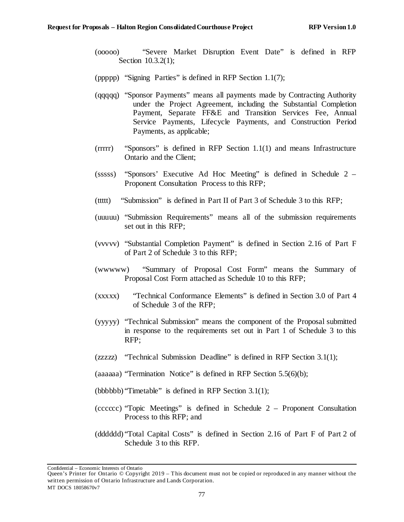- (ooooo) "Severe Market Disruption Event Date" is defined in RFP Section [10.3.2\(1\);](#page-69-2)
- (ppppp) "Signing Parties" is defined in RFP Section [1.1\(7\);](#page-7-4)
- (qqqqq) "Sponsor Payments" means all payments made by Contracting Authority under the Project Agreement, including the Substantial Completion Payment, Separate FF&E and Transition Services Fee, Annual Service Payments, Lifecycle Payments, and Construction Period Payments, as applicable;
- (rrrrr) "Sponsors" is defined in RFP Section [1.1\(1\)](#page-6-0) and means Infrastructure Ontario and the Client;
- (sssss) "Sponsors' Executive Ad Hoc Meeting" is defined in Schedule 2 Proponent Consultation Process to this RFP;
- (ttttt) "Submission" is defined in Part II of Part 3 of Schedule 3 to this RFP;
- (uuuuu) "Submission Requirements" means all of the submission requirements set out in this RFP;
- (vvvvv) "Substantial Completion Payment" is defined in Section 2.16 of Part F of Part 2 of Schedule 3 to this RFP;
- (wwwww) "Summary of Proposal Cost Form" means the Summary of Proposal Cost Form attached as Schedule 10 to this RFP;
- (xxxxx) "Technical Conformance Elements" is defined in Section 3.0 of Part 4 of Schedule 3 of the RFP;
- (yyyyy) "Technical Submission" means the component of the Proposal submitted in response to the requirements set out in Part 1 of Schedule 3 to this RFP;
- (zzzzz) "Technical Submission Deadline" is defined in RFP Section [3.1\(1\);](#page-12-1)
- (aaaaaa) "Termination Notice" is defined in RFP Section [5.5\(6\)\(b\);](#page-49-0)
- (bbbbbb) "Timetable" is defined in RFP Section [3.1\(1\);](#page-12-1)
- (cccccc) "Topic Meetings" is defined in Schedule 2 Proponent Consultation Process to this RFP; and
- (dddddd) "Total Capital Costs" is defined in Section 2.16 of Part F of Part 2 of Schedule 3 to this RFP.

Queen's Printer for Ontario © Copyright 2019 – This document must not be copied or reproduced in any manner without the written permission of Ontario Infrastructure and Lands Corporation. MT DOCS 18058670v7